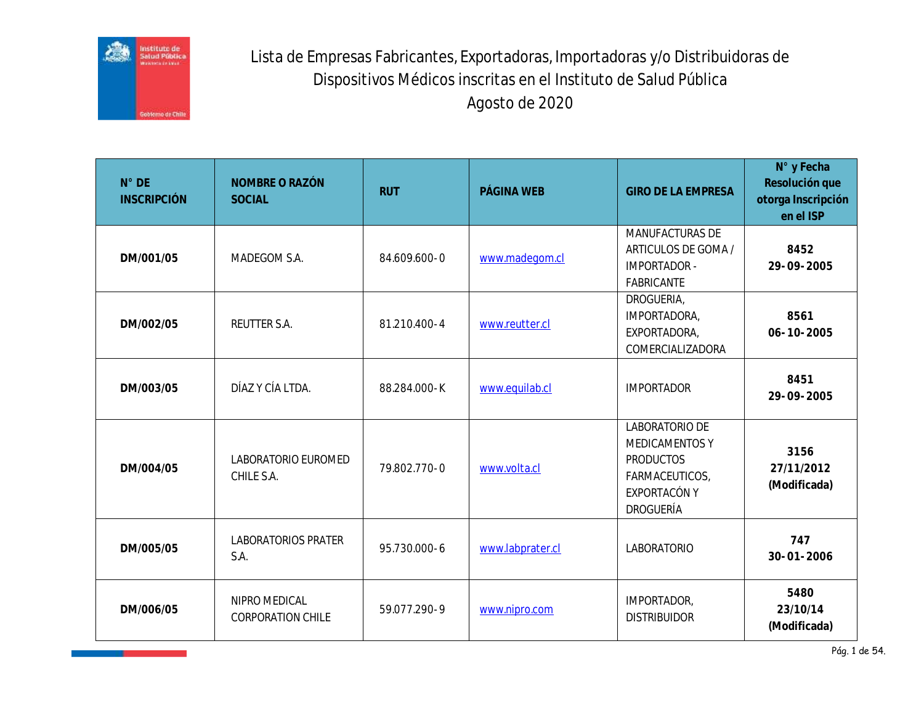

Lista de Empresas Fabricantes, Exportadoras, Importadoras y/o Distribuidoras de Dispositivos Médicos inscritas en el Instituto de Salud Pública Agosto de 2020

| $N^{\circ}$ DE<br><b>INSCRIPCIÓN</b> | NOMBRE O RAZÓN<br><b>SOCIAL</b>           | <b>RUT</b>   | PÁGINA WEB       | <b>GIRO DE LA EMPRESA</b>                                                                           | N° y Fecha<br>Resolución que<br>otorga Inscripción<br>en el ISP |
|--------------------------------------|-------------------------------------------|--------------|------------------|-----------------------------------------------------------------------------------------------------|-----------------------------------------------------------------|
| DM/001/05                            | MADEGOM S.A.                              | 84.609.600-0 | www.madegom.cl   | MANUFACTURAS DE<br>ARTICULOS DE GOMA /<br><b>IMPORTADOR -</b><br>FABRICANTE                         | 8452<br>29-09-2005                                              |
| DM/002/05                            | REUTTER S.A.                              | 81.210.400-4 | www.reutter.cl   | DROGUERIA,<br>IMPORTADORA,<br>EXPORTADORA,<br>COMERCIALIZADORA                                      | 8561<br>$06 - 10 - 2005$                                        |
| DM/003/05                            | DÍAZ Y CÍA LTDA.                          | 88.284.000-K | www.equilab.cl   | <b>IMPORTADOR</b>                                                                                   | 8451<br>29-09-2005                                              |
| DM/004/05                            | LABORATORIO EUROMED<br>CHILE S.A.         | 79.802.770-0 | www.volta.cl     | LABORATORIO DE<br>MEDICAMENTOS Y<br><b>PRODUCTOS</b><br>FARMACEUTICOS,<br>EXPORTACÓN Y<br>DROGUERÍA | 3156<br>27/11/2012<br>(Modificada)                              |
| DM/005/05                            | LABORATORIOS PRATER<br>S.A.               | 95.730.000-6 | www.labprater.cl | LABORATORIO                                                                                         | 747<br>$30 - 01 - 2006$                                         |
| DM/006/05                            | NIPRO MEDICAL<br><b>CORPORATION CHILE</b> | 59.077.290-9 | www.nipro.com    | IMPORTADOR,<br><b>DISTRIBUIDOR</b>                                                                  | 5480<br>23/10/14<br>(Modificada)                                |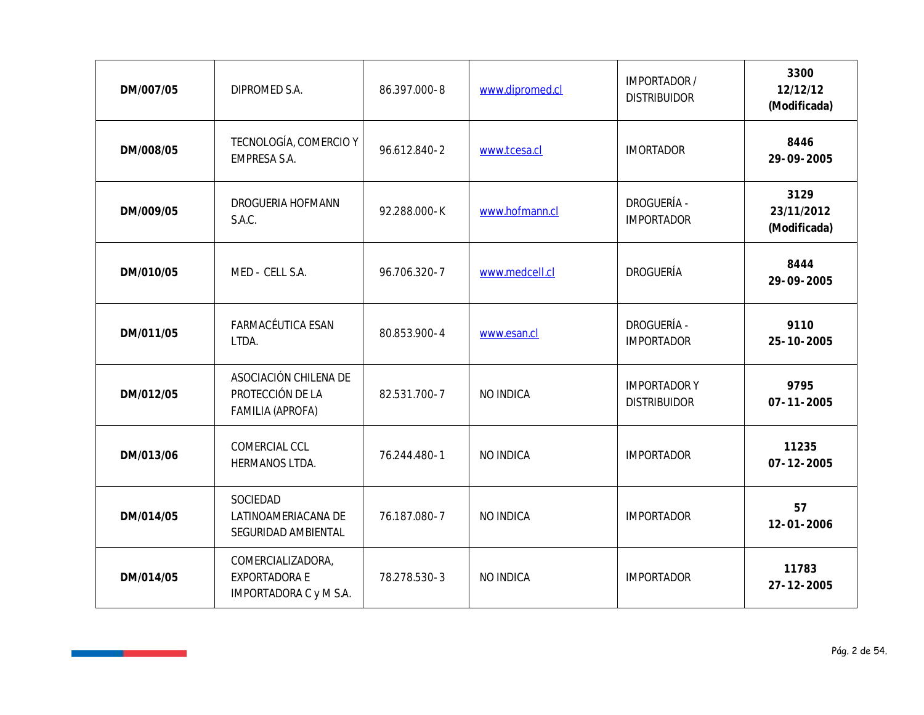| DM/007/05 | DIPROMED S.A.                                                 | 86.397.000-8 | www.dipromed.cl | IMPORTADOR /<br><b>DISTRIBUIDOR</b>       | 3300<br>12/12/12<br>(Modificada)   |
|-----------|---------------------------------------------------------------|--------------|-----------------|-------------------------------------------|------------------------------------|
| DM/008/05 | TECNOLOGÍA, COMERCIO Y<br>EMPRESA S.A.                        | 96.612.840-2 | www.tcesa.cl    | <b>IMORTADOR</b>                          | 8446<br>29-09-2005                 |
| DM/009/05 | DROGUERIA HOFMANN<br>S.A.C.                                   | 92.288.000-K | www.hofmann.cl  | <b>DROGUERÍA -</b><br><b>IMPORTADOR</b>   | 3129<br>23/11/2012<br>(Modificada) |
| DM/010/05 | MED - CELL S.A.                                               | 96.706.320-7 | www.medcell.cl  | <b>DROGUERÍA</b>                          | 8444<br>29-09-2005                 |
| DM/011/05 | FARMACÉUTICA ESAN<br>LTDA.                                    | 80.853.900-4 | www.esan.cl     | DROGUERÍA -<br><b>IMPORTADOR</b>          | 9110<br>25-10-2005                 |
| DM/012/05 | ASOCIACIÓN CHILENA DE<br>PROTECCIÓN DE LA<br>FAMILIA (APROFA) | 82.531.700-7 | NO INDICA       | <b>IMPORTADORY</b><br><b>DISTRIBUIDOR</b> | 9795<br>$07 - 11 - 2005$           |
| DM/013/06 | COMERCIAL CCL<br>HERMANOS LTDA.                               | 76.244.480-1 | NO INDICA       | <b>IMPORTADOR</b>                         | 11235<br>$07 - 12 - 2005$          |
| DM/014/05 | SOCIEDAD<br>LATINOAMERIACANA DE<br>SEGURIDAD AMBIENTAL        | 76.187.080-7 | NO INDICA       | <b>IMPORTADOR</b>                         | 57<br>$12 - 01 - 2006$             |
| DM/014/05 | COMERCIALIZADORA,<br>EXPORTADORA E<br>IMPORTADORA C y M S.A.  | 78.278.530-3 | NO INDICA       | <b>IMPORTADOR</b>                         | 11783<br>$27 - 12 - 2005$          |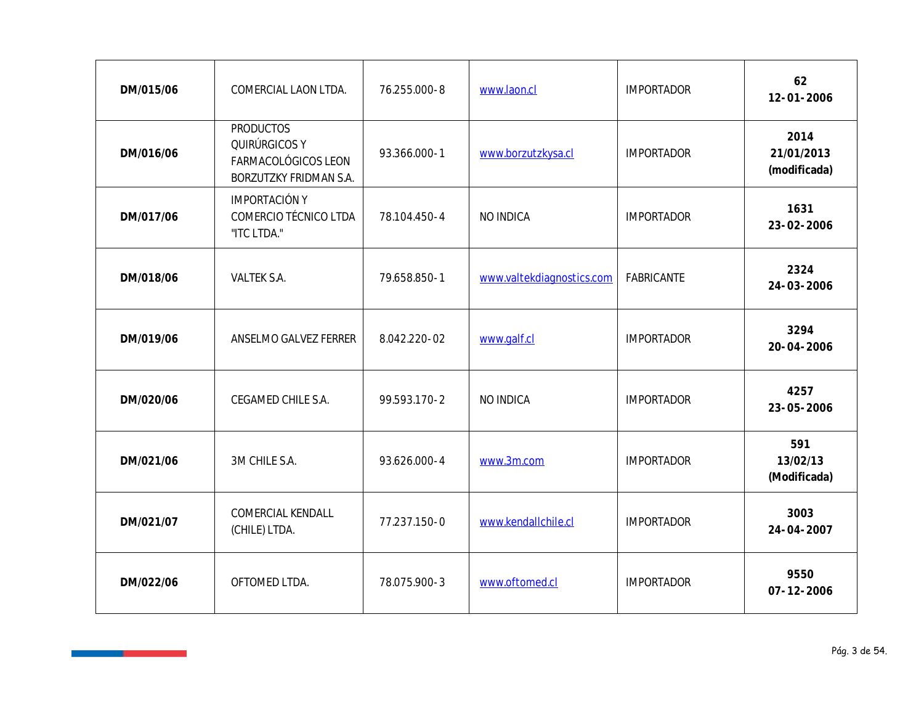| DM/015/06 | COMERCIAL LAON LTDA.                                                               | 76.255.000-8 | www.laon.cl               | <b>IMPORTADOR</b> | 62<br>$12 - 01 - 2006$             |
|-----------|------------------------------------------------------------------------------------|--------------|---------------------------|-------------------|------------------------------------|
| DM/016/06 | <b>PRODUCTOS</b><br>QUIRÚRGICOS Y<br>FARMACOLÓGICOS LEON<br>BORZUTZKY FRIDMAN S.A. | 93.366.000-1 | www.borzutzkysa.cl        | <b>IMPORTADOR</b> | 2014<br>21/01/2013<br>(modificada) |
| DM/017/06 | <b>IMPORTACIÓN Y</b><br>COMERCIO TÉCNICO LTDA<br>"ITC LTDA."                       | 78.104.450-4 | NO INDICA                 | <b>IMPORTADOR</b> | 1631<br>23-02-2006                 |
| DM/018/06 | VALTEK S.A.                                                                        | 79.658.850-1 | www.valtekdiagnostics.com | FABRICANTE        | 2324<br>24-03-2006                 |
| DM/019/06 | ANSELMO GALVEZ FERRER                                                              | 8.042.220-02 | www.galf.cl               | <b>IMPORTADOR</b> | 3294<br>20-04-2006                 |
| DM/020/06 | CEGAMED CHILE S.A.                                                                 | 99.593.170-2 | NO INDICA                 | <b>IMPORTADOR</b> | 4257<br>23-05-2006                 |
| DM/021/06 | 3M CHILE S.A.                                                                      | 93.626.000-4 | www.3m.com                | <b>IMPORTADOR</b> | 591<br>13/02/13<br>(Modificada)    |
| DM/021/07 | COMERCIAL KENDALL<br>(CHILE) LTDA.                                                 | 77.237.150-0 | www.kendallchile.cl       | <b>IMPORTADOR</b> | 3003<br>$24 - 04 - 2007$           |
| DM/022/06 | OFTOMED LTDA.                                                                      | 78.075.900-3 | www.oftomed.cl            | <b>IMPORTADOR</b> | 9550<br>$07 - 12 - 2006$           |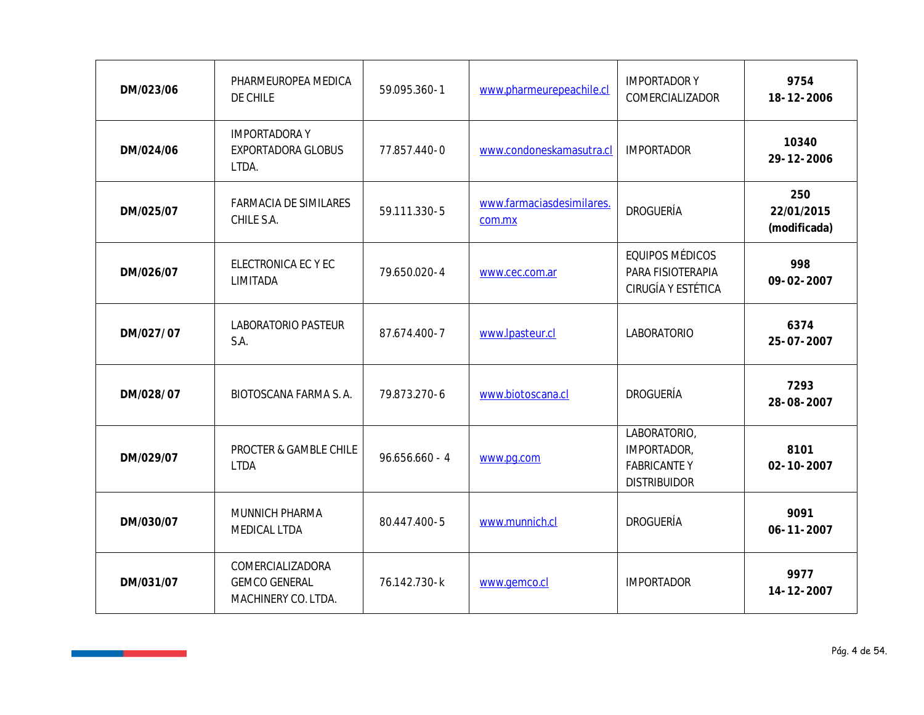| DM/023/06 | PHARMEUROPEA MEDICA<br>DE CHILE                                 | 59.095.360-1     | www.pharmeurepeachile.cl            | <b>IMPORTADORY</b><br>COMERCIALIZADOR                                    | 9754<br>18-12-2006                |
|-----------|-----------------------------------------------------------------|------------------|-------------------------------------|--------------------------------------------------------------------------|-----------------------------------|
| DM/024/06 | <b>IMPORTADORAY</b><br>EXPORTADORA GLOBUS<br>LTDA.              | 77.857.440-0     | www.condoneskamasutra.cl            | <b>IMPORTADOR</b>                                                        | 10340<br>29-12-2006               |
| DM/025/07 | FARMACIA DE SIMILARES<br>CHILE S.A.                             | 59.111.330-5     | www.farmaciasdesimilares.<br>com.mx | <b>DROGUERÍA</b>                                                         | 250<br>22/01/2015<br>(modificada) |
| DM/026/07 | ELECTRONICA EC Y EC<br>LIMITADA                                 | 79.650.020-4     | www.cec.com.ar                      | EQUIPOS MÉDICOS<br>PARA FISIOTERAPIA<br>CIRUGÍA Y ESTÉTICA               | 998<br>$09 - 02 - 2007$           |
| DM/027/07 | LABORATORIO PASTEUR<br>S.A.                                     | 87.674.400-7     | www.lpasteur.cl                     | LABORATORIO                                                              | 6374<br>25-07-2007                |
| DM/028/07 | BIOTOSCANA FARMA S. A.                                          | 79.873.270-6     | www.biotoscana.cl                   | DROGUERÍA                                                                | 7293<br>28-08-2007                |
| DM/029/07 | PROCTER & GAMBLE CHILE<br><b>LTDA</b>                           | $96.656.660 - 4$ | www.pg.com                          | LABORATORIO,<br>IMPORTADOR,<br><b>FABRICANTEY</b><br><b>DISTRIBUIDOR</b> | 8101<br>$02 - 10 - 2007$          |
| DM/030/07 | MUNNICH PHARMA<br>MEDICAL LTDA                                  | 80.447.400-5     | www.munnich.cl                      | DROGUERÍA                                                                | 9091<br>$06 - 11 - 2007$          |
| DM/031/07 | COMERCIALIZADORA<br><b>GEMCO GENERAL</b><br>MACHINERY CO. LTDA. | 76.142.730-k     | www.gemco.cl                        | <b>IMPORTADOR</b>                                                        | 9977<br>$14 - 12 - 2007$          |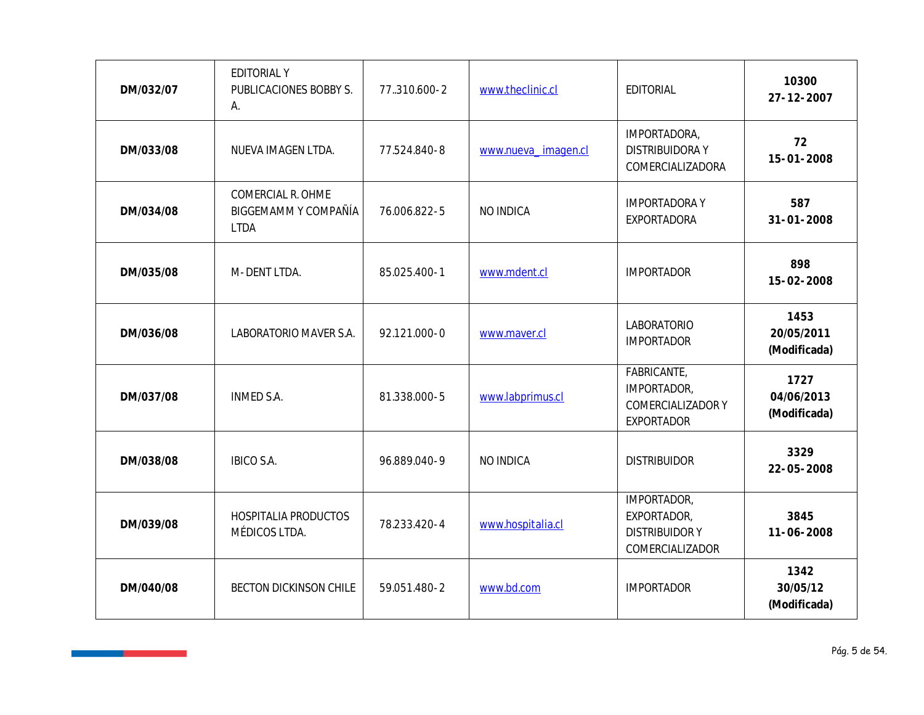| DM/032/07 | <b>EDITORIAL Y</b><br>PUBLICACIONES BOBBY S.<br>А.       | 77.310.600-2 | www.theclinic.cl    | EDITORIAL                                                             | 10300<br>$27 - 12 - 2007$          |
|-----------|----------------------------------------------------------|--------------|---------------------|-----------------------------------------------------------------------|------------------------------------|
| DM/033/08 | NUEVA IMAGEN LTDA.                                       | 77.524.840-8 | www.nueva_imagen.cl | IMPORTADORA,<br><b>DISTRIBUIDORAY</b><br>COMERCIALIZADORA             | 72<br>15-01-2008                   |
| DM/034/08 | COMERCIAL R. OHME<br>BIGGEMAMM Y COMPAÑÍA<br><b>LTDA</b> | 76.006.822-5 | NO INDICA           | <b>IMPORTADORAY</b><br><b>EXPORTADORA</b>                             | 587<br>$31 - 01 - 2008$            |
| DM/035/08 | M-DENT LTDA.                                             | 85.025.400-1 | www.mdent.cl        | <b>IMPORTADOR</b>                                                     | 898<br>15-02-2008                  |
| DM/036/08 | LABORATORIO MAVER S.A.                                   | 92.121.000-0 | www.maver.cl        | LABORATORIO<br><b>IMPORTADOR</b>                                      | 1453<br>20/05/2011<br>(Modificada) |
| DM/037/08 | <b>INMED S.A.</b>                                        | 81.338.000-5 | www.labprimus.cl    | FABRICANTE,<br>IMPORTADOR,<br>COMERCIALIZADOR Y<br><b>EXPORTADOR</b>  | 1727<br>04/06/2013<br>(Modificada) |
| DM/038/08 | <b>IBICO S.A.</b>                                        | 96.889.040-9 | NO INDICA           | <b>DISTRIBUIDOR</b>                                                   | 3329<br>$22 - 05 - 2008$           |
| DM/039/08 | HOSPITALIA PRODUCTOS<br>MÉDICOS LTDA.                    | 78.233.420-4 | www.hospitalia.cl   | IMPORTADOR,<br>EXPORTADOR,<br><b>DISTRIBUIDORY</b><br>COMERCIALIZADOR | 3845<br>11-06-2008                 |
| DM/040/08 | <b>BECTON DICKINSON CHILE</b>                            | 59.051.480-2 | www.bd.com          | <b>IMPORTADOR</b>                                                     | 1342<br>30/05/12<br>(Modificada)   |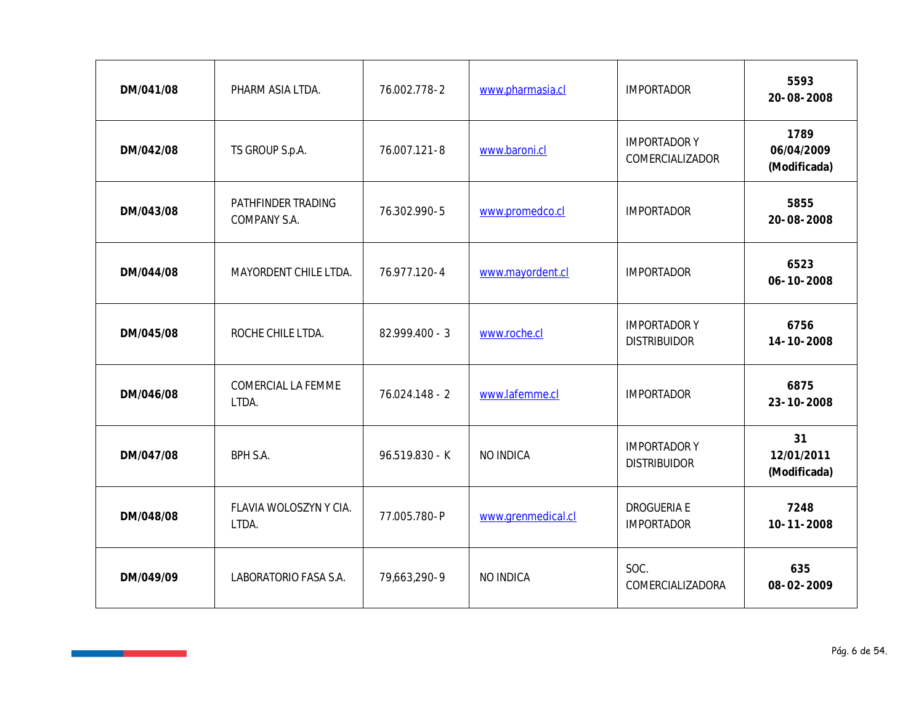| DM/041/08 | PHARM ASIA LTDA.                   | 76.002.778-2   | www.pharmasia.cl   | <b>IMPORTADOR</b>                          | 5593<br>20-08-2008                 |
|-----------|------------------------------------|----------------|--------------------|--------------------------------------------|------------------------------------|
| DM/042/08 | TS GROUP S.p.A.                    | 76.007.121-8   | www.baroni.cl      | <b>IMPORTADORY</b><br>COMERCIALIZADOR      | 1789<br>06/04/2009<br>(Modificada) |
| DM/043/08 | PATHFINDER TRADING<br>COMPANY S.A. | 76.302.990-5   | www.promedco.cl    | <b>IMPORTADOR</b>                          | 5855<br>20-08-2008                 |
| DM/044/08 | MAYORDENT CHILE LTDA.              | 76.977.120-4   | www.mayordent.cl   | <b>IMPORTADOR</b>                          | 6523<br>06-10-2008                 |
| DM/045/08 | ROCHE CHILE LTDA.                  | 82.999.400 - 3 | www.roche.cl       | <b>IMPORTADORY</b><br><b>DISTRIBUIDOR</b>  | 6756<br>14-10-2008                 |
| DM/046/08 | COMERCIAL LA FEMME<br>LTDA.        | 76.024.148 - 2 | www.lafemme.cl     | <b>IMPORTADOR</b>                          | 6875<br>23-10-2008                 |
| DM/047/08 | <b>BPH S.A.</b>                    | 96.519.830 - K | NO INDICA          | <b>IMPORTADOR Y</b><br><b>DISTRIBUIDOR</b> | 31<br>12/01/2011<br>(Modificada)   |
| DM/048/08 | FLAVIA WOLOSZYN Y CIA.<br>LTDA.    | 77.005.780-P   | www.grenmedical.cl | DROGUERIA E<br><b>IMPORTADOR</b>           | 7248<br>$10 - 11 - 2008$           |
| DM/049/09 | LABORATORIO FASA S.A.              | 79,663,290-9   | NO INDICA          | SOC.<br>COMERCIALIZADORA                   | 635<br>08-02-2009                  |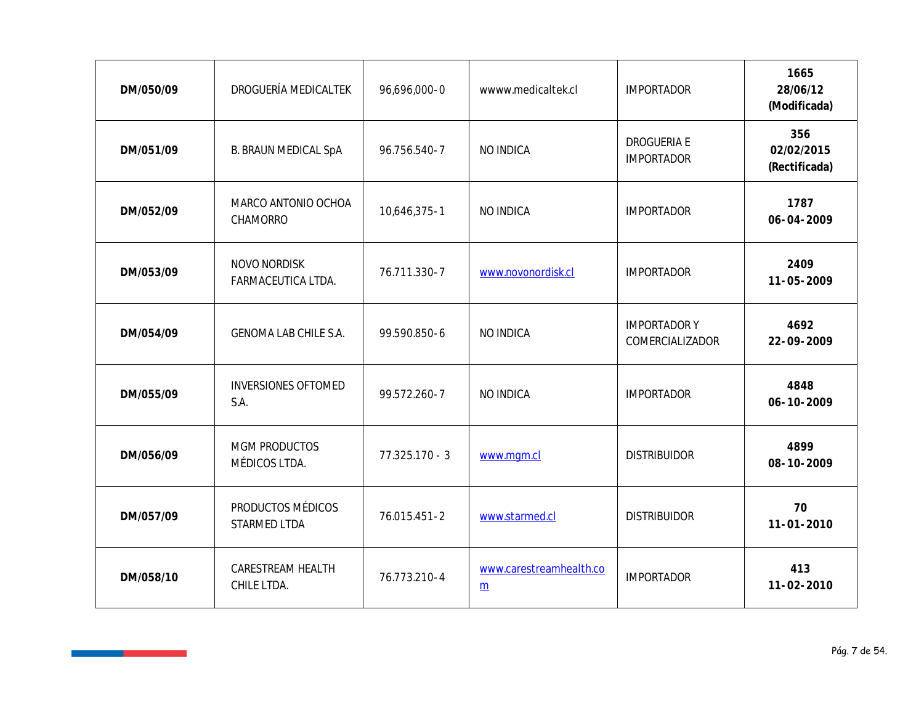| DM/050/09 | DROGUERÍA MEDICALTEK               | 96,696,000-0     | wwww.medicaltek.cl                         | <b>IMPORTADOR</b>                     | 1665<br>28/06/12<br>(Modificada)   |
|-----------|------------------------------------|------------------|--------------------------------------------|---------------------------------------|------------------------------------|
| DM/051/09 | <b>B. BRAUN MEDICAL SpA</b>        | 96.756.540-7     | NO INDICA                                  | DROGUERIA E<br><b>IMPORTADOR</b>      | 356<br>02/02/2015<br>(Rectificada) |
| DM/052/09 | MARCO ANTONIO OCHOA<br>CHAMORRO    | 10,646,375-1     | NO INDICA                                  | <b>IMPORTADOR</b>                     | 1787<br>$06 - 04 - 2009$           |
| DM/053/09 | NOVO NORDISK<br>FARMACEUTICA LTDA. | 76.711.330-7     | www.novonordisk.cl                         | <b>IMPORTADOR</b>                     | 2409<br>11-05-2009                 |
| DM/054/09 | GENOMA LAB CHILE S.A.              | 99.590.850-6     | NO INDICA                                  | <b>IMPORTADORY</b><br>COMERCIALIZADOR | 4692<br>22-09-2009                 |
| DM/055/09 | <b>INVERSIONES OFTOMED</b><br>S.A. | 99.572.260-7     | NO INDICA                                  | <b>IMPORTADOR</b>                     | 4848<br>06-10-2009                 |
| DM/056/09 | MGM PRODUCTOS<br>MÉDICOS LTDA.     | $77.325.170 - 3$ | www.mgm.cl                                 | <b>DISTRIBUIDOR</b>                   | 4899<br>08-10-2009                 |
| DM/057/09 | PRODUCTOS MÉDICOS<br>STARMED LTDA  | 76.015.451-2     | www.starmed.cl                             | <b>DISTRIBUIDOR</b>                   | 70<br>$11 - 01 - 2010$             |
| DM/058/10 | CARESTREAM HEALTH<br>CHILE LTDA.   | 76.773.210-4     | www.carestreamhealth.co<br>$\underline{m}$ | <b>IMPORTADOR</b>                     | 413<br>$11 - 02 - 2010$            |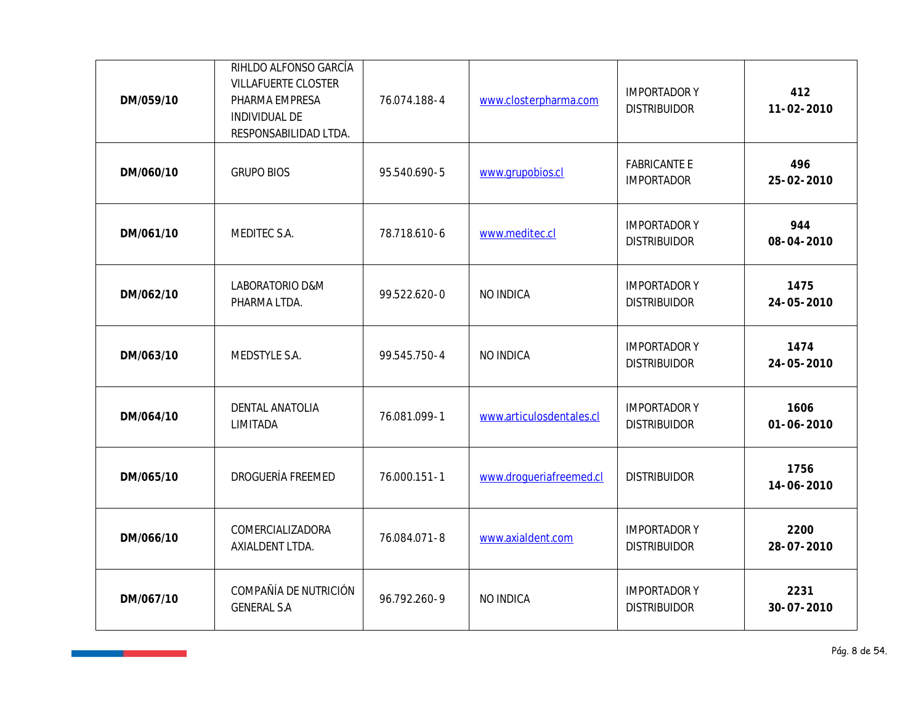| DM/059/10 | RIHLDO ALFONSO GARCÍA<br><b>VILLAFUERTE CLOSTER</b><br>PHARMA EMPRESA<br>INDIVIDUAL DE<br>RESPONSABILIDAD LTDA. | 76.074.188-4 | www.closterpharma.com    | <b>IMPORTADORY</b><br><b>DISTRIBUIDOR</b> | 412<br>11-02-2010        |
|-----------|-----------------------------------------------------------------------------------------------------------------|--------------|--------------------------|-------------------------------------------|--------------------------|
| DM/060/10 | <b>GRUPO BIOS</b>                                                                                               | 95.540.690-5 | www.grupobios.cl         | <b>FABRICANTE E</b><br><b>IMPORTADOR</b>  | 496<br>25-02-2010        |
| DM/061/10 | MEDITEC S.A.                                                                                                    | 78.718.610-6 | www.meditec.cl           | <b>IMPORTADORY</b><br><b>DISTRIBUIDOR</b> | 944<br>08-04-2010        |
| DM/062/10 | LABORATORIO D&M<br>PHARMA LTDA.                                                                                 | 99.522.620-0 | NO INDICA                | <b>IMPORTADORY</b><br><b>DISTRIBUIDOR</b> | 1475<br>24-05-2010       |
| DM/063/10 | MEDSTYLE S.A.                                                                                                   | 99.545.750-4 | NO INDICA                | <b>IMPORTADORY</b><br><b>DISTRIBUIDOR</b> | 1474<br>24-05-2010       |
| DM/064/10 | DENTAL ANATOLIA<br>LIMITADA                                                                                     | 76.081.099-1 | www.articulosdentales.cl | <b>IMPORTADORY</b><br><b>DISTRIBUIDOR</b> | 1606<br>$01 - 06 - 2010$ |
| DM/065/10 | DROGUERÍA FREEMED                                                                                               | 76.000.151-1 | www.droqueriafreemed.cl  | <b>DISTRIBUIDOR</b>                       | 1756<br>14-06-2010       |
| DM/066/10 | COMERCIALIZADORA<br>AXIALDENT LTDA.                                                                             | 76.084.071-8 | www.axialdent.com        | <b>IMPORTADORY</b><br><b>DISTRIBUIDOR</b> | 2200<br>28-07-2010       |
| DM/067/10 | COMPAÑÍA DE NUTRICIÓN<br><b>GENERAL S.A</b>                                                                     | 96.792.260-9 | NO INDICA                | <b>IMPORTADORY</b><br><b>DISTRIBUIDOR</b> | 2231<br>$30 - 07 - 2010$ |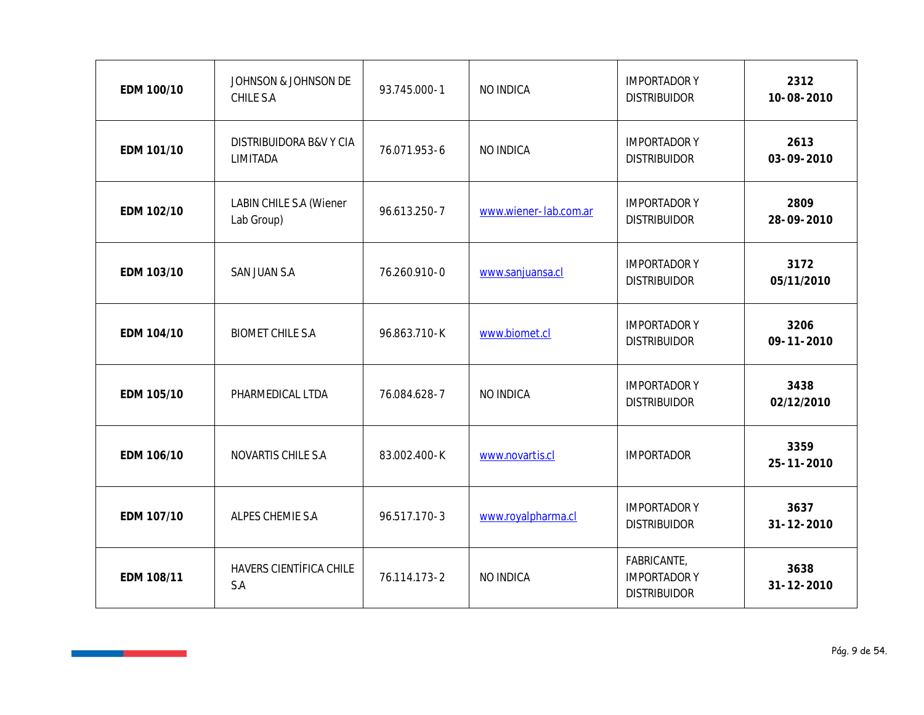| EDM 100/10 | JOHNSON & JOHNSON DE<br>CHILE S.A            | 93.745.000-1 | NO INDICA             | <b>IMPORTADORY</b><br><b>DISTRIBUIDOR</b>                | 2312<br>10-08-2010       |
|------------|----------------------------------------------|--------------|-----------------------|----------------------------------------------------------|--------------------------|
| EDM 101/10 | DISTRIBUIDORA B&V Y CIA<br>LIMITADA          | 76.071.953-6 | NO INDICA             | <b>IMPORTADORY</b><br><b>DISTRIBUIDOR</b>                | 2613<br>03-09-2010       |
| EDM 102/10 | <b>LABIN CHILE S.A (Wiener</b><br>Lab Group) | 96.613.250-7 | www.wiener-lab.com.ar | <b>IMPORTADORY</b><br><b>DISTRIBUIDOR</b>                | 2809<br>28-09-2010       |
| EDM 103/10 | SAN JUAN S.A                                 | 76.260.910-0 | www.sanjuansa.cl      | <b>IMPORTADORY</b><br><b>DISTRIBUIDOR</b>                | 3172<br>05/11/2010       |
| EDM 104/10 | <b>BIOMET CHILE S.A</b>                      | 96.863.710-K | www.biomet.cl         | <b>IMPORTADORY</b><br><b>DISTRIBUIDOR</b>                | 3206<br>$09 - 11 - 2010$ |
| EDM 105/10 | PHARMEDICAL LTDA                             | 76.084.628-7 | NO INDICA             | <b>IMPORTADORY</b><br><b>DISTRIBUIDOR</b>                | 3438<br>02/12/2010       |
| EDM 106/10 | NOVARTIS CHILE S.A                           | 83.002.400-K | www.novartis.cl       | <b>IMPORTADOR</b>                                        | 3359<br>$25 - 11 - 2010$ |
| EDM 107/10 | ALPES CHEMIE S.A                             | 96.517.170-3 | www.royalpharma.cl    | <b>IMPORTADORY</b><br><b>DISTRIBUIDOR</b>                | 3637<br>$31 - 12 - 2010$ |
| EDM 108/11 | HAVERS CIENTÍFICA CHILE<br>S.A               | 76.114.173-2 | NO INDICA             | FABRICANTE,<br><b>IMPORTADORY</b><br><b>DISTRIBUIDOR</b> | 3638<br>$31 - 12 - 2010$ |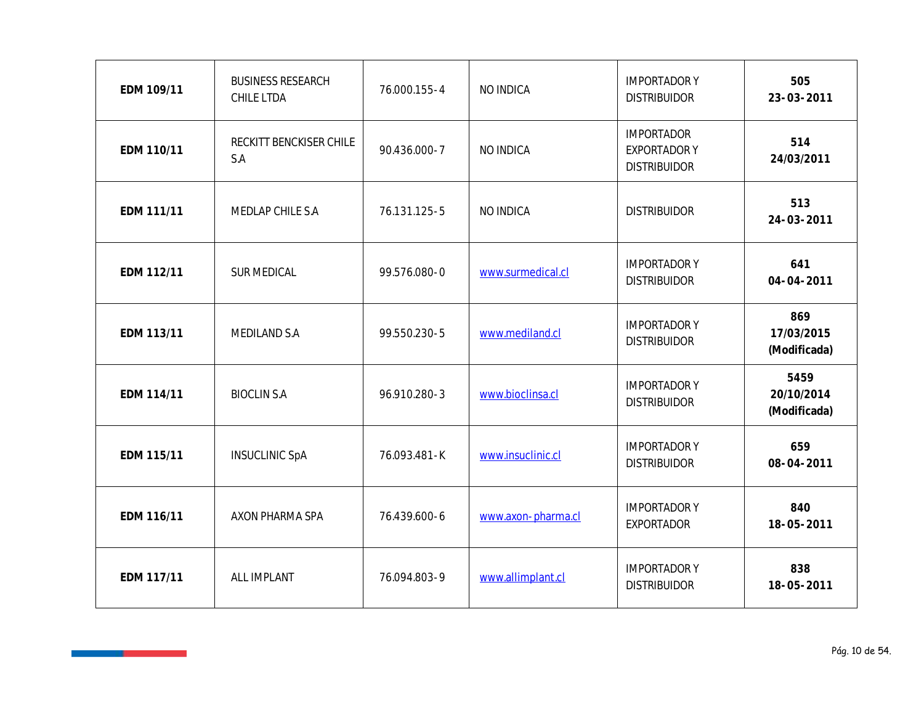| EDM 109/11 | <b>BUSINESS RESEARCH</b><br>CHILE LTDA | 76.000.155-4 | NO INDICA          | <b>IMPORTADOR Y</b><br><b>DISTRIBUIDOR</b>                      | 505<br>23-03-2011                  |
|------------|----------------------------------------|--------------|--------------------|-----------------------------------------------------------------|------------------------------------|
| EDM 110/11 | RECKITT BENCKISER CHILE<br>S.A         | 90.436.000-7 | NO INDICA          | <b>IMPORTADOR</b><br><b>EXPORTADOR Y</b><br><b>DISTRIBUIDOR</b> | 514<br>24/03/2011                  |
| EDM 111/11 | MEDLAP CHILE S.A                       | 76.131.125-5 | NO INDICA          | <b>DISTRIBUIDOR</b>                                             | 513<br>24-03-2011                  |
| EDM 112/11 | SUR MEDICAL                            | 99.576.080-0 | www.surmedical.cl  | <b>IMPORTADORY</b><br><b>DISTRIBUIDOR</b>                       | 641<br>$04 - 04 - 2011$            |
| EDM 113/11 | MEDILAND S.A                           | 99.550.230-5 | www.mediland.cl    | <b>IMPORTADORY</b><br><b>DISTRIBUIDOR</b>                       | 869<br>17/03/2015<br>(Modificada)  |
| EDM 114/11 | <b>BIOCLIN S.A</b>                     | 96.910.280-3 | www.bioclinsa.cl   | <b>IMPORTADORY</b><br><b>DISTRIBUIDOR</b>                       | 5459<br>20/10/2014<br>(Modificada) |
| EDM 115/11 | <b>INSUCLINIC SpA</b>                  | 76.093.481-K | www.insuclinic.cl  | <b>IMPORTADORY</b><br><b>DISTRIBUIDOR</b>                       | 659<br>08-04-2011                  |
| EDM 116/11 | AXON PHARMA SPA                        | 76.439.600-6 | www.axon-pharma.cl | <b>IMPORTADORY</b><br><b>EXPORTADOR</b>                         | 840<br>18-05-2011                  |
| EDM 117/11 | ALL IMPLANT                            | 76.094.803-9 | www.allimplant.cl  | <b>IMPORTADORY</b><br><b>DISTRIBUIDOR</b>                       | 838<br>18-05-2011                  |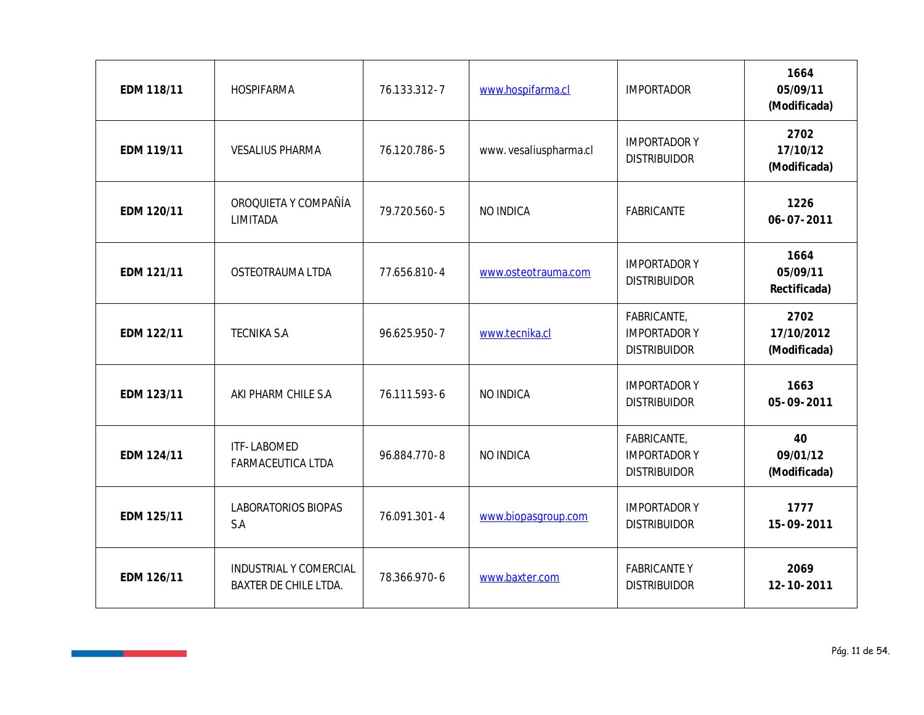| EDM 118/11 | HOSPIFARMA                                      | 76.133.312-7 | www.hospifarma.cl      | <b>IMPORTADOR</b>                                         | 1664<br>05/09/11<br>(Modificada)   |
|------------|-------------------------------------------------|--------------|------------------------|-----------------------------------------------------------|------------------------------------|
| EDM 119/11 | <b>VESALIUS PHARMA</b>                          | 76.120.786-5 | www. vesaliuspharma.cl | <b>IMPORTADOR Y</b><br><b>DISTRIBUIDOR</b>                | 2702<br>17/10/12<br>(Modificada)   |
| EDM 120/11 | OROQUIETA Y COMPAÑÍA<br>LIMITADA                | 79.720.560-5 | NO INDICA              | FABRICANTE                                                | 1226<br>$06 - 07 - 2011$           |
| EDM 121/11 | OSTEOTRAUMA LTDA                                | 77.656.810-4 | www.osteotrauma.com    | <b>IMPORTADORY</b><br><b>DISTRIBUIDOR</b>                 | 1664<br>05/09/11<br>Rectificada)   |
| EDM 122/11 | <b>TECNIKA S.A</b>                              | 96.625.950-7 | www.tecnika.cl         | FABRICANTE,<br><b>IMPORTADOR Y</b><br><b>DISTRIBUIDOR</b> | 2702<br>17/10/2012<br>(Modificada) |
| EDM 123/11 | AKI PHARM CHILE S.A                             | 76.111.593-6 | NO INDICA              | <b>IMPORTADOR Y</b><br><b>DISTRIBUIDOR</b>                | 1663<br>05-09-2011                 |
| EDM 124/11 | ITF-LABOMED<br>FARMACEUTICA LTDA                | 96.884.770-8 | NO INDICA              | FABRICANTE,<br><b>IMPORTADORY</b><br><b>DISTRIBUIDOR</b>  | 40<br>09/01/12<br>(Modificada)     |
| EDM 125/11 | LABORATORIOS BIOPAS<br>S.A                      | 76.091.301-4 | www.biopasgroup.com    | <b>IMPORTADORY</b><br><b>DISTRIBUIDOR</b>                 | 1777<br>15-09-2011                 |
| EDM 126/11 | INDUSTRIAL Y COMERCIAL<br>BAXTER DE CHILE LTDA. | 78.366.970-6 | www.baxter.com         | <b>FABRICANTEY</b><br><b>DISTRIBUIDOR</b>                 | 2069<br>12-10-2011                 |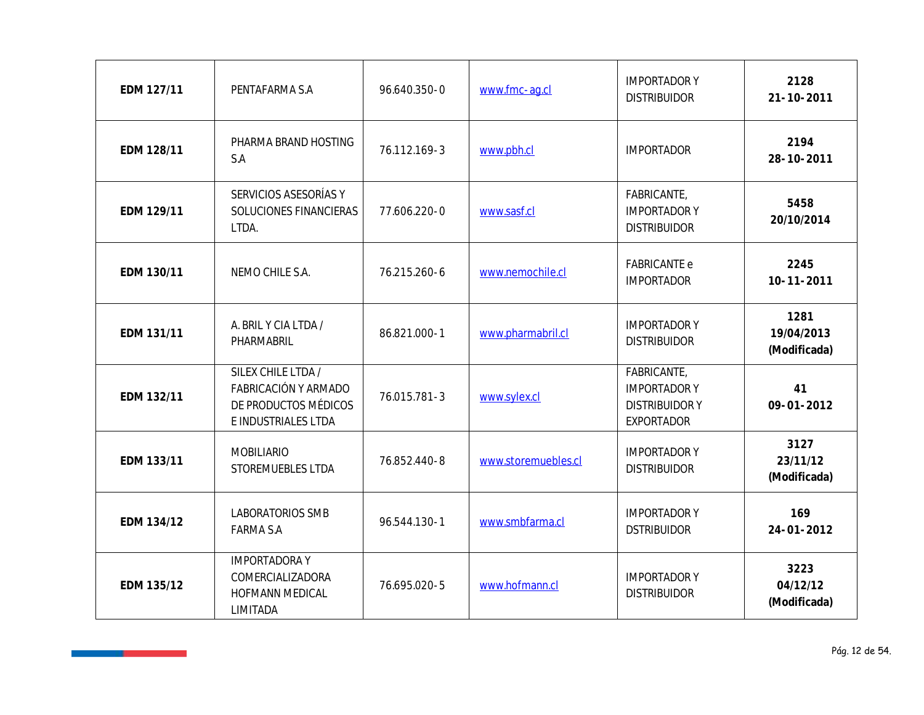| EDM 127/11 | PENTAFARMA S.A                                                                            | 96.640.350-0 | www.fmc-ag.cl       | <b>IMPORTADORY</b><br><b>DISTRIBUIDOR</b>                                      | 2128<br>$21 - 10 - 2011$           |
|------------|-------------------------------------------------------------------------------------------|--------------|---------------------|--------------------------------------------------------------------------------|------------------------------------|
| EDM 128/11 | PHARMA BRAND HOSTING<br>S.A                                                               | 76.112.169-3 | www.pbh.cl          | <b>IMPORTADOR</b>                                                              | 2194<br>28-10-2011                 |
| EDM 129/11 | SERVICIOS ASESORÍAS Y<br>SOLUCIONES FINANCIERAS<br>LTDA.                                  | 77.606.220-0 | www.sasf.cl         | FABRICANTE,<br><b>IMPORTADORY</b><br><b>DISTRIBUIDOR</b>                       | 5458<br>20/10/2014                 |
| EDM 130/11 | NEMO CHILE S.A.                                                                           | 76.215.260-6 | www.nemochile.cl    | <b>FABRICANTE e</b><br><b>IMPORTADOR</b>                                       | 2245<br>$10 - 11 - 2011$           |
| EDM 131/11 | A. BRIL Y CIA LTDA /<br>PHARMABRIL                                                        | 86.821.000-1 | www.pharmabril.cl   | <b>IMPORTADORY</b><br><b>DISTRIBUIDOR</b>                                      | 1281<br>19/04/2013<br>(Modificada) |
| EDM 132/11 | SILEX CHILE LTDA /<br>FABRICACIÓN Y ARMADO<br>DE PRODUCTOS MÉDICOS<br>E INDUSTRIALES LTDA | 76.015.781-3 | www.sylex.cl        | FABRICANTE,<br><b>IMPORTADORY</b><br><b>DISTRIBUIDORY</b><br><b>EXPORTADOR</b> | 41<br>$09 - 01 - 2012$             |
| EDM 133/11 | <b>MOBILIARIO</b><br>STOREMUEBLES LTDA                                                    | 76.852.440-8 | www.storemuebles.cl | <b>IMPORTADORY</b><br><b>DISTRIBUIDOR</b>                                      | 3127<br>23/11/12<br>(Modificada)   |
| EDM 134/12 | LABORATORIOS SMB<br><b>FARMA S.A</b>                                                      | 96.544.130-1 | www.smbfarma.cl     | <b>IMPORTADORY</b><br><b>DSTRIBUIDOR</b>                                       | 169<br>$24 - 01 - 2012$            |
| EDM 135/12 | <b>IMPORTADORAY</b><br>COMERCIALIZADORA<br>HOFMANN MEDICAL<br>LIMITADA                    | 76.695.020-5 | www.hofmann.cl      | <b>IMPORTADORY</b><br><b>DISTRIBUIDOR</b>                                      | 3223<br>04/12/12<br>(Modificada)   |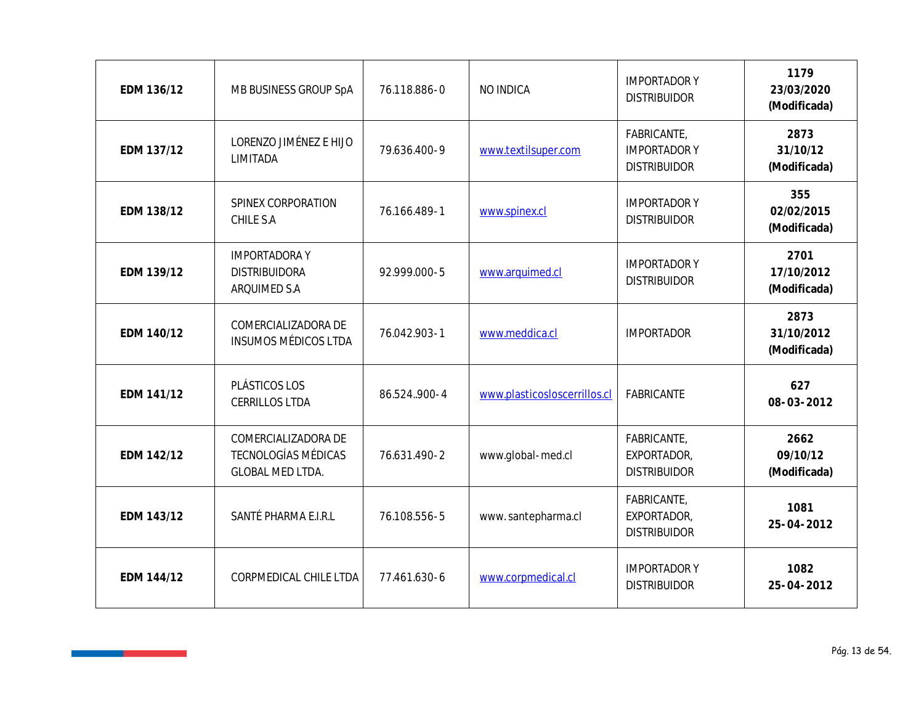| EDM 136/12 | MB BUSINESS GROUP SpA                                                        | 76.118.886-0  | NO INDICA                    | <b>IMPORTADORY</b><br><b>DISTRIBUIDOR</b>                | 1179<br>23/03/2020<br>(Modificada) |
|------------|------------------------------------------------------------------------------|---------------|------------------------------|----------------------------------------------------------|------------------------------------|
| EDM 137/12 | LORENZO JIMÉNEZ E HIJO<br>LIMITADA                                           | 79.636.400-9  | www.textilsuper.com          | FABRICANTE,<br><b>IMPORTADORY</b><br><b>DISTRIBUIDOR</b> | 2873<br>31/10/12<br>(Modificada)   |
| EDM 138/12 | SPINEX CORPORATION<br>CHILE S.A                                              | 76.166.489-1  | www.spinex.cl                | <b>IMPORTADORY</b><br><b>DISTRIBUIDOR</b>                | 355<br>02/02/2015<br>(Modificada)  |
| EDM 139/12 | <b>IMPORTADORAY</b><br><b>DISTRIBUIDORA</b><br>ARQUIMED S.A                  | 92.999.000-5  | www.arquimed.cl              | <b>IMPORTADORY</b><br><b>DISTRIBUIDOR</b>                | 2701<br>17/10/2012<br>(Modificada) |
| EDM 140/12 | COMERCIALIZADORA DE<br><b>INSUMOS MÉDICOS LTDA</b>                           | 76.042.903-1  | www.meddica.cl               | <b>IMPORTADOR</b>                                        | 2873<br>31/10/2012<br>(Modificada) |
| EDM 141/12 | PLÁSTICOS LOS<br><b>CERRILLOS LTDA</b>                                       | 86.524.,900-4 | www.plasticosloscerrillos.cl | FABRICANTE                                               | 627<br>08-03-2012                  |
| EDM 142/12 | COMERCIALIZADORA DE<br><b>TECNOLOGÍAS MÉDICAS</b><br><b>GLOBAL MED LTDA.</b> | 76.631.490-2  | www.global-med.cl            | FABRICANTE,<br>EXPORTADOR,<br><b>DISTRIBUIDOR</b>        | 2662<br>09/10/12<br>(Modificada)   |
| EDM 143/12 | SANTÉ PHARMA E.I.R.L                                                         | 76.108.556-5  | www.santepharma.cl           | FABRICANTE,<br>EXPORTADOR,<br><b>DISTRIBUIDOR</b>        | 1081<br>25-04-2012                 |
| EDM 144/12 | CORPMEDICAL CHILE LTDA                                                       | 77.461.630-6  | www.corpmedical.cl           | <b>IMPORTADORY</b><br><b>DISTRIBUIDOR</b>                | 1082<br>25-04-2012                 |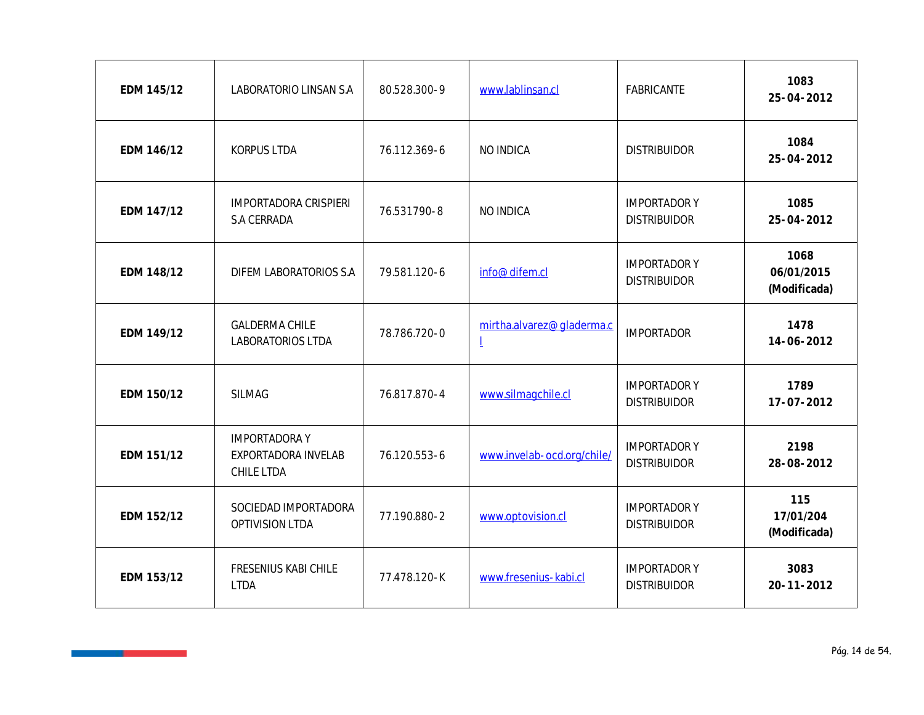| EDM 145/12 | LABORATORIO LINSAN S.A                                   | 80.528.300-9 | www.lablinsan.cl               | FABRICANTE                                | 1083<br>25-04-2012                 |
|------------|----------------------------------------------------------|--------------|--------------------------------|-------------------------------------------|------------------------------------|
| EDM 146/12 | <b>KORPUS LTDA</b>                                       | 76.112.369-6 | NO INDICA                      | <b>DISTRIBUIDOR</b>                       | 1084<br>25-04-2012                 |
| EDM 147/12 | <b>IMPORTADORA CRISPIERI</b><br>S.A CERRADA              | 76.531790-8  | NO INDICA                      | <b>IMPORTADORY</b><br><b>DISTRIBUIDOR</b> | 1085<br>25-04-2012                 |
| EDM 148/12 | DIFEM LABORATORIOS S.A                                   | 79.581.120-6 | info@difem.cl                  | <b>IMPORTADORY</b><br><b>DISTRIBUIDOR</b> | 1068<br>06/01/2015<br>(Modificada) |
| EDM 149/12 | <b>GALDERMA CHILE</b><br>LABORATORIOS LTDA               | 78.786.720-0 | mirtha.alvarez@gladerma.c<br>I | <b>IMPORTADOR</b>                         | 1478<br>14-06-2012                 |
| EDM 150/12 | <b>SILMAG</b>                                            | 76.817.870-4 | www.silmagchile.cl             | <b>IMPORTADORY</b><br><b>DISTRIBUIDOR</b> | 1789<br>17-07-2012                 |
| EDM 151/12 | <b>IMPORTADORAY</b><br>EXPORTADORA INVELAB<br>CHILE LTDA | 76.120.553-6 | www.invelab-ocd.org/chile/     | <b>IMPORTADORY</b><br><b>DISTRIBUIDOR</b> | 2198<br>28-08-2012                 |
| EDM 152/12 | SOCIEDAD IMPORTADORA<br>OPTIVISION LTDA                  | 77.190.880-2 | www.optovision.cl              | <b>IMPORTADORY</b><br><b>DISTRIBUIDOR</b> | 115<br>17/01/204<br>(Modificada)   |
| EDM 153/12 | FRESENIUS KABI CHILE<br><b>LTDA</b>                      | 77.478.120-K | www.fresenius-kabi.cl          | <b>IMPORTADORY</b><br><b>DISTRIBUIDOR</b> | 3083<br>$20 - 11 - 2012$           |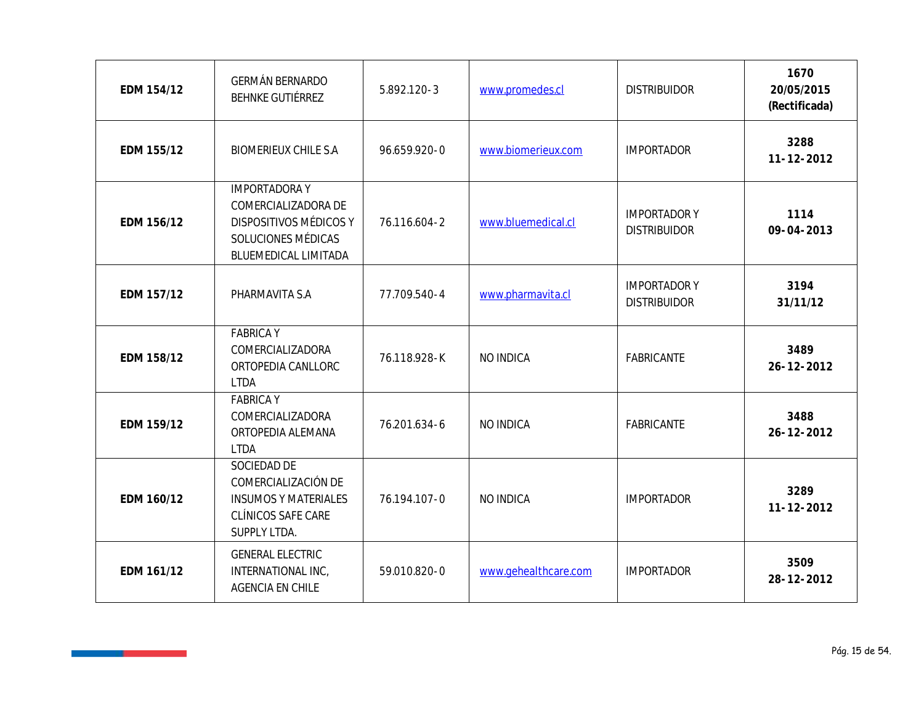| EDM 154/12 | GERMÁN BERNARDO<br>BEHNKE GUTIÉRREZ                                                                                | 5.892.120-3  | www.promedes.cl      | <b>DISTRIBUIDOR</b>                       | 1670<br>20/05/2015<br>(Rectificada) |
|------------|--------------------------------------------------------------------------------------------------------------------|--------------|----------------------|-------------------------------------------|-------------------------------------|
| EDM 155/12 | <b>BIOMERIEUX CHILE S.A</b>                                                                                        | 96.659.920-0 | www.biomerieux.com   | <b>IMPORTADOR</b>                         | 3288<br>$11 - 12 - 2012$            |
| EDM 156/12 | <b>IMPORTADORAY</b><br>COMERCIALIZADORA DE<br>DISPOSITIVOS MÉDICOS Y<br>SOLUCIONES MÉDICAS<br>BLUEMEDICAL LIMITADA | 76.116.604-2 | www.bluemedical.cl   | <b>IMPORTADORY</b><br><b>DISTRIBUIDOR</b> | 1114<br>09-04-2013                  |
| EDM 157/12 | PHARMAVITA S.A                                                                                                     | 77.709.540-4 | www.pharmavita.cl    | <b>IMPORTADORY</b><br><b>DISTRIBUIDOR</b> | 3194<br>31/11/12                    |
| EDM 158/12 | <b>FABRICA Y</b><br>COMERCIALIZADORA<br>ORTOPEDIA CANLLORC<br><b>LTDA</b>                                          | 76.118.928-K | NO INDICA            | FABRICANTE                                | 3489<br>26-12-2012                  |
| EDM 159/12 | <b>FABRICA Y</b><br>COMERCIALIZADORA<br>ORTOPEDIA ALEMANA<br><b>LTDA</b>                                           | 76.201.634-6 | NO INDICA            | FABRICANTE                                | 3488<br>26-12-2012                  |
| EDM 160/12 | SOCIEDAD DE<br>COMERCIALIZACIÓN DE<br><b>INSUMOS Y MATERIALES</b><br>CLÍNICOS SAFE CARE<br>SUPPLY LTDA.            | 76.194.107-0 | NO INDICA            | <b>IMPORTADOR</b>                         | 3289<br>$11 - 12 - 2012$            |
| EDM 161/12 | <b>GENERAL ELECTRIC</b><br>INTERNATIONAL INC.<br>AGENCIA EN CHILE                                                  | 59.010.820-0 | www.gehealthcare.com | <b>IMPORTADOR</b>                         | 3509<br>28-12-2012                  |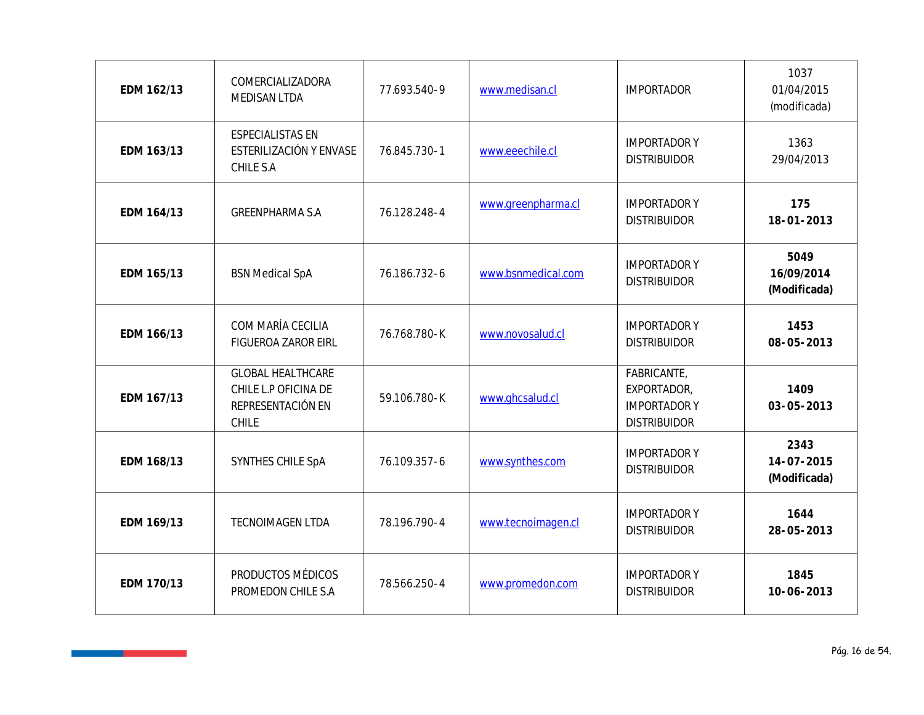| EDM 162/13 | COMERCIALIZADORA<br>MEDISAN LTDA                                               | 77.693.540-9 | www.medisan.cl     | <b>IMPORTADOR</b>                                                       | 1037<br>01/04/2015<br>(modificada) |
|------------|--------------------------------------------------------------------------------|--------------|--------------------|-------------------------------------------------------------------------|------------------------------------|
| EDM 163/13 | <b>ESPECIALISTAS EN</b><br>ESTERILIZACIÓN Y ENVASE<br>CHILE S.A                | 76.845.730-1 | www.eeechile.cl    | <b>IMPORTADORY</b><br><b>DISTRIBUIDOR</b>                               | 1363<br>29/04/2013                 |
| EDM 164/13 | <b>GREENPHARMA S.A</b>                                                         | 76.128.248-4 | www.greenpharma.cl | <b>IMPORTADORY</b><br><b>DISTRIBUIDOR</b>                               | 175<br>18-01-2013                  |
| EDM 165/13 | <b>BSN Medical SpA</b>                                                         | 76.186.732-6 | www.bsnmedical.com | <b>IMPORTADORY</b><br><b>DISTRIBUIDOR</b>                               | 5049<br>16/09/2014<br>(Modificada) |
| EDM 166/13 | COM MARÍA CECILIA<br>FIGUEROA ZAROR EIRL                                       | 76.768.780-K | www.novosalud.cl   | <b>IMPORTADORY</b><br><b>DISTRIBUIDOR</b>                               | 1453<br>08-05-2013                 |
| EDM 167/13 | <b>GLOBAL HEALTHCARE</b><br>CHILE L.P OFICINA DE<br>REPRESENTACIÓN EN<br>CHILE | 59.106.780-K | www.ghcsalud.cl    | FABRICANTE,<br>EXPORTADOR,<br><b>IMPORTADORY</b><br><b>DISTRIBUIDOR</b> | 1409<br>$03 - 05 - 2013$           |
| EDM 168/13 | SYNTHES CHILE SpA                                                              | 76.109.357-6 | www.synthes.com    | <b>IMPORTADORY</b><br><b>DISTRIBUIDOR</b>                               | 2343<br>14-07-2015<br>(Modificada) |
| EDM 169/13 | TECNOIMAGEN LTDA                                                               | 78.196.790-4 | www.tecnoimagen.cl | <b>IMPORTADORY</b><br><b>DISTRIBUIDOR</b>                               | 1644<br>28-05-2013                 |
| EDM 170/13 | PRODUCTOS MÉDICOS<br>PROMEDON CHILE S.A                                        | 78.566.250-4 | www.promedon.com   | <b>IMPORTADORY</b><br><b>DISTRIBUIDOR</b>                               | 1845<br>10-06-2013                 |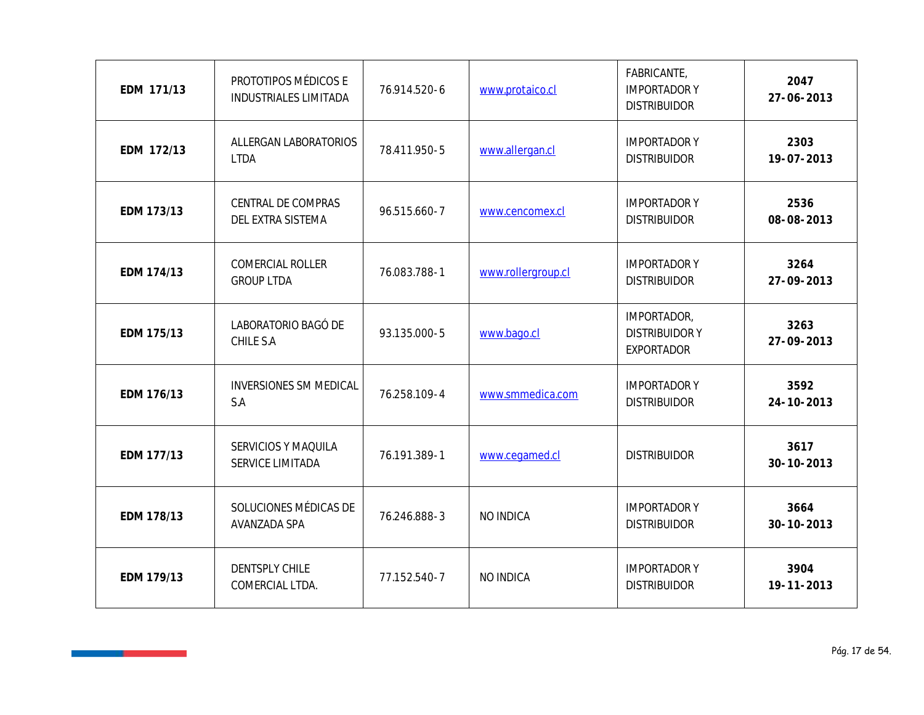| EDM 171/13 | PROTOTIPOS MÉDICOS E<br>INDUSTRIALES LIMITADA | 76.914.520-6 | www.protaico.cl    | FABRICANTE,<br><b>IMPORTADORY</b><br><b>DISTRIBUIDOR</b> | 2047<br>27-06-2013       |
|------------|-----------------------------------------------|--------------|--------------------|----------------------------------------------------------|--------------------------|
| EDM 172/13 | ALLERGAN LABORATORIOS<br><b>LTDA</b>          | 78.411.950-5 | www.allergan.cl    | <b>IMPORTADOR Y</b><br><b>DISTRIBUIDOR</b>               | 2303<br>19-07-2013       |
| EDM 173/13 | CENTRAL DE COMPRAS<br>DEL EXTRA SISTEMA       | 96.515.660-7 | www.cencomex.cl    | <b>IMPORTADORY</b><br><b>DISTRIBUIDOR</b>                | 2536<br>08-08-2013       |
| EDM 174/13 | COMERCIAL ROLLER<br><b>GROUP LTDA</b>         | 76.083.788-1 | www.rollergroup.cl | <b>IMPORTADORY</b><br><b>DISTRIBUIDOR</b>                | 3264<br>27-09-2013       |
| EDM 175/13 | LABORATORIO BAGÓ DE<br>CHILE S.A              | 93.135.000-5 | www.bago.cl        | IMPORTADOR,<br><b>DISTRIBUIDORY</b><br><b>EXPORTADOR</b> | 3263<br>27-09-2013       |
| EDM 176/13 | <b>INVERSIONES SM MEDICAL</b><br>S.A          | 76.258.109-4 | www.smmedica.com   | <b>IMPORTADORY</b><br><b>DISTRIBUIDOR</b>                | 3592<br>$24 - 10 - 2013$ |
| EDM 177/13 | SERVICIOS Y MAQUILA<br>SERVICE LIMITADA       | 76.191.389-1 | www.cegamed.cl     | <b>DISTRIBUIDOR</b>                                      | 3617<br>$30 - 10 - 2013$ |
| EDM 178/13 | SOLUCIONES MÉDICAS DE<br>AVANZADA SPA         | 76.246.888-3 | NO INDICA          | <b>IMPORTADORY</b><br><b>DISTRIBUIDOR</b>                | 3664<br>$30 - 10 - 2013$ |
| EDM 179/13 | <b>DENTSPLY CHILE</b><br>COMERCIAL LTDA.      | 77.152.540-7 | NO INDICA          | <b>IMPORTADORY</b><br><b>DISTRIBUIDOR</b>                | 3904<br>19-11-2013       |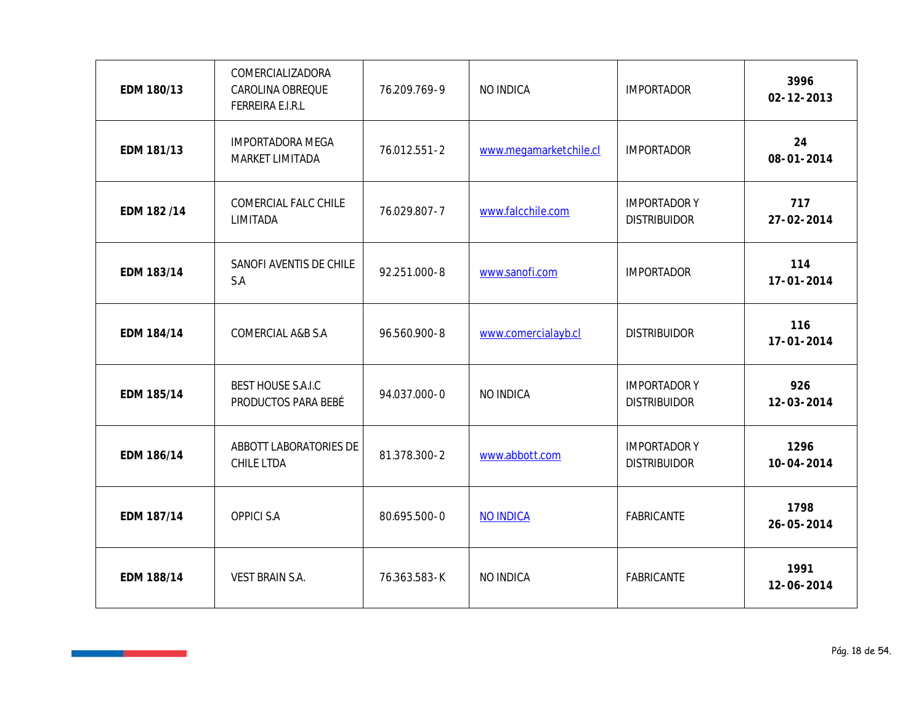| EDM 180/13 | COMERCIALIZADORA<br>CAROLINA OBREQUE<br>FERREIRA E.I.R.L | 76.209.769-9 | NO INDICA              | <b>IMPORTADOR</b>                          | 3996<br>$02 - 12 - 2013$ |
|------------|----------------------------------------------------------|--------------|------------------------|--------------------------------------------|--------------------------|
| EDM 181/13 | <b>IMPORTADORA MEGA</b><br>MARKET LIMITADA               | 76.012.551-2 | www.megamarketchile.cl | <b>IMPORTADOR</b>                          | 24<br>08-01-2014         |
| EDM 182/14 | COMERCIAL FALC CHILE<br>LIMITADA                         | 76.029.807-7 | www.falcchile.com      | <b>IMPORTADOR Y</b><br><b>DISTRIBUIDOR</b> | 717<br>27-02-2014        |
| EDM 183/14 | SANOFI AVENTIS DE CHILE<br>S.A                           | 92.251.000-8 | www.sanofi.com         | <b>IMPORTADOR</b>                          | 114<br>17-01-2014        |
| EDM 184/14 | COMERCIAL A&B S.A                                        | 96.560.900-8 | www.comercialayb.cl    | <b>DISTRIBUIDOR</b>                        | 116<br>$17 - 01 - 2014$  |
| EDM 185/14 | <b>BEST HOUSE S.A.I.C</b><br>PRODUCTOS PARA BEBÉ         | 94.037.000-0 | NO INDICA              | <b>IMPORTADORY</b><br><b>DISTRIBUIDOR</b>  | 926<br>12-03-2014        |
| EDM 186/14 | ABBOTT LABORATORIES DE<br>CHILE LTDA                     | 81.378.300-2 | www.abbott.com         | <b>IMPORTADOR Y</b><br><b>DISTRIBUIDOR</b> | 1296<br>$10 - 04 - 2014$ |
| EDM 187/14 | <b>OPPICI S.A</b>                                        | 80.695.500-0 | <b>NO INDICA</b>       | FABRICANTE                                 | 1798<br>$26 - 05 - 2014$ |
| EDM 188/14 | VEST BRAIN S.A.                                          | 76.363.583-K | NO INDICA              | FABRICANTE                                 | 1991<br>12-06-2014       |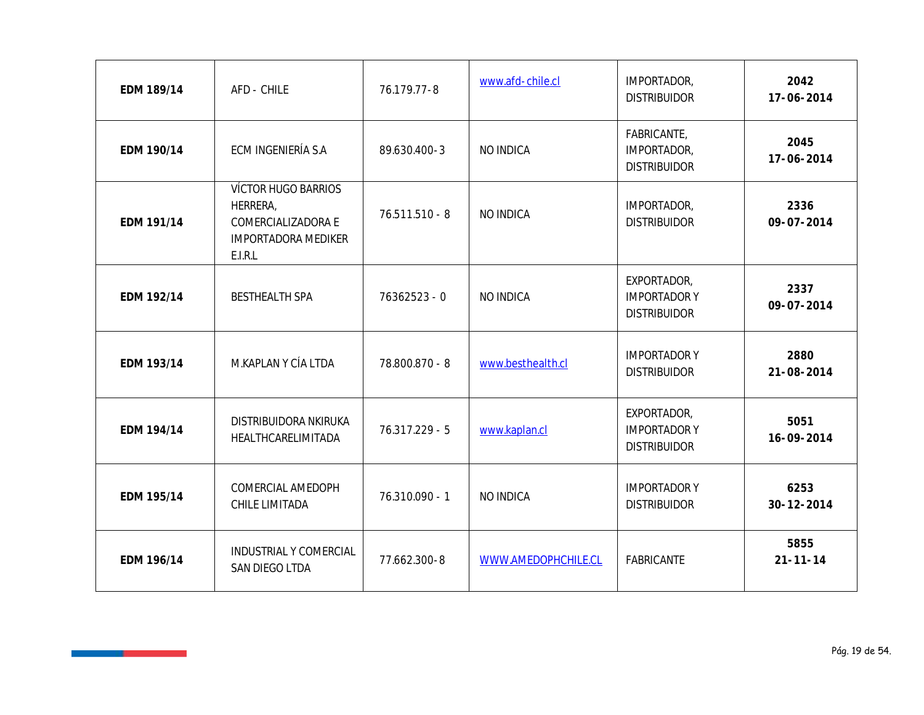| EDM 189/14 | AFD - CHILE                                                                             | 76.179.77-8      | www.afd-chile.cl    | IMPORTADOR,<br><b>DISTRIBUIDOR</b>                        | 2042<br>17-06-2014       |
|------------|-----------------------------------------------------------------------------------------|------------------|---------------------|-----------------------------------------------------------|--------------------------|
| EDM 190/14 | ECM INGENIERÍA S.A                                                                      | 89.630.400-3     | NO INDICA           | FABRICANTE,<br>IMPORTADOR,<br><b>DISTRIBUIDOR</b>         | 2045<br>17-06-2014       |
| EDM 191/14 | VÍCTOR HUGO BARRIOS<br>HERRERA,<br>COMERCIALIZADORA E<br>IMPORTADORA MEDIKER<br>E.I.R.L | $76.511.510 - 8$ | NO INDICA           | IMPORTADOR,<br><b>DISTRIBUIDOR</b>                        | 2336<br>09-07-2014       |
| EDM 192/14 | <b>BESTHEALTH SPA</b>                                                                   | 76362523 - 0     | NO INDICA           | EXPORTADOR,<br><b>IMPORTADORY</b><br><b>DISTRIBUIDOR</b>  | 2337<br>09-07-2014       |
| EDM 193/14 | M.KAPLAN Y CÍA LTDA                                                                     | 78.800.870 - 8   | www.besthealth.cl   | <b>IMPORTADORY</b><br><b>DISTRIBUIDOR</b>                 | 2880<br>21-08-2014       |
| EDM 194/14 | DISTRIBUIDORA NKIRUKA<br>HEALTHCARELIMITADA                                             | 76.317.229 - 5   | www.kaplan.cl       | EXPORTADOR,<br><b>IMPORTADOR Y</b><br><b>DISTRIBUIDOR</b> | 5051<br>16-09-2014       |
| EDM 195/14 | COMERCIAL AMEDOPH<br>CHILE LIMITADA                                                     | 76.310.090 - 1   | NO INDICA           | <b>IMPORTADORY</b><br><b>DISTRIBUIDOR</b>                 | 6253<br>$30 - 12 - 2014$ |
| EDM 196/14 | INDUSTRIAL Y COMERCIAL<br>SAN DIEGO LTDA                                                | 77.662.300-8     | WWW.AMEDOPHCHILE.CL | FABRICANTE                                                | 5855<br>$21 - 11 - 14$   |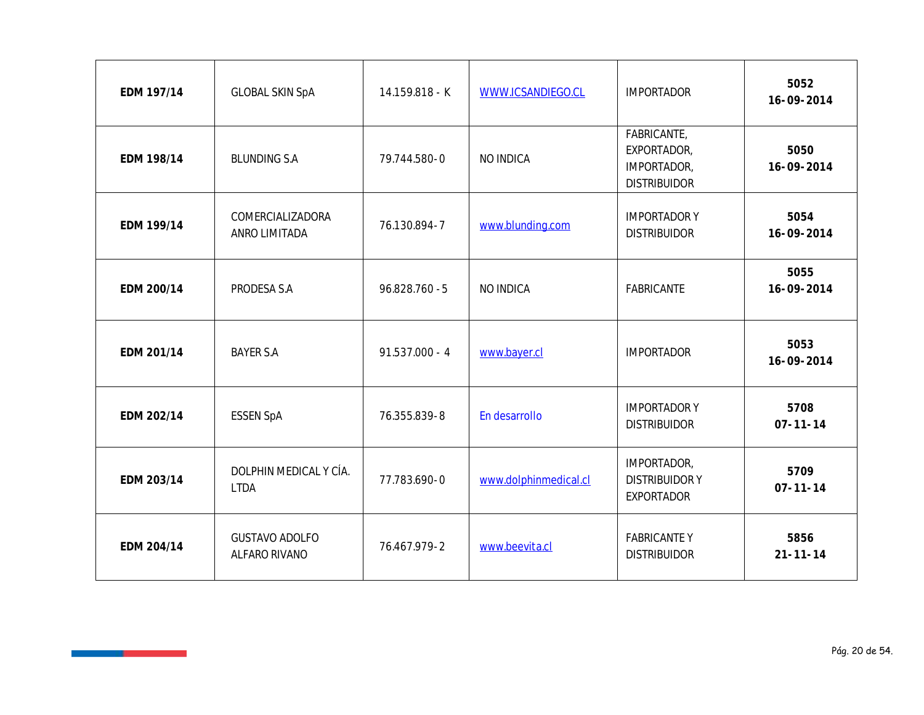| EDM 197/14 | <b>GLOBAL SKIN SpA</b>                 | 14.159.818 - K   | WWW.ICSANDIEGO.CL     | <b>IMPORTADOR</b>                                                | 5052<br>16-09-2014     |
|------------|----------------------------------------|------------------|-----------------------|------------------------------------------------------------------|------------------------|
| EDM 198/14 | <b>BLUNDING S.A</b>                    | 79.744.580-0     | NO INDICA             | FABRICANTE,<br>EXPORTADOR,<br>IMPORTADOR,<br><b>DISTRIBUIDOR</b> | 5050<br>16-09-2014     |
| EDM 199/14 | COMERCIALIZADORA<br>ANRO LIMITADA      | 76.130.894-7     | www.blunding.com      | <b>IMPORTADOR Y</b><br><b>DISTRIBUIDOR</b>                       | 5054<br>16-09-2014     |
| EDM 200/14 | PRODESA S.A                            | 96.828.760 - 5   | NO INDICA             | FABRICANTE                                                       | 5055<br>16-09-2014     |
| EDM 201/14 | <b>BAYER S.A</b>                       | $91.537.000 - 4$ | www.bayer.cl          | <b>IMPORTADOR</b>                                                | 5053<br>16-09-2014     |
| EDM 202/14 | <b>ESSEN SpA</b>                       | 76.355.839-8     | En desarrollo         | <b>IMPORTADORY</b><br><b>DISTRIBUIDOR</b>                        | 5708<br>$07 - 11 - 14$ |
| EDM 203/14 | DOLPHIN MEDICAL Y CÍA.<br><b>LTDA</b>  | 77.783.690-0     | www.dolphinmedical.cl | IMPORTADOR,<br><b>DISTRIBUIDORY</b><br><b>EXPORTADOR</b>         | 5709<br>$07 - 11 - 14$ |
| EDM 204/14 | <b>GUSTAVO ADOLFO</b><br>ALFARO RIVANO | 76.467.979-2     | www.beevita.cl        | <b>FABRICANTEY</b><br><b>DISTRIBUIDOR</b>                        | 5856<br>$21 - 11 - 14$ |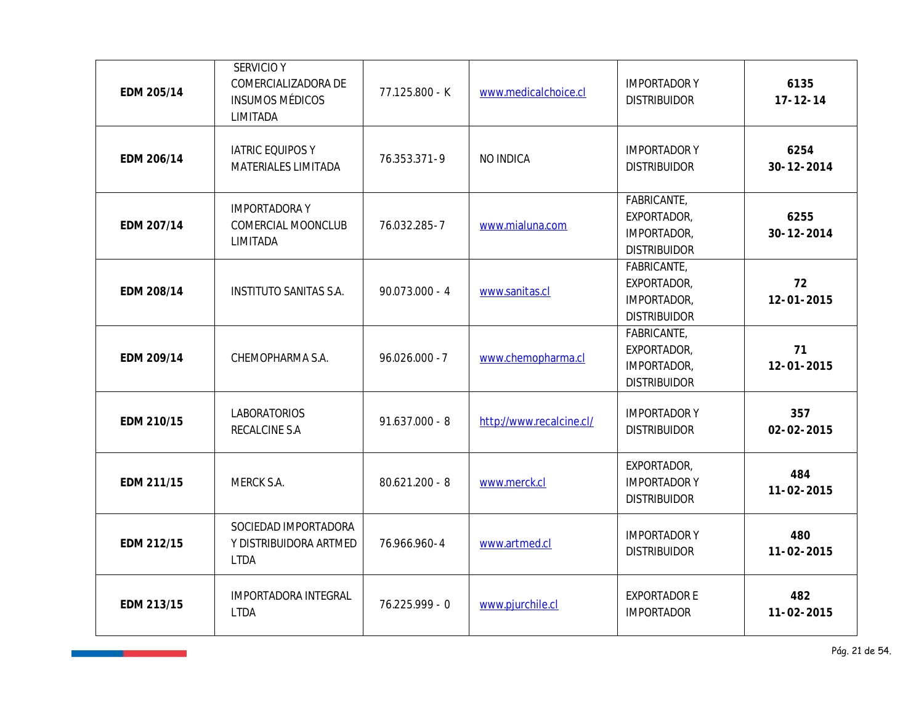| EDM 205/14 | <b>SERVICIO Y</b><br>COMERCIALIZADORA DE<br><b>INSUMOS MÉDICOS</b><br>LIMITADA | 77.125.800 - K   | www.medicalchoice.cl     | <b>IMPORTADORY</b><br><b>DISTRIBUIDOR</b>                        | 6135<br>$17 - 12 - 14$   |
|------------|--------------------------------------------------------------------------------|------------------|--------------------------|------------------------------------------------------------------|--------------------------|
| EDM 206/14 | IATRIC EQUIPOS Y<br>MATERIALES LIMITADA                                        | 76.353.371-9     | NO INDICA                | <b>IMPORTADORY</b><br><b>DISTRIBUIDOR</b>                        | 6254<br>$30 - 12 - 2014$ |
| EDM 207/14 | <b>IMPORTADORAY</b><br>COMERCIAL MOONCLUB<br>LIMITADA                          | 76.032.285-7     | www.mialuna.com          | FABRICANTE,<br>EXPORTADOR,<br>IMPORTADOR,<br><b>DISTRIBUIDOR</b> | 6255<br>$30 - 12 - 2014$ |
| EDM 208/14 | INSTITUTO SANITAS S.A.                                                         | $90.073.000 - 4$ | www.sanitas.cl           | FABRICANTE,<br>EXPORTADOR,<br>IMPORTADOR,<br><b>DISTRIBUIDOR</b> | 72<br>$12 - 01 - 2015$   |
| EDM 209/14 | CHEMOPHARMA S.A.                                                               | $96.026.000 - 7$ | www.chemopharma.cl       | FABRICANTE,<br>EXPORTADOR,<br>IMPORTADOR,<br><b>DISTRIBUIDOR</b> | 71<br>12-01-2015         |
| EDM 210/15 | <b>LABORATORIOS</b><br>RECALCINE S.A                                           | $91.637.000 - 8$ | http://www.recalcine.cl/ | <b>IMPORTADORY</b><br><b>DISTRIBUIDOR</b>                        | 357<br>$02 - 02 - 2015$  |
| EDM 211/15 | MERCK S.A.                                                                     | $80.621.200 - 8$ | www.merck.cl             | EXPORTADOR,<br><b>IMPORTADORY</b><br><b>DISTRIBUIDOR</b>         | 484<br>$11 - 02 - 2015$  |
| EDM 212/15 | SOCIEDAD IMPORTADORA<br>Y DISTRIBUIDORA ARTMED<br><b>LTDA</b>                  | 76.966.960-4     | www.artmed.cl            | <b>IMPORTADORY</b><br><b>DISTRIBUIDOR</b>                        | 480<br>11-02-2015        |
| EDM 213/15 | IMPORTADORA INTEGRAL<br><b>LTDA</b>                                            | 76.225.999 - 0   | www.pjurchile.cl         | <b>EXPORTADOR E</b><br><b>IMPORTADOR</b>                         | 482<br>11-02-2015        |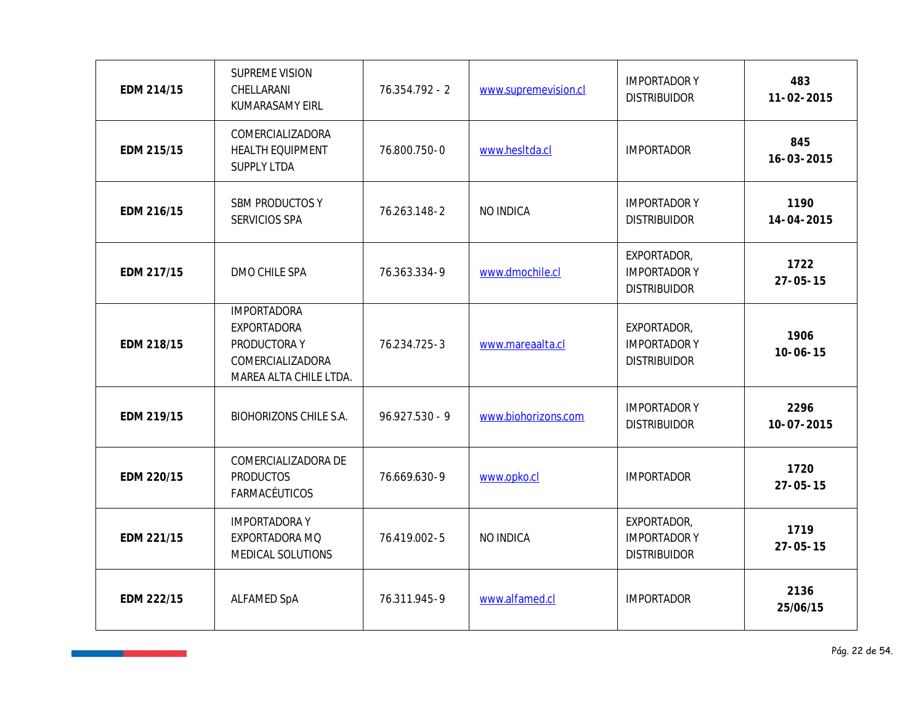| EDM 214/15 | SUPREME VISION<br>CHELLARANI<br>KUMARASAMY EIRL                                                 | 76.354.792 - 2   | www.supremevision.cl | <b>IMPORTADORY</b><br><b>DISTRIBUIDOR</b>                 | 483<br>$11 - 02 - 2015$  |
|------------|-------------------------------------------------------------------------------------------------|------------------|----------------------|-----------------------------------------------------------|--------------------------|
| EDM 215/15 | COMERCIALIZADORA<br>HEALTH EQUIPMENT<br>SUPPLY LTDA                                             | 76.800.750-0     | www.hesitda.cl       | <b>IMPORTADOR</b>                                         | 845<br>16-03-2015        |
| EDM 216/15 | SBM PRODUCTOS Y<br>SERVICIOS SPA                                                                | 76.263.148-2     | NO INDICA            | <b>IMPORTADORY</b><br><b>DISTRIBUIDOR</b>                 | 1190<br>14-04-2015       |
| EDM 217/15 | DMO CHILE SPA                                                                                   | 76.363.334-9     | www.dmochile.cl      | EXPORTADOR,<br><b>IMPORTADOR Y</b><br><b>DISTRIBUIDOR</b> | 1722<br>$27 - 05 - 15$   |
| EDM 218/15 | <b>IMPORTADORA</b><br>EXPORTADORA<br>PRODUCTORA Y<br>COMERCIALIZADORA<br>MAREA ALTA CHILE LTDA. | 76.234.725-3     | www.mareaalta.cl     | EXPORTADOR,<br><b>IMPORTADORY</b><br><b>DISTRIBUIDOR</b>  | 1906<br>$10 - 06 - 15$   |
| EDM 219/15 | <b>BIOHORIZONS CHILE S.A.</b>                                                                   | $96.927.530 - 9$ | www.biohorizons.com  | <b>IMPORTADORY</b><br><b>DISTRIBUIDOR</b>                 | 2296<br>$10 - 07 - 2015$ |
| EDM 220/15 | COMERCIALIZADORA DE<br><b>PRODUCTOS</b><br>FARMACÉUTICOS                                        | 76.669.630-9     | www.opko.cl          | <b>IMPORTADOR</b>                                         | 1720<br>$27 - 05 - 15$   |
| EDM 221/15 | <b>IMPORTADORAY</b><br>EXPORTADORA MQ<br>MEDICAL SOLUTIONS                                      | 76.419.002-5     | NO INDICA            | EXPORTADOR,<br><b>IMPORTADORY</b><br><b>DISTRIBUIDOR</b>  | 1719<br>$27 - 05 - 15$   |
| EDM 222/15 | ALFAMED SpA                                                                                     | 76.311.945-9     | www.alfamed.cl       | <b>IMPORTADOR</b>                                         | 2136<br>25/06/15         |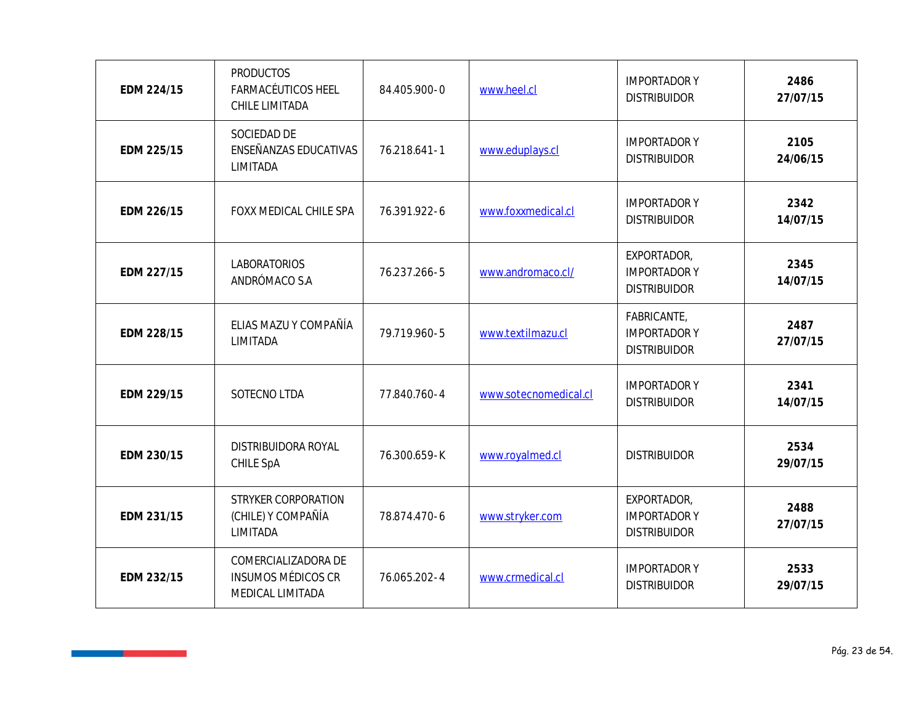| EDM 224/15 | <b>PRODUCTOS</b><br><b>FARMACÉUTICOS HEEL</b><br>CHILE LIMITADA      | 84.405.900-0 | www.heel.cl           | <b>IMPORTADORY</b><br><b>DISTRIBUIDOR</b>                | 2486<br>27/07/15 |
|------------|----------------------------------------------------------------------|--------------|-----------------------|----------------------------------------------------------|------------------|
| EDM 225/15 | SOCIEDAD DE<br>ENSEÑANZAS EDUCATIVAS<br>LIMITADA                     | 76.218.641-1 | www.eduplays.cl       | <b>IMPORTADORY</b><br><b>DISTRIBUIDOR</b>                | 2105<br>24/06/15 |
| EDM 226/15 | FOXX MEDICAL CHILE SPA                                               | 76.391.922-6 | www.foxxmedical.cl    | <b>IMPORTADORY</b><br><b>DISTRIBUIDOR</b>                | 2342<br>14/07/15 |
| EDM 227/15 | LABORATORIOS<br>ANDRÓMACO S.A                                        | 76.237.266-5 | www.andromaco.cl/     | EXPORTADOR,<br><b>IMPORTADORY</b><br><b>DISTRIBUIDOR</b> | 2345<br>14/07/15 |
| EDM 228/15 | ELIAS MAZU Y COMPAÑÍA<br>LIMITADA                                    | 79.719.960-5 | www.textilmazu.cl     | FABRICANTE,<br><b>IMPORTADORY</b><br><b>DISTRIBUIDOR</b> | 2487<br>27/07/15 |
| EDM 229/15 | SOTECNO LTDA                                                         | 77.840.760-4 | www.sotecnomedical.cl | <b>IMPORTADORY</b><br><b>DISTRIBUIDOR</b>                | 2341<br>14/07/15 |
| EDM 230/15 | DISTRIBUIDORA ROYAL<br>CHILE SpA                                     | 76.300.659-K | www.royalmed.cl       | <b>DISTRIBUIDOR</b>                                      | 2534<br>29/07/15 |
| EDM 231/15 | STRYKER CORPORATION<br>(CHILE) Y COMPAÑÍA<br>LIMITADA                | 78.874.470-6 | www.stryker.com       | EXPORTADOR,<br><b>IMPORTADORY</b><br><b>DISTRIBUIDOR</b> | 2488<br>27/07/15 |
| EDM 232/15 | COMERCIALIZADORA DE<br><b>INSUMOS MÉDICOS CR</b><br>MEDICAL LIMITADA | 76.065.202-4 | www.crmedical.cl      | <b>IMPORTADORY</b><br><b>DISTRIBUIDOR</b>                | 2533<br>29/07/15 |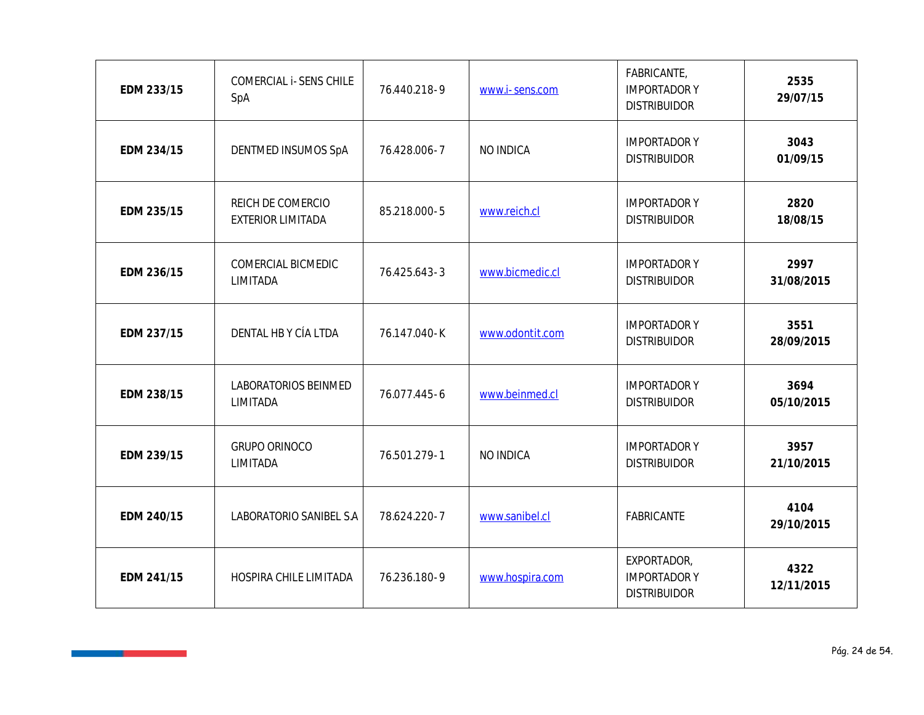| EDM 233/15 | COMERCIAL i-SENS CHILE<br>SpA          | 76.440.218-9 | www.i-sens.com  | FABRICANTE,<br><b>IMPORTADORY</b><br><b>DISTRIBUIDOR</b> | 2535<br>29/07/15   |
|------------|----------------------------------------|--------------|-----------------|----------------------------------------------------------|--------------------|
| EDM 234/15 | DENTMED INSUMOS SpA                    | 76.428.006-7 | NO INDICA       | <b>IMPORTADORY</b><br><b>DISTRIBUIDOR</b>                | 3043<br>01/09/15   |
| EDM 235/15 | REICH DE COMERCIO<br>EXTERIOR LIMITADA | 85.218.000-5 | www.reich.cl    | <b>IMPORTADORY</b><br><b>DISTRIBUIDOR</b>                | 2820<br>18/08/15   |
| EDM 236/15 | COMERCIAL BICMEDIC<br>LIMITADA         | 76.425.643-3 | www.bicmedic.cl | <b>IMPORTADORY</b><br><b>DISTRIBUIDOR</b>                | 2997<br>31/08/2015 |
| EDM 237/15 | DENTAL HB Y CÍA LTDA                   | 76.147.040-K | www.odontit.com | <b>IMPORTADORY</b><br><b>DISTRIBUIDOR</b>                | 3551<br>28/09/2015 |
| EDM 238/15 | LABORATORIOS BEINMED<br>LIMITADA       | 76.077.445-6 | www.beinmed.cl  | <b>IMPORTADORY</b><br><b>DISTRIBUIDOR</b>                | 3694<br>05/10/2015 |
| EDM 239/15 | <b>GRUPO ORINOCO</b><br>LIMITADA       | 76.501.279-1 | NO INDICA       | <b>IMPORTADORY</b><br><b>DISTRIBUIDOR</b>                | 3957<br>21/10/2015 |
| EDM 240/15 | LABORATORIO SANIBEL S.A                | 78.624.220-7 | www.sanibel.cl  | FABRICANTE                                               | 4104<br>29/10/2015 |
| EDM 241/15 | HOSPIRA CHILE LIMITADA                 | 76.236.180-9 | www.hospira.com | EXPORTADOR,<br><b>IMPORTADORY</b><br><b>DISTRIBUIDOR</b> | 4322<br>12/11/2015 |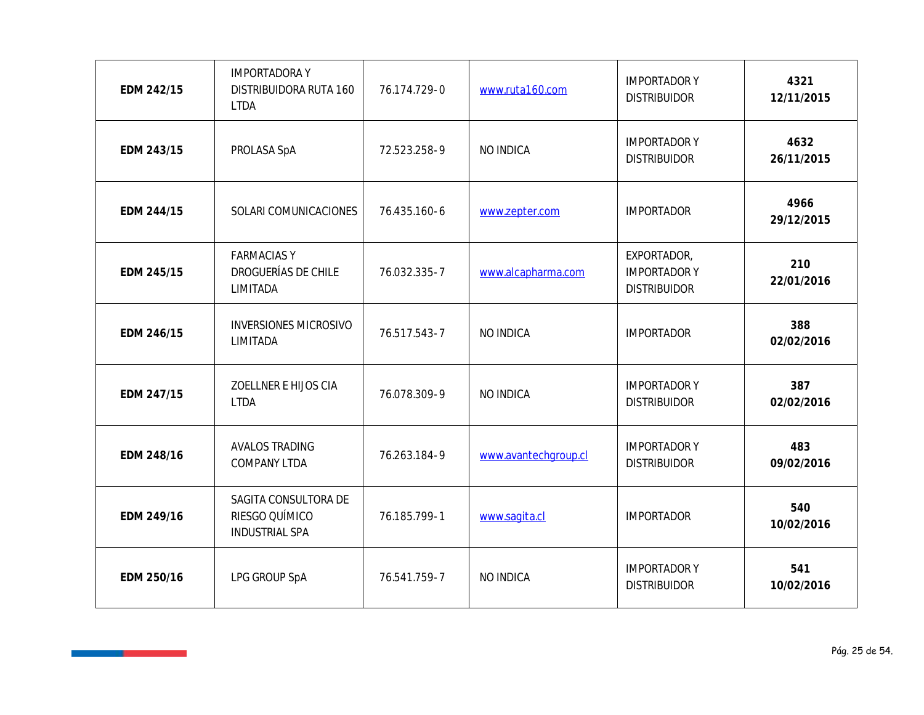| EDM 242/15 | <b>IMPORTADORAY</b><br>DISTRIBUIDORA RUTA 160<br><b>LTDA</b>    | 76.174.729-0 | www.ruta160.com      | <b>IMPORTADORY</b><br><b>DISTRIBUIDOR</b>                | 4321<br>12/11/2015 |
|------------|-----------------------------------------------------------------|--------------|----------------------|----------------------------------------------------------|--------------------|
| EDM 243/15 | PROLASA SpA                                                     | 72.523.258-9 | NO INDICA            | <b>IMPORTADORY</b><br><b>DISTRIBUIDOR</b>                | 4632<br>26/11/2015 |
| EDM 244/15 | SOLARI COMUNICACIONES                                           | 76.435.160-6 | www.zepter.com       | <b>IMPORTADOR</b>                                        | 4966<br>29/12/2015 |
| EDM 245/15 | <b>FARMACIASY</b><br>DROGUERÍAS DE CHILE<br>LIMITADA            | 76.032.335-7 | www.alcapharma.com   | EXPORTADOR,<br><b>IMPORTADORY</b><br><b>DISTRIBUIDOR</b> | 210<br>22/01/2016  |
| EDM 246/15 | <b>INVERSIONES MICROSIVO</b><br>LIMITADA                        | 76.517.543-7 | NO INDICA            | <b>IMPORTADOR</b>                                        | 388<br>02/02/2016  |
| EDM 247/15 | ZOELLNER E HIJOS CIA<br><b>LTDA</b>                             | 76.078.309-9 | NO INDICA            | <b>IMPORTADORY</b><br><b>DISTRIBUIDOR</b>                | 387<br>02/02/2016  |
| EDM 248/16 | <b>AVALOS TRADING</b><br>COMPANY LTDA                           | 76.263.184-9 | www.avantechgroup.cl | <b>IMPORTADORY</b><br><b>DISTRIBUIDOR</b>                | 483<br>09/02/2016  |
| EDM 249/16 | SAGITA CONSULTORA DE<br>RIESGO QUÍMICO<br><b>INDUSTRIAL SPA</b> | 76.185.799-1 | www.sagita.cl        | <b>IMPORTADOR</b>                                        | 540<br>10/02/2016  |
| EDM 250/16 | LPG GROUP SpA                                                   | 76.541.759-7 | NO INDICA            | <b>IMPORTADORY</b><br><b>DISTRIBUIDOR</b>                | 541<br>10/02/2016  |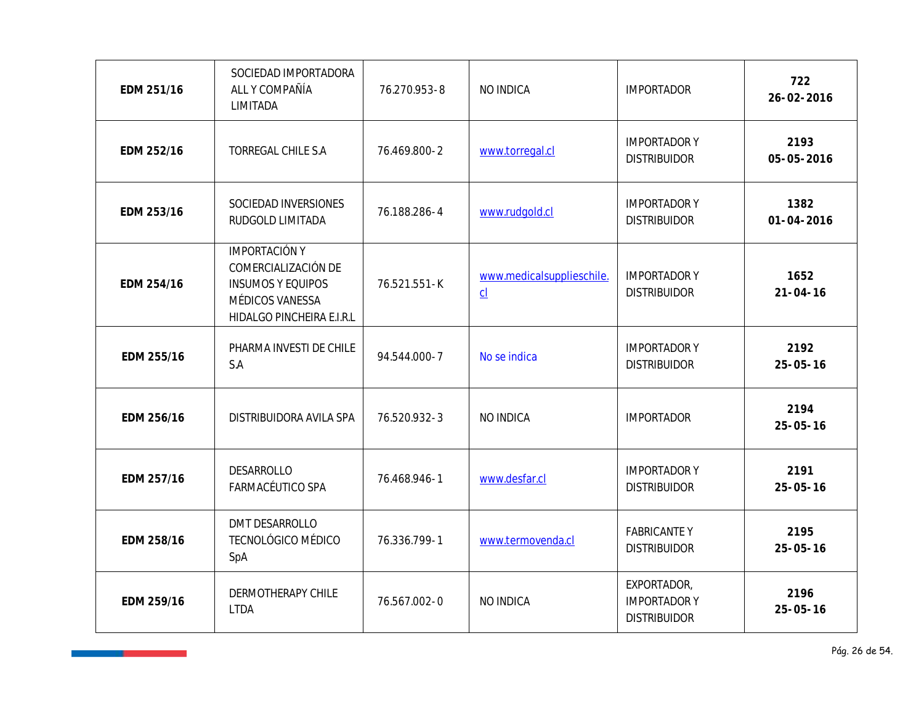| EDM 251/16 | SOCIEDAD IMPORTADORA<br>ALL Y COMPAÑÍA<br>LIMITADA                                                                      | 76.270.953-8 | NO INDICA                       | <b>IMPORTADOR</b>                                         | 722<br>26-02-2016        |
|------------|-------------------------------------------------------------------------------------------------------------------------|--------------|---------------------------------|-----------------------------------------------------------|--------------------------|
| EDM 252/16 | TORREGAL CHILE S.A                                                                                                      | 76.469.800-2 | www.torregal.cl                 | <b>IMPORTADOR Y</b><br><b>DISTRIBUIDOR</b>                | 2193<br>05-05-2016       |
| EDM 253/16 | SOCIEDAD INVERSIONES<br>RUDGOLD LIMITADA                                                                                | 76.188.286-4 | www.rudgold.cl                  | <b>IMPORTADOR Y</b><br><b>DISTRIBUIDOR</b>                | 1382<br>$01 - 04 - 2016$ |
| EDM 254/16 | <b>IMPORTACIÓN Y</b><br>COMERCIALIZACIÓN DE<br><b>INSUMOS Y EQUIPOS</b><br>MÉDICOS VANESSA<br>HIDALGO PINCHEIRA E.I.R.L | 76.521.551-K | www.medicalsupplieschile.<br>CL | <b>IMPORTADORY</b><br><b>DISTRIBUIDOR</b>                 | 1652<br>$21 - 04 - 16$   |
| EDM 255/16 | PHARMA INVESTI DE CHILE<br>S.A                                                                                          | 94.544.000-7 | No se indica                    | <b>IMPORTADORY</b><br><b>DISTRIBUIDOR</b>                 | 2192<br>$25 - 05 - 16$   |
| EDM 256/16 | DISTRIBUIDORA AVILA SPA                                                                                                 | 76.520.932-3 | NO INDICA                       | <b>IMPORTADOR</b>                                         | 2194<br>$25 - 05 - 16$   |
| EDM 257/16 | DESARROLLO<br>FARMACÉUTICO SPA                                                                                          | 76.468.946-1 | www.desfar.cl                   | <b>IMPORTADOR Y</b><br><b>DISTRIBUIDOR</b>                | 2191<br>$25 - 05 - 16$   |
| EDM 258/16 | DMT DESARROLLO<br>TECNOLÓGICO MÉDICO<br>SpA                                                                             | 76.336.799-1 | www.termovenda.cl               | <b>FABRICANTEY</b><br><b>DISTRIBUIDOR</b>                 | 2195<br>$25 - 05 - 16$   |
| EDM 259/16 | <b>DERMOTHERAPY CHILE</b><br><b>LTDA</b>                                                                                | 76.567.002-0 | NO INDICA                       | EXPORTADOR,<br><b>IMPORTADOR Y</b><br><b>DISTRIBUIDOR</b> | 2196<br>$25 - 05 - 16$   |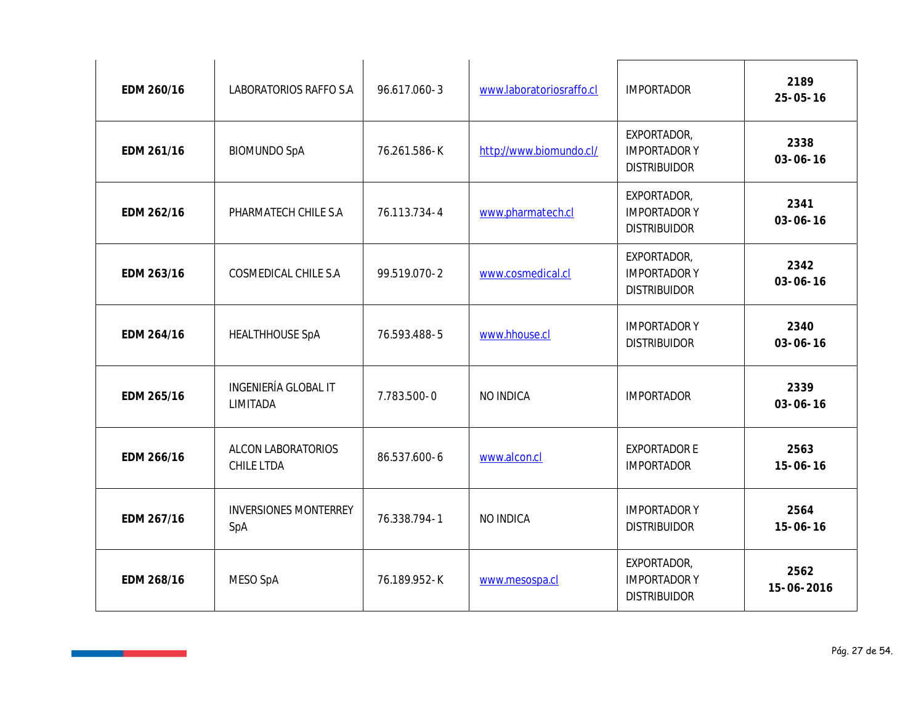| EDM 260/16 | LABORATORIOS RAFFO S.A              | 96.617.060-3 | www.laboratoriosraffo.cl | <b>IMPORTADOR</b>                                         | 2189<br>$25 - 05 - 16$ |
|------------|-------------------------------------|--------------|--------------------------|-----------------------------------------------------------|------------------------|
| EDM 261/16 | <b>BIOMUNDO SpA</b>                 | 76.261.586-K | http://www.biomundo.cl/  | EXPORTADOR,<br><b>IMPORTADORY</b><br><b>DISTRIBUIDOR</b>  | 2338<br>$03 - 06 - 16$ |
| EDM 262/16 | PHARMATECH CHILE S.A                | 76.113.734-4 | www.pharmatech.cl        | EXPORTADOR,<br><b>IMPORTADORY</b><br><b>DISTRIBUIDOR</b>  | 2341<br>$03 - 06 - 16$ |
| EDM 263/16 | COSMEDICAL CHILE S.A                | 99.519.070-2 | www.cosmedical.cl        | EXPORTADOR,<br><b>IMPORTADOR Y</b><br><b>DISTRIBUIDOR</b> | 2342<br>$03 - 06 - 16$ |
| EDM 264/16 | <b>HEALTHHOUSE SpA</b>              | 76.593.488-5 | www.hhouse.cl            | <b>IMPORTADORY</b><br><b>DISTRIBUIDOR</b>                 | 2340<br>$03 - 06 - 16$ |
| EDM 265/16 | INGENIERÍA GLOBAL IT<br>LIMITADA    | 7.783.500-0  | NO INDICA                | <b>IMPORTADOR</b>                                         | 2339<br>$03 - 06 - 16$ |
| EDM 266/16 | ALCON LABORATORIOS<br>CHILE LTDA    | 86.537.600-6 | www.alcon.cl             | <b>EXPORTADOR E</b><br><b>IMPORTADOR</b>                  | 2563<br>$15 - 06 - 16$ |
| EDM 267/16 | <b>INVERSIONES MONTERREY</b><br>SpA | 76.338.794-1 | NO INDICA                | <b>IMPORTADORY</b><br><b>DISTRIBUIDOR</b>                 | 2564<br>$15 - 06 - 16$ |
| EDM 268/16 | MESO SpA                            | 76.189.952-K | www.mesospa.cl           | EXPORTADOR,<br><b>IMPORTADORY</b><br><b>DISTRIBUIDOR</b>  | 2562<br>15-06-2016     |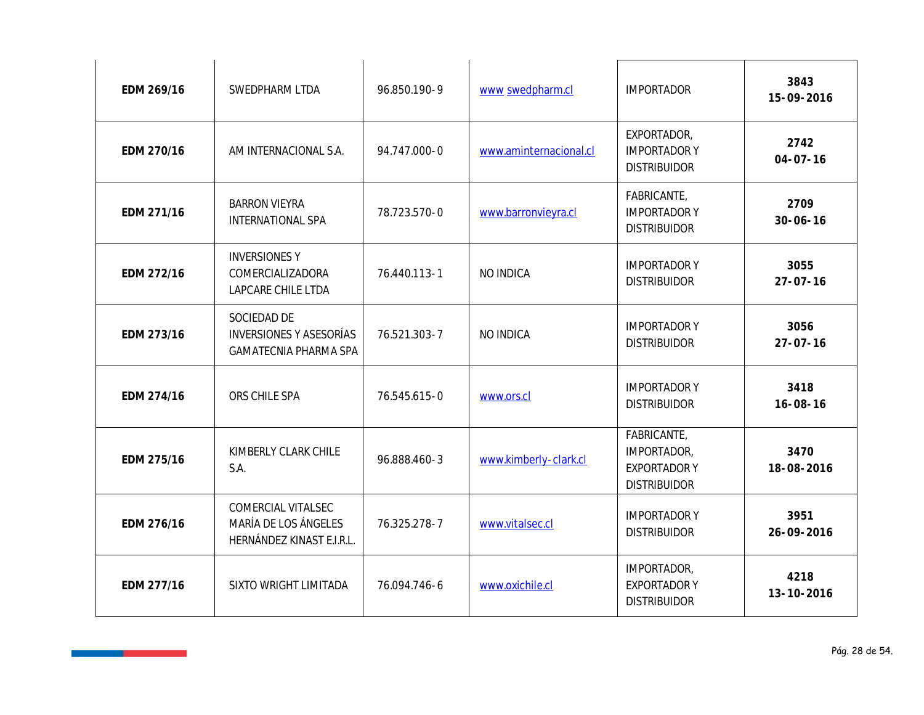| EDM 269/16 | SWEDPHARM LTDA                                                          | 96.850.190-9 | www swedpharm.cl       | <b>IMPORTADOR</b>                                                        | 3843<br>15-09-2016     |
|------------|-------------------------------------------------------------------------|--------------|------------------------|--------------------------------------------------------------------------|------------------------|
| EDM 270/16 | AM INTERNACIONAL S.A.                                                   | 94.747.000-0 | www.aminternacional.cl | EXPORTADOR,<br><b>IMPORTADORY</b><br><b>DISTRIBUIDOR</b>                 | 2742<br>$04 - 07 - 16$ |
| EDM 271/16 | <b>BARRON VIEYRA</b><br>INTERNATIONAL SPA                               | 78.723.570-0 | www.barronvieyra.cl    | FABRICANTE,<br><b>IMPORTADORY</b><br><b>DISTRIBUIDOR</b>                 | 2709<br>$30 - 06 - 16$ |
| EDM 272/16 | <b>INVERSIONES Y</b><br>COMERCIALIZADORA<br>LAPCARE CHILE LTDA          | 76.440.113-1 | NO INDICA              | <b>IMPORTADORY</b><br><b>DISTRIBUIDOR</b>                                | 3055<br>$27 - 07 - 16$ |
| EDM 273/16 | SOCIEDAD DE<br><b>INVERSIONES Y ASESORÍAS</b><br>GAMATECNIA PHARMA SPA  | 76.521.303-7 | NO INDICA              | <b>IMPORTADORY</b><br><b>DISTRIBUIDOR</b>                                | 3056<br>$27 - 07 - 16$ |
| EDM 274/16 | ORS CHILE SPA                                                           | 76.545.615-0 | www.ors.cl             | <b>IMPORTADORY</b><br><b>DISTRIBUIDOR</b>                                | 3418<br>$16 - 08 - 16$ |
| EDM 275/16 | KIMBERLY CLARK CHILE<br>S.A.                                            | 96.888.460-3 | www.kimberly-clark.cl  | FABRICANTE,<br>IMPORTADOR,<br><b>EXPORTADOR Y</b><br><b>DISTRIBUIDOR</b> | 3470<br>18-08-2016     |
| EDM 276/16 | COMERCIAL VITALSEC<br>MARÍA DE LOS ÁNGELES<br>HERNÁNDEZ KINAST E.I.R.L. | 76.325.278-7 | www.vitalsec.cl        | <b>IMPORTADORY</b><br><b>DISTRIBUIDOR</b>                                | 3951<br>26-09-2016     |
| EDM 277/16 | SIXTO WRIGHT LIMITADA                                                   | 76.094.746-6 | www.oxichile.cl        | IMPORTADOR,<br><b>EXPORTADOR Y</b><br><b>DISTRIBUIDOR</b>                | 4218<br>13-10-2016     |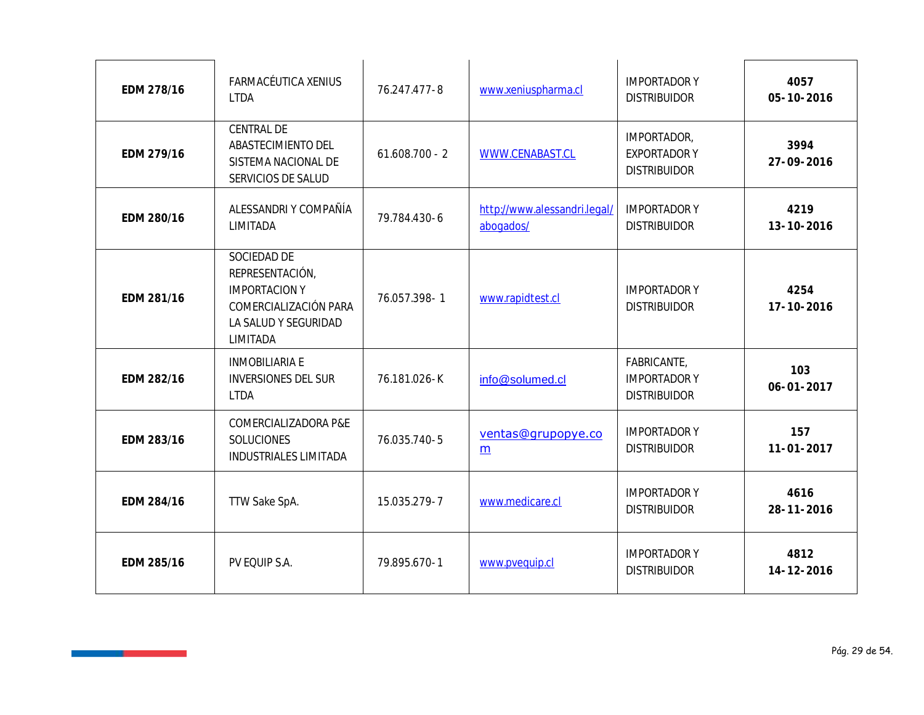| EDM 278/16 | FARMACÉUTICA XENIUS<br><b>LTDA</b>                                                                                  | 76.247.477-8     | www.xeniuspharma.cl                       | <b>IMPORTADORY</b><br><b>DISTRIBUIDOR</b>                 | 4057<br>05-10-2016      |
|------------|---------------------------------------------------------------------------------------------------------------------|------------------|-------------------------------------------|-----------------------------------------------------------|-------------------------|
| EDM 279/16 | CENTRAL DE<br>ABASTECIMIENTO DEL<br>SISTEMA NACIONAL DE<br>SERVICIOS DE SALUD                                       | $61.608.700 - 2$ | WWW.CENABAST.CL                           | IMPORTADOR,<br><b>EXPORTADOR Y</b><br><b>DISTRIBUIDOR</b> | 3994<br>27-09-2016      |
| EDM 280/16 | ALESSANDRI Y COMPAÑÍA<br>LIMITADA                                                                                   | 79.784.430-6     | http://www.alessandri.legal/<br>abogados/ | <b>IMPORTADORY</b><br><b>DISTRIBUIDOR</b>                 | 4219<br>13-10-2016      |
| EDM 281/16 | SOCIEDAD DE<br>REPRESENTACIÓN,<br><b>IMPORTACION Y</b><br>COMERCIALIZACIÓN PARA<br>LA SALUD Y SEGURIDAD<br>LIMITADA | 76.057.398-1     | www.rapidtest.cl                          | <b>IMPORTADORY</b><br><b>DISTRIBUIDOR</b>                 | 4254<br>17-10-2016      |
| EDM 282/16 | <b>INMOBILIARIA E</b><br><b>INVERSIONES DEL SUR</b><br><b>LTDA</b>                                                  | 76.181.026-K     | info@solumed.cl                           | FABRICANTE,<br><b>IMPORTADORY</b><br><b>DISTRIBUIDOR</b>  | 103<br>$06 - 01 - 2017$ |
| EDM 283/16 | COMERCIALIZADORA P&E<br>SOLUCIONES<br>INDUSTRIALES LIMITADA                                                         | 76.035.740-5     | ventas@grupopye.co<br>m                   | <b>IMPORTADORY</b><br><b>DISTRIBUIDOR</b>                 | 157<br>$11 - 01 - 2017$ |
| EDM 284/16 | TTW Sake SpA.                                                                                                       | 15.035.279-7     | www.medicare.cl                           | <b>IMPORTADORY</b><br><b>DISTRIBUIDOR</b>                 | 4616<br>28-11-2016      |
| EDM 285/16 | PV EQUIP S.A.                                                                                                       | 79.895.670-1     | www.pvequip.cl                            | <b>IMPORTADORY</b><br><b>DISTRIBUIDOR</b>                 | 4812<br>14-12-2016      |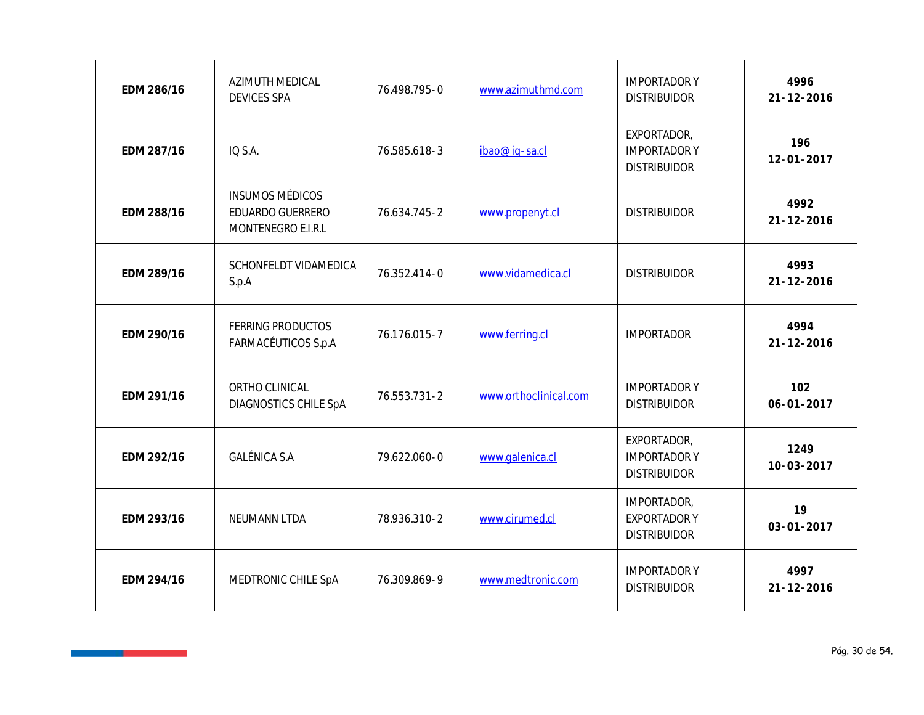| EDM 286/16 | AZIMUTH MEDICAL<br><b>DEVICES SPA</b>                            | 76.498.795-0 | www.azimuthmd.com     | <b>IMPORTADORY</b><br><b>DISTRIBUIDOR</b>                 | 4996<br>$21 - 12 - 2016$ |
|------------|------------------------------------------------------------------|--------------|-----------------------|-----------------------------------------------------------|--------------------------|
| EDM 287/16 | IQ S.A.                                                          | 76.585.618-3 | ibao@ig-sa.cl         | EXPORTADOR,<br><b>IMPORTADOR Y</b><br><b>DISTRIBUIDOR</b> | 196<br>$12 - 01 - 2017$  |
| EDM 288/16 | <b>INSUMOS MÉDICOS</b><br>EDUARDO GUERRERO<br>MONTENEGRO E.I.R.L | 76.634.745-2 | www.propenyt.cl       | <b>DISTRIBUIDOR</b>                                       | 4992<br>$21 - 12 - 2016$ |
| EDM 289/16 | SCHONFELDT VIDAMEDICA<br>S.p.A                                   | 76.352.414-0 | www.vidamedica.cl     | <b>DISTRIBUIDOR</b>                                       | 4993<br>$21 - 12 - 2016$ |
| EDM 290/16 | <b>FERRING PRODUCTOS</b><br>FARMACÉUTICOS S.p.A                  | 76.176.015-7 | www.ferring.cl        | <b>IMPORTADOR</b>                                         | 4994<br>$21 - 12 - 2016$ |
| EDM 291/16 | ORTHO CLINICAL<br>DIAGNOSTICS CHILE SpA                          | 76.553.731-2 | www.orthoclinical.com | <b>IMPORTADORY</b><br><b>DISTRIBUIDOR</b>                 | 102<br>$06 - 01 - 2017$  |
| EDM 292/16 | <b>GALÉNICA S.A</b>                                              | 79.622.060-0 | www.galenica.cl       | EXPORTADOR,<br><b>IMPORTADOR Y</b><br><b>DISTRIBUIDOR</b> | 1249<br>$10 - 03 - 2017$ |
| EDM 293/16 | NEUMANN LTDA                                                     | 78.936.310-2 | www.cirumed.cl        | IMPORTADOR,<br><b>EXPORTADOR Y</b><br><b>DISTRIBUIDOR</b> | 19<br>$03 - 01 - 2017$   |
| EDM 294/16 | MEDTRONIC CHILE SpA                                              | 76.309.869-9 | www.medtronic.com     | <b>IMPORTADORY</b><br><b>DISTRIBUIDOR</b>                 | 4997<br>$21 - 12 - 2016$ |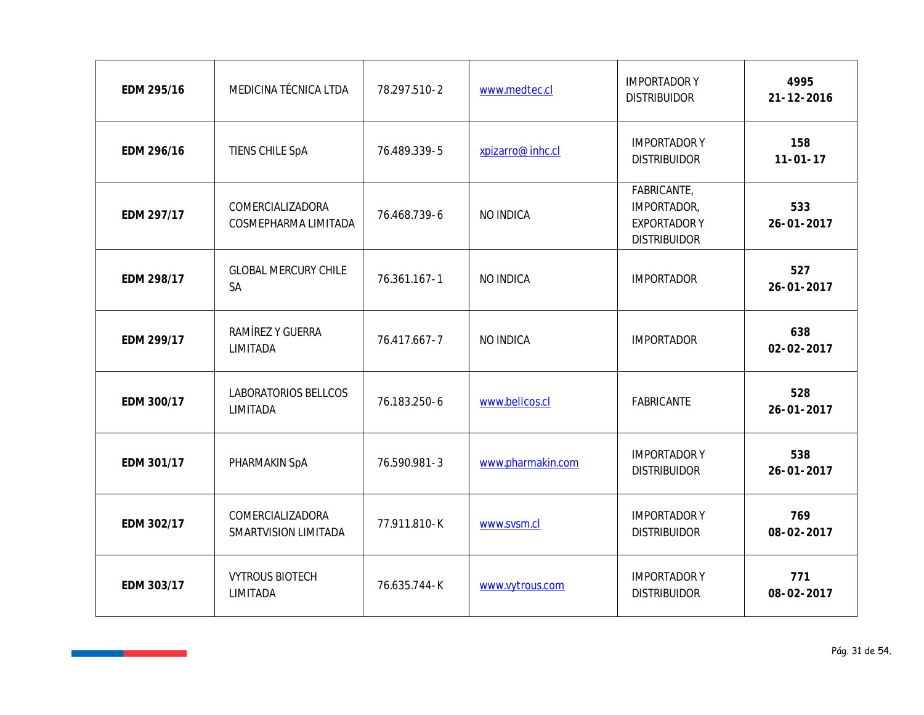| EDM 295/16 | MEDICINA TÉCNICA LTDA                    | 78.297.510-2 | www.medtec.cl     | <b>IMPORTADORY</b><br><b>DISTRIBUIDOR</b>                                | 4995<br>$21 - 12 - 2016$ |
|------------|------------------------------------------|--------------|-------------------|--------------------------------------------------------------------------|--------------------------|
| EDM 296/16 | TIENS CHILE SpA                          | 76.489.339-5 | xpizarro@inhc.cl  | <b>IMPORTADOR Y</b><br><b>DISTRIBUIDOR</b>                               | 158<br>$11 - 01 - 17$    |
| EDM 297/17 | COMERCIALIZADORA<br>COSMEPHARMA LIMITADA | 76.468.739-6 | NO INDICA         | FABRICANTE,<br>IMPORTADOR,<br><b>EXPORTADOR Y</b><br><b>DISTRIBUIDOR</b> | 533<br>$26 - 01 - 2017$  |
| EDM 298/17 | <b>GLOBAL MERCURY CHILE</b><br><b>SA</b> | 76.361.167-1 | NO INDICA         | <b>IMPORTADOR</b>                                                        | 527<br>$26 - 01 - 2017$  |
| EDM 299/17 | RAMÍREZ Y GUERRA<br>LIMITADA             | 76.417.667-7 | NO INDICA         | <b>IMPORTADOR</b>                                                        | 638<br>$02 - 02 - 2017$  |
| EDM 300/17 | LABORATORIOS BELLCOS<br>LIMITADA         | 76.183.250-6 | www.bellcos.cl    | FABRICANTE                                                               | 528<br>$26 - 01 - 2017$  |
| EDM 301/17 | PHARMAKIN SpA                            | 76.590.981-3 | www.pharmakin.com | <b>IMPORTADOR Y</b><br><b>DISTRIBUIDOR</b>                               | 538<br>$26 - 01 - 2017$  |
| EDM 302/17 | COMERCIALIZADORA<br>SMARTVISION LIMITADA | 77.911.810-K | www.svsm.cl       | <b>IMPORTADOR Y</b><br><b>DISTRIBUIDOR</b>                               | 769<br>08-02-2017        |
| EDM 303/17 | <b>VYTROUS BIOTECH</b><br>LIMITADA       | 76.635.744-K | www.vytrous.com   | <b>IMPORTADOR Y</b><br><b>DISTRIBUIDOR</b>                               | 771<br>08-02-2017        |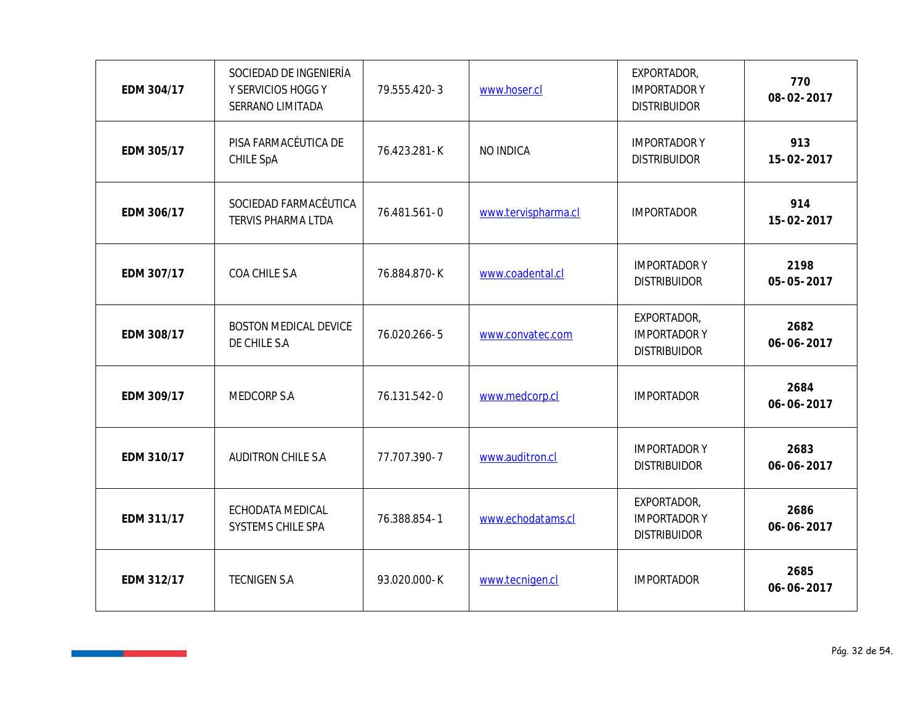| EDM 304/17 | SOCIEDAD DE INGENIERÍA<br>Y SERVICIOS HOGG Y<br>SERRANO LIMITADA | 79.555.420-3 | www.hoser.cl        | EXPORTADOR,<br><b>IMPORTADOR Y</b><br><b>DISTRIBUIDOR</b> | 770<br>08-02-2017  |
|------------|------------------------------------------------------------------|--------------|---------------------|-----------------------------------------------------------|--------------------|
| EDM 305/17 | PISA FARMACÉUTICA DE<br>CHILE SpA                                | 76.423.281-K | NO INDICA           | <b>IMPORTADOR Y</b><br><b>DISTRIBUIDOR</b>                | 913<br>15-02-2017  |
| EDM 306/17 | SOCIEDAD FARMACÉUTICA<br>TERVIS PHARMA LTDA                      | 76.481.561-0 | www.tervispharma.cl | <b>IMPORTADOR</b>                                         | 914<br>15-02-2017  |
| EDM 307/17 | COA CHILE S.A                                                    | 76.884.870-K | www.coadental.cl    | <b>IMPORTADOR Y</b><br><b>DISTRIBUIDOR</b>                | 2198<br>05-05-2017 |
| EDM 308/17 | BOSTON MEDICAL DEVICE<br>DE CHILE S.A                            | 76.020.266-5 | www.convatec.com    | EXPORTADOR,<br><b>IMPORTADOR Y</b><br><b>DISTRIBUIDOR</b> | 2682<br>06-06-2017 |
| EDM 309/17 | MEDCORP S.A                                                      | 76.131.542-0 | www.medcorp.cl      | <b>IMPORTADOR</b>                                         | 2684<br>06-06-2017 |
| EDM 310/17 | AUDITRON CHILE S.A                                               | 77.707.390-7 | www.auditron.cl     | <b>IMPORTADOR Y</b><br><b>DISTRIBUIDOR</b>                | 2683<br>06-06-2017 |
| EDM 311/17 | ECHODATA MEDICAL<br>SYSTEMS CHILE SPA                            | 76.388.854-1 | www.echodatams.cl   | EXPORTADOR,<br><b>IMPORTADOR Y</b><br><b>DISTRIBUIDOR</b> | 2686<br>06-06-2017 |
| EDM 312/17 | <b>TECNIGEN S.A</b>                                              | 93.020.000-K | www.tecnigen.cl     | <b>IMPORTADOR</b>                                         | 2685<br>06-06-2017 |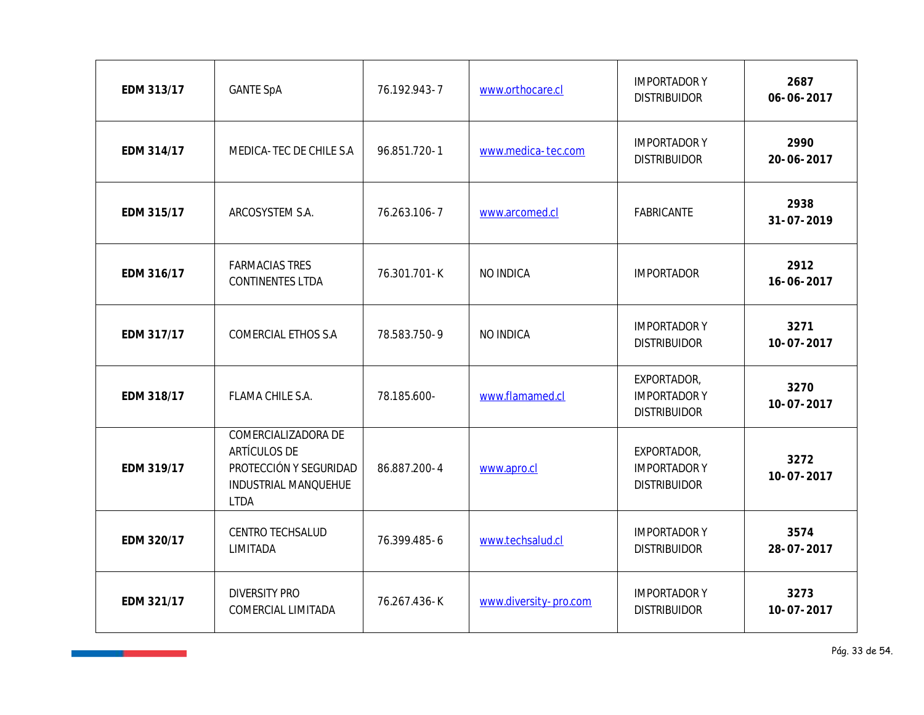| EDM 313/17 | <b>GANTE SpA</b>                                                                                     | 76.192.943-7 | www.orthocare.cl      | <b>IMPORTADOR Y</b><br><b>DISTRIBUIDOR</b>                | 2687<br>06-06-2017       |
|------------|------------------------------------------------------------------------------------------------------|--------------|-----------------------|-----------------------------------------------------------|--------------------------|
| EDM 314/17 | MEDICA-TEC DE CHILE S.A                                                                              | 96.851.720-1 | www.medica-tec.com    | <b>IMPORTADOR Y</b><br><b>DISTRIBUIDOR</b>                | 2990<br>20-06-2017       |
| EDM 315/17 | ARCOSYSTEM S.A.                                                                                      | 76.263.106-7 | www.arcomed.cl        | FABRICANTE                                                | 2938<br>31-07-2019       |
| EDM 316/17 | <b>FARMACIAS TRES</b><br>CONTINENTES LTDA                                                            | 76.301.701-K | NO INDICA             | <b>IMPORTADOR</b>                                         | 2912<br>16-06-2017       |
| EDM 317/17 | COMERCIAL ETHOS S.A                                                                                  | 78.583.750-9 | NO INDICA             | <b>IMPORTADOR Y</b><br><b>DISTRIBUIDOR</b>                | 3271<br>$10 - 07 - 2017$ |
| EDM 318/17 | FLAMA CHILE S.A.                                                                                     | 78.185.600-  | www.flamamed.cl       | EXPORTADOR,<br><b>IMPORTADOR Y</b><br><b>DISTRIBUIDOR</b> | 3270<br>$10 - 07 - 2017$ |
| EDM 319/17 | COMERCIALIZADORA DE<br>ARTÍCULOS DE<br>PROTECCIÓN Y SEGURIDAD<br>INDUSTRIAL MANQUEHUE<br><b>LTDA</b> | 86.887.200-4 | www.apro.cl           | EXPORTADOR,<br><b>IMPORTADORY</b><br><b>DISTRIBUIDOR</b>  | 3272<br>$10 - 07 - 2017$ |
| EDM 320/17 | CENTRO TECHSALUD<br>LIMITADA                                                                         | 76.399.485-6 | www.techsalud.cl      | <b>IMPORTADOR Y</b><br><b>DISTRIBUIDOR</b>                | 3574<br>28-07-2017       |
| EDM 321/17 | <b>DIVERSITY PRO</b><br>COMERCIAL LIMITADA                                                           | 76.267.436-K | www.diversity-pro.com | <b>IMPORTADOR Y</b><br><b>DISTRIBUIDOR</b>                | 3273<br>$10 - 07 - 2017$ |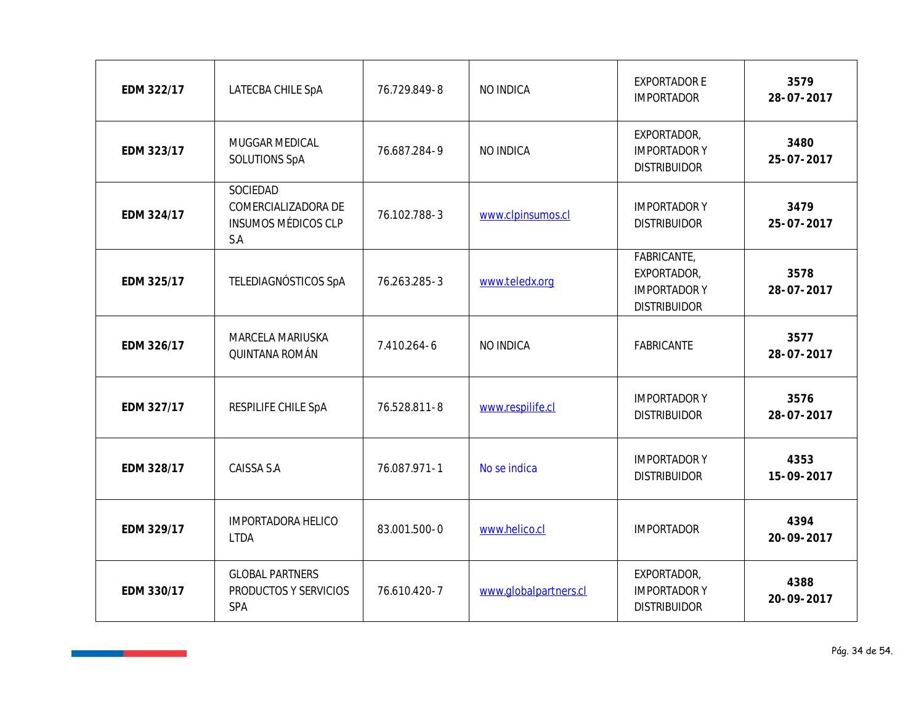| EDM 322/17 | LATECBA CHILE SpA                                                    | 76.729.849-8 | NO INDICA             | <b>EXPORTADOR E</b><br><b>IMPORTADOR</b>                                 | 3579<br>28-07-2017 |
|------------|----------------------------------------------------------------------|--------------|-----------------------|--------------------------------------------------------------------------|--------------------|
| EDM 323/17 | MUGGAR MEDICAL<br>SOLUTIONS SpA                                      | 76.687.284-9 | NO INDICA             | EXPORTADOR,<br><b>IMPORTADOR Y</b><br><b>DISTRIBUIDOR</b>                | 3480<br>25-07-2017 |
| EDM 324/17 | SOCIEDAD<br>COMERCIALIZADORA DE<br><b>INSUMOS MÉDICOS CLP</b><br>S.A | 76.102.788-3 | www.clpinsumos.cl     | <b>IMPORTADOR Y</b><br><b>DISTRIBUIDOR</b>                               | 3479<br>25-07-2017 |
| EDM 325/17 | TELEDIAGNÓSTICOS SpA                                                 | 76.263.285-3 | www.teledx.org        | FABRICANTE,<br>EXPORTADOR,<br><b>IMPORTADOR Y</b><br><b>DISTRIBUIDOR</b> | 3578<br>28-07-2017 |
| EDM 326/17 | MARCELA MARIUSKA<br>QUINTANA ROMÁN                                   | 7.410.264-6  | NO INDICA             | FABRICANTE                                                               | 3577<br>28-07-2017 |
| EDM 327/17 | RESPILIFE CHILE SpA                                                  | 76.528.811-8 | www.respilife.cl      | <b>IMPORTADOR Y</b><br><b>DISTRIBUIDOR</b>                               | 3576<br>28-07-2017 |
| EDM 328/17 | CAISSA S.A                                                           | 76.087.971-1 | No se indica          | <b>IMPORTADOR Y</b><br><b>DISTRIBUIDOR</b>                               | 4353<br>15-09-2017 |
| EDM 329/17 | <b>IMPORTADORA HELICO</b><br><b>LTDA</b>                             | 83.001.500-0 | www.helico.cl         | <b>IMPORTADOR</b>                                                        | 4394<br>20-09-2017 |
| EDM 330/17 | <b>GLOBAL PARTNERS</b><br>PRODUCTOS Y SERVICIOS<br>SPA               | 76.610.420-7 | www.globalpartners.cl | EXPORTADOR,<br><b>IMPORTADOR Y</b><br><b>DISTRIBUIDOR</b>                | 4388<br>20-09-2017 |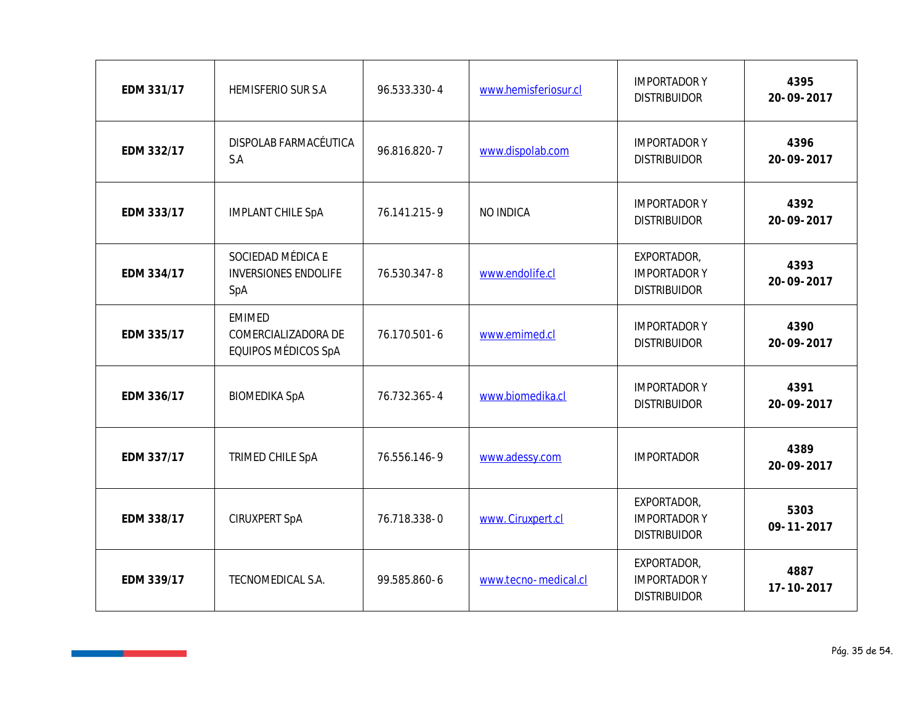| EDM 331/17 | HEMISFERIO SUR S.A                                          | 96.533.330-4 | www.hemisferiosur.cl | <b>IMPORTADOR Y</b><br><b>DISTRIBUIDOR</b>                | 4395<br>20-09-2017       |
|------------|-------------------------------------------------------------|--------------|----------------------|-----------------------------------------------------------|--------------------------|
| EDM 332/17 | DISPOLAB FARMACÉUTICA<br>S.A                                | 96.816.820-7 | www.dispolab.com     | <b>IMPORTADOR Y</b><br><b>DISTRIBUIDOR</b>                | 4396<br>20-09-2017       |
| EDM 333/17 | <b>IMPLANT CHILE SpA</b>                                    | 76.141.215-9 | NO INDICA            | <b>IMPORTADOR Y</b><br><b>DISTRIBUIDOR</b>                | 4392<br>20-09-2017       |
| EDM 334/17 | SOCIEDAD MÉDICA E<br><b>INVERSIONES ENDOLIFE</b><br>SpA     | 76.530.347-8 | www.endolife.cl      | EXPORTADOR,<br><b>IMPORTADOR Y</b><br><b>DISTRIBUIDOR</b> | 4393<br>20-09-2017       |
| EDM 335/17 | <b>EMIMED</b><br>COMERCIALIZADORA DE<br>EQUIPOS MÉDICOS SpA | 76.170.501-6 | www.emimed.cl        | <b>IMPORTADOR Y</b><br><b>DISTRIBUIDOR</b>                | 4390<br>20-09-2017       |
| EDM 336/17 | <b>BIOMEDIKA SpA</b>                                        | 76.732.365-4 | www.biomedika.cl     | <b>IMPORTADOR Y</b><br><b>DISTRIBUIDOR</b>                | 4391<br>20-09-2017       |
| EDM 337/17 | TRIMED CHILE SpA                                            | 76.556.146-9 | www.adessy.com       | <b>IMPORTADOR</b>                                         | 4389<br>20-09-2017       |
| EDM 338/17 | CIRUXPERT SpA                                               | 76.718.338-0 | www. Ciruxpert.cl    | EXPORTADOR,<br><b>IMPORTADOR Y</b><br><b>DISTRIBUIDOR</b> | 5303<br>$09 - 11 - 2017$ |
| EDM 339/17 | TECNOMEDICAL S.A.                                           | 99.585.860-6 | www.tecno-medical.cl | EXPORTADOR,<br><b>IMPORTADOR Y</b><br><b>DISTRIBUIDOR</b> | 4887<br>17-10-2017       |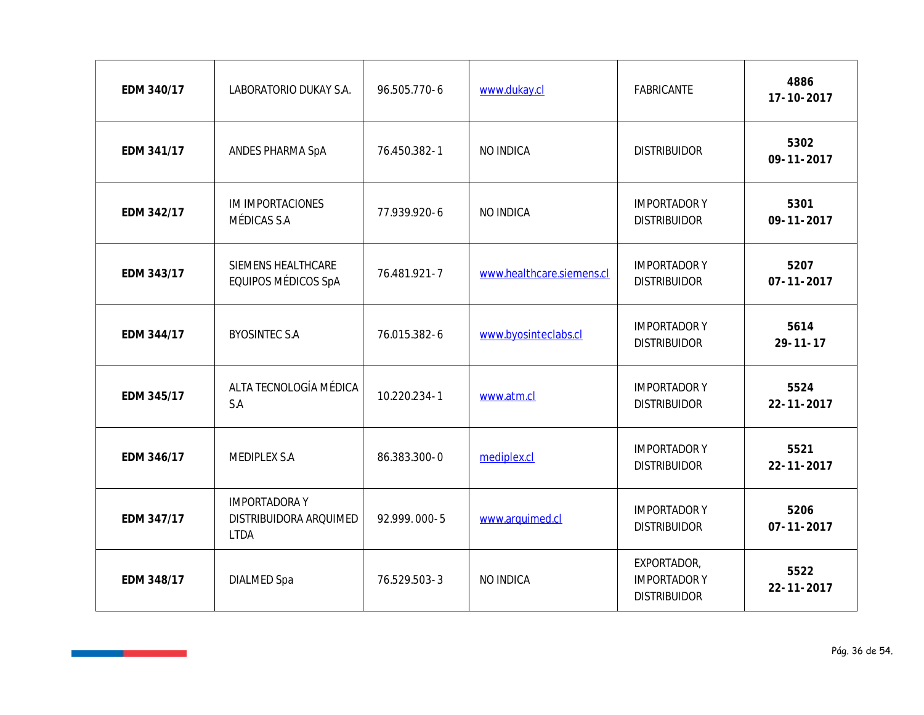| EDM 340/17 | LABORATORIO DUKAY S.A.                                       | 96.505.770-6 | www.dukay.cl              | FABRICANTE                                                | 4886<br>17-10-2017       |
|------------|--------------------------------------------------------------|--------------|---------------------------|-----------------------------------------------------------|--------------------------|
| EDM 341/17 | ANDES PHARMA SpA                                             | 76.450.382-1 | NO INDICA                 | <b>DISTRIBUIDOR</b>                                       | 5302<br>$09 - 11 - 2017$ |
| EDM 342/17 | IM IMPORTACIONES<br>MÉDICAS S.A                              | 77.939.920-6 | NO INDICA                 | <b>IMPORTADOR Y</b><br><b>DISTRIBUIDOR</b>                | 5301<br>$09 - 11 - 2017$ |
| EDM 343/17 | SIEMENS HEALTHCARE<br>EQUIPOS MÉDICOS SpA                    | 76.481.921-7 | www.healthcare.siemens.cl | <b>IMPORTADOR Y</b><br><b>DISTRIBUIDOR</b>                | 5207<br>$07 - 11 - 2017$ |
| EDM 344/17 | <b>BYOSINTEC S.A</b>                                         | 76.015.382-6 | www.byosinteclabs.cl      | <b>IMPORTADOR Y</b><br><b>DISTRIBUIDOR</b>                | 5614<br>$29 - 11 - 17$   |
| EDM 345/17 | ALTA TECNOLOGÍA MÉDICA<br>S.A                                | 10.220.234-1 | www.atm.cl                | <b>IMPORTADOR Y</b><br><b>DISTRIBUIDOR</b>                | 5524<br>$22 - 11 - 2017$ |
| EDM 346/17 | MEDIPLEX S.A                                                 | 86.383.300-0 | mediplex.cl               | <b>IMPORTADOR Y</b><br><b>DISTRIBUIDOR</b>                | 5521<br>$22 - 11 - 2017$ |
| EDM 347/17 | <b>IMPORTADORAY</b><br>DISTRIBUIDORA ARQUIMED<br><b>LTDA</b> | 92.999.000-5 | www.arquimed.cl           | <b>IMPORTADOR Y</b><br><b>DISTRIBUIDOR</b>                | 5206<br>$07 - 11 - 2017$ |
| EDM 348/17 | <b>DIALMED Spa</b>                                           | 76.529.503-3 | NO INDICA                 | EXPORTADOR,<br><b>IMPORTADOR Y</b><br><b>DISTRIBUIDOR</b> | 5522<br>$22 - 11 - 2017$ |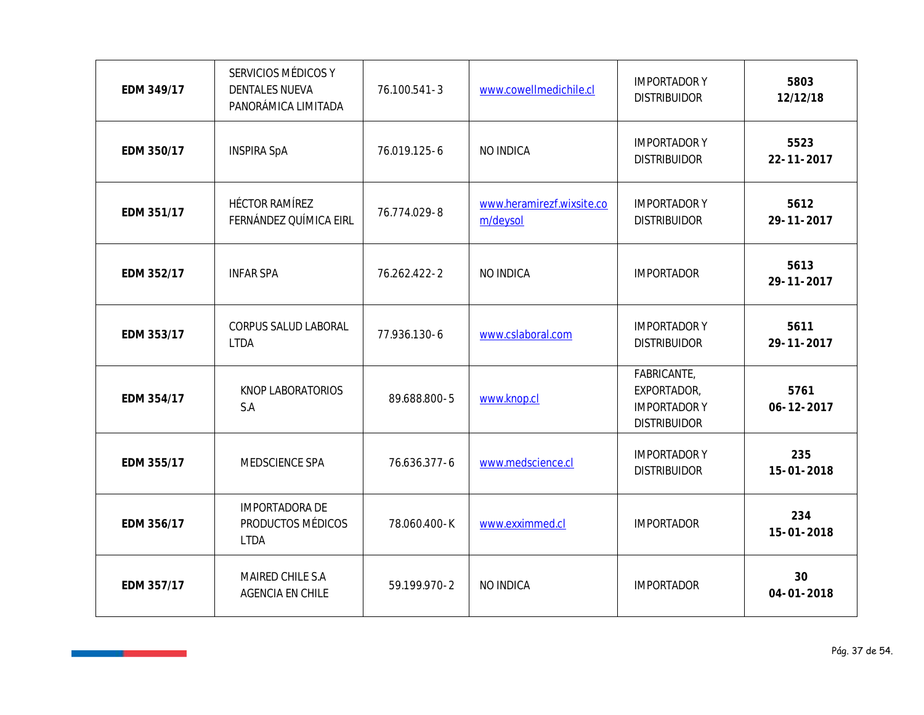| EDM 349/17 | SERVICIOS MÉDICOS Y<br><b>DENTALES NUEVA</b><br>PANORÁMICA LIMITADA | 76.100.541-3 | www.cowellmedichile.cl                | <b>IMPORTADOR Y</b><br><b>DISTRIBUIDOR</b>                               | 5803<br>12/12/18         |
|------------|---------------------------------------------------------------------|--------------|---------------------------------------|--------------------------------------------------------------------------|--------------------------|
| EDM 350/17 | <b>INSPIRA SpA</b>                                                  | 76.019.125-6 | NO INDICA                             | <b>IMPORTADOR Y</b><br><b>DISTRIBUIDOR</b>                               | 5523<br>$22 - 11 - 2017$ |
| EDM 351/17 | HÉCTOR RAMÍREZ<br>FERNÁNDEZ QUÍMICA EIRL                            | 76.774.029-8 | www.heramirezf.wixsite.co<br>m/deysol | <b>IMPORTADOR Y</b><br><b>DISTRIBUIDOR</b>                               | 5612<br>29-11-2017       |
| EDM 352/17 | <b>INFAR SPA</b>                                                    | 76.262.422-2 | NO INDICA                             | <b>IMPORTADOR</b>                                                        | 5613<br>29-11-2017       |
| EDM 353/17 | CORPUS SALUD LABORAL<br><b>LTDA</b>                                 | 77.936.130-6 | www.cslaboral.com                     | <b>IMPORTADOR Y</b><br><b>DISTRIBUIDOR</b>                               | 5611<br>29-11-2017       |
| EDM 354/17 | KNOP LABORATORIOS<br>S.A                                            | 89.688.800-5 | www.knop.cl                           | FABRICANTE,<br>EXPORTADOR,<br><b>IMPORTADOR Y</b><br><b>DISTRIBUIDOR</b> | 5761<br>$06 - 12 - 2017$ |
| EDM 355/17 | MEDSCIENCE SPA                                                      | 76.636.377-6 | www.medscience.cl                     | <b>IMPORTADOR Y</b><br><b>DISTRIBUIDOR</b>                               | 235<br>15-01-2018        |
| EDM 356/17 | IMPORTADORA DE<br>PRODUCTOS MÉDICOS<br><b>LTDA</b>                  | 78.060.400-K | www.exximmed.cl                       | <b>IMPORTADOR</b>                                                        | 234<br>15-01-2018        |
| EDM 357/17 | MAIRED CHILE S.A<br>AGENCIA EN CHILE                                | 59.199.970-2 | NO INDICA                             | <b>IMPORTADOR</b>                                                        | 30<br>$04 - 01 - 2018$   |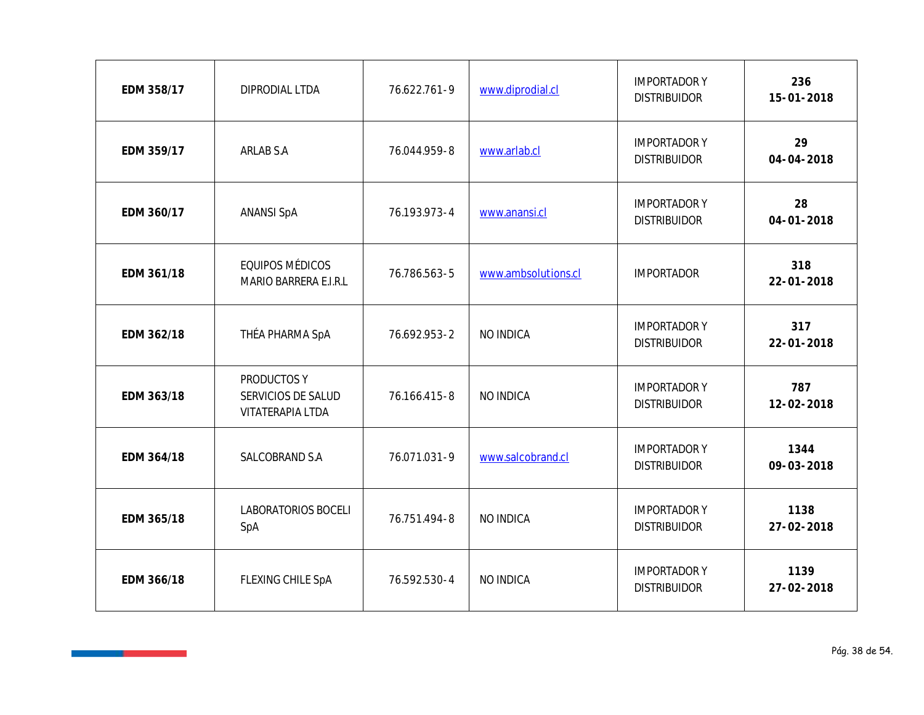| EDM 358/17 | DIPRODIAL LTDA                                        | 76.622.761-9 | www.diprodial.cl    | <b>IMPORTADOR Y</b><br><b>DISTRIBUIDOR</b> | 236<br>15-01-2018       |
|------------|-------------------------------------------------------|--------------|---------------------|--------------------------------------------|-------------------------|
| EDM 359/17 | ARLAB S.A                                             | 76.044.959-8 | www.arlab.cl        | <b>IMPORTADOR Y</b><br><b>DISTRIBUIDOR</b> | 29<br>$04 - 04 - 2018$  |
| EDM 360/17 | <b>ANANSI SpA</b>                                     | 76.193.973-4 | www.anansi.cl       | <b>IMPORTADOR Y</b><br><b>DISTRIBUIDOR</b> | 28<br>$04 - 01 - 2018$  |
| EDM 361/18 | EQUIPOS MÉDICOS<br>MARIO BARRERA E.I.R.L              | 76.786.563-5 | www.ambsolutions.cl | <b>IMPORTADOR</b>                          | 318<br>22-01-2018       |
| EDM 362/18 | THÉA PHARMA SpA                                       | 76.692.953-2 | NO INDICA           | <b>IMPORTADOR Y</b><br><b>DISTRIBUIDOR</b> | 317<br>$22 - 01 - 2018$ |
| EDM 363/18 | PRODUCTOS Y<br>SERVICIOS DE SALUD<br>VITATERAPIA LTDA | 76.166.415-8 | NO INDICA           | <b>IMPORTADOR Y</b><br><b>DISTRIBUIDOR</b> | 787<br>12-02-2018       |
| EDM 364/18 | SALCOBRAND S.A                                        | 76.071.031-9 | www.salcobrand.cl   | <b>IMPORTADOR Y</b><br><b>DISTRIBUIDOR</b> | 1344<br>09-03-2018      |
| EDM 365/18 | LABORATORIOS BOCELI<br>SpA                            | 76.751.494-8 | NO INDICA           | <b>IMPORTADOR Y</b><br><b>DISTRIBUIDOR</b> | 1138<br>27-02-2018      |
| EDM 366/18 | FLEXING CHILE SpA                                     | 76.592.530-4 | NO INDICA           | <b>IMPORTADOR Y</b><br><b>DISTRIBUIDOR</b> | 1139<br>27-02-2018      |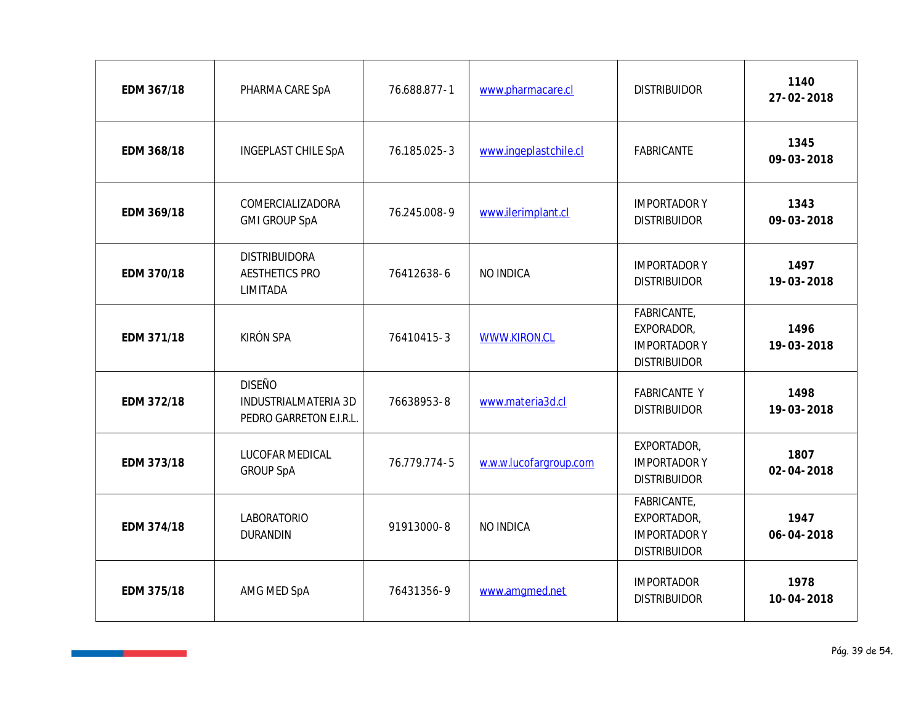| EDM 367/18 | PHARMA CARE SpA                                                  | 76.688.877-1 | www.pharmacare.cl      | <b>DISTRIBUIDOR</b>                                                      | 1140<br>27-02-2018       |
|------------|------------------------------------------------------------------|--------------|------------------------|--------------------------------------------------------------------------|--------------------------|
| EDM 368/18 | INGEPLAST CHILE SpA                                              | 76.185.025-3 | www.ingeplastchile.cl  | FABRICANTE                                                               | 1345<br>09-03-2018       |
| EDM 369/18 | COMERCIALIZADORA<br><b>GMI GROUP SpA</b>                         | 76.245.008-9 | www.ilerimplant.cl     | <b>IMPORTADOR Y</b><br><b>DISTRIBUIDOR</b>                               | 1343<br>09-03-2018       |
| EDM 370/18 | <b>DISTRIBUIDORA</b><br><b>AESTHETICS PRO</b><br>LIMITADA        | 76412638-6   | NO INDICA              | <b>IMPORTADOR Y</b><br><b>DISTRIBUIDOR</b>                               | 1497<br>19-03-2018       |
| EDM 371/18 | KIRÓN SPA                                                        | 76410415-3   | WWW.KIRON.CL           | FABRICANTE,<br>EXPORADOR,<br><b>IMPORTADOR Y</b><br><b>DISTRIBUIDOR</b>  | 1496<br>19-03-2018       |
| EDM 372/18 | <b>DISEÑO</b><br>INDUSTRIALMATERIA 3D<br>PEDRO GARRETON E.I.R.L. | 76638953-8   | www.materia3d.cl       | <b>FABRICANTE Y</b><br><b>DISTRIBUIDOR</b>                               | 1498<br>19-03-2018       |
| EDM 373/18 | LUCOFAR MEDICAL<br><b>GROUP SpA</b>                              | 76.779.774-5 | w.w.w.lucofargroup.com | EXPORTADOR,<br><b>IMPORTADOR Y</b><br><b>DISTRIBUIDOR</b>                | 1807<br>$02 - 04 - 2018$ |
| EDM 374/18 | LABORATORIO<br><b>DURANDIN</b>                                   | 91913000-8   | NO INDICA              | FABRICANTE,<br>EXPORTADOR,<br><b>IMPORTADOR Y</b><br><b>DISTRIBUIDOR</b> | 1947<br>$06 - 04 - 2018$ |
| EDM 375/18 | AMG MED SpA                                                      | 76431356-9   | www.amgmed.net         | <b>IMPORTADOR</b><br><b>DISTRIBUIDOR</b>                                 | 1978<br>$10 - 04 - 2018$ |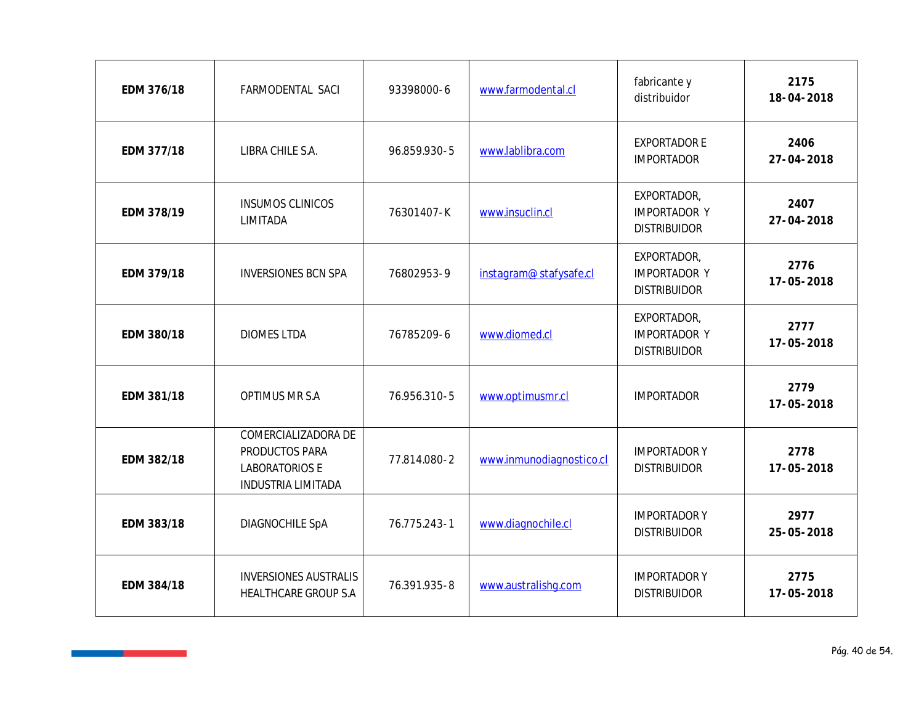| EDM 376/18 | FARMODENTAL SACI                                                                            | 93398000-6   | www.farmodental.cl       | fabricante y<br>distribuidor                              | 2175<br>18-04-2018 |
|------------|---------------------------------------------------------------------------------------------|--------------|--------------------------|-----------------------------------------------------------|--------------------|
| EDM 377/18 | LIBRA CHILE S.A.                                                                            | 96.859.930-5 | www.lablibra.com         | <b>EXPORTADOR E</b><br><b>IMPORTADOR</b>                  | 2406<br>27-04-2018 |
| EDM 378/19 | <b>INSUMOS CLINICOS</b><br>LIMITADA                                                         | 76301407-K   | www.insuclin.cl          | EXPORTADOR,<br><b>IMPORTADOR Y</b><br><b>DISTRIBUIDOR</b> | 2407<br>27-04-2018 |
| EDM 379/18 | <b>INVERSIONES BCN SPA</b>                                                                  | 76802953-9   | instagram@stafysafe.cl   | EXPORTADOR,<br><b>IMPORTADOR Y</b><br><b>DISTRIBUIDOR</b> | 2776<br>17-05-2018 |
| EDM 380/18 | <b>DIOMES LTDA</b>                                                                          | 76785209-6   | www.diomed.cl            | EXPORTADOR,<br><b>IMPORTADOR Y</b><br><b>DISTRIBUIDOR</b> | 2777<br>17-05-2018 |
| EDM 381/18 | OPTIMUS MR S.A                                                                              | 76.956.310-5 | www.optimusmr.cl         | <b>IMPORTADOR</b>                                         | 2779<br>17-05-2018 |
| EDM 382/18 | COMERCIALIZADORA DE<br>PRODUCTOS PARA<br><b>LABORATORIOS E</b><br><b>INDUSTRIA LIMITADA</b> | 77.814.080-2 | www.inmunodiagnostico.cl | <b>IMPORTADOR Y</b><br><b>DISTRIBUIDOR</b>                | 2778<br>17-05-2018 |
| EDM 383/18 | DIAGNOCHILE SpA                                                                             | 76.775.243-1 | www.diagnochile.cl       | <b>IMPORTADOR Y</b><br><b>DISTRIBUIDOR</b>                | 2977<br>25-05-2018 |
| EDM 384/18 | <b>INVERSIONES AUSTRALIS</b><br>HEALTHCARE GROUP S.A                                        | 76.391.935-8 | www.australishg.com      | <b>IMPORTADOR Y</b><br><b>DISTRIBUIDOR</b>                | 2775<br>17-05-2018 |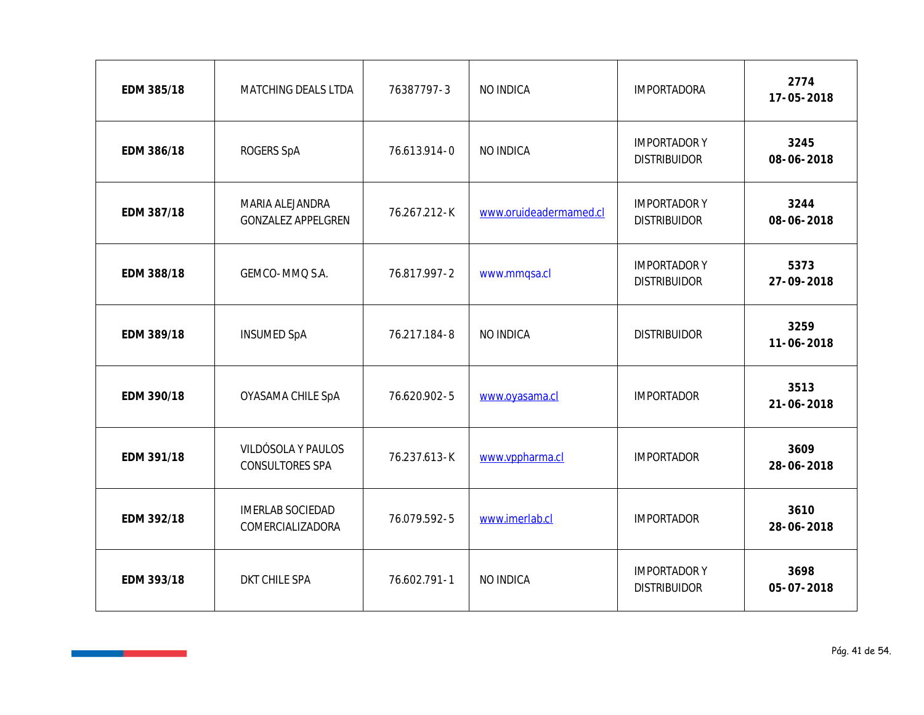| EDM 385/18 | MATCHING DEALS LTDA                          | 76387797-3   | NO INDICA              | <b>IMPORTADORA</b>                         | 2774<br>17-05-2018       |
|------------|----------------------------------------------|--------------|------------------------|--------------------------------------------|--------------------------|
| EDM 386/18 | ROGERS SpA                                   | 76.613.914-0 | NO INDICA              | <b>IMPORTADOR Y</b><br><b>DISTRIBUIDOR</b> | 3245<br>08-06-2018       |
| EDM 387/18 | MARIA ALEJANDRA<br><b>GONZALEZ APPELGREN</b> | 76.267.212-K | www.oruideadermamed.cl | <b>IMPORTADOR Y</b><br><b>DISTRIBUIDOR</b> | 3244<br>08-06-2018       |
| EDM 388/18 | GEMCO-MMQ S.A.                               | 76.817.997-2 | www.mmqsa.cl           | <b>IMPORTADOR Y</b><br><b>DISTRIBUIDOR</b> | 5373<br>27-09-2018       |
| EDM 389/18 | <b>INSUMED SpA</b>                           | 76.217.184-8 | NO INDICA              | <b>DISTRIBUIDOR</b>                        | 3259<br>11-06-2018       |
| EDM 390/18 | OYASAMA CHILE SpA                            | 76.620.902-5 | www.oyasama.cl         | <b>IMPORTADOR</b>                          | 3513<br>$21 - 06 - 2018$ |
| EDM 391/18 | VILDÓSOLA Y PAULOS<br>CONSULTORES SPA        | 76.237.613-K | www.vppharma.cl        | <b>IMPORTADOR</b>                          | 3609<br>28-06-2018       |
| EDM 392/18 | <b>IMERLAB SOCIEDAD</b><br>COMERCIALIZADORA  | 76.079.592-5 | www.imerlab.cl         | <b>IMPORTADOR</b>                          | 3610<br>28-06-2018       |
| EDM 393/18 | DKT CHILE SPA                                | 76.602.791-1 | NO INDICA              | <b>IMPORTADOR Y</b><br><b>DISTRIBUIDOR</b> | 3698<br>05-07-2018       |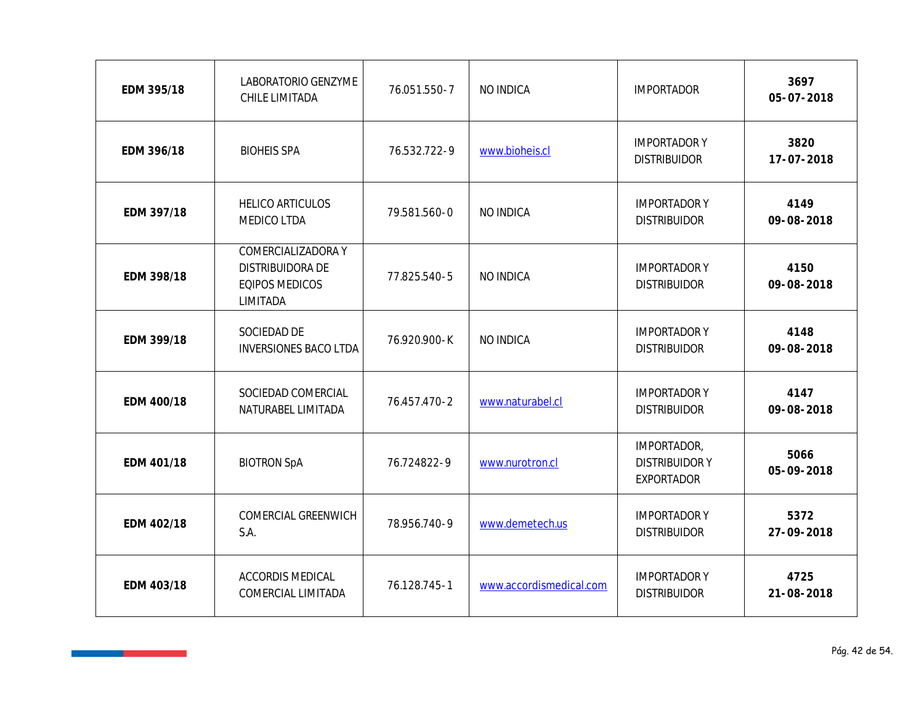| EDM 395/18 | LABORATORIO GENZYME<br>CHILE LIMITADA                                       | 76.051.550-7 | NO INDICA               | <b>IMPORTADOR</b>                                        | 3697<br>$05 - 07 - 2018$ |
|------------|-----------------------------------------------------------------------------|--------------|-------------------------|----------------------------------------------------------|--------------------------|
| EDM 396/18 | <b>BIOHEIS SPA</b>                                                          | 76.532.722-9 | www.bioheis.cl          | <b>IMPORTADORY</b><br><b>DISTRIBUIDOR</b>                | 3820<br>17-07-2018       |
| EDM 397/18 | HELICO ARTICULOS<br>MEDICO LTDA                                             | 79.581.560-0 | NO INDICA               | <b>IMPORTADORY</b><br><b>DISTRIBUIDOR</b>                | 4149<br>09-08-2018       |
| EDM 398/18 | COMERCIALIZADORA Y<br>DISTRIBUIDORA DE<br><b>EQIPOS MEDICOS</b><br>LIMITADA | 77.825.540-5 | NO INDICA               | <b>IMPORTADORY</b><br><b>DISTRIBUIDOR</b>                | 4150<br>09-08-2018       |
| EDM 399/18 | SOCIEDAD DE<br><b>INVERSIONES BACO LTDA</b>                                 | 76.920.900-K | NO INDICA               | <b>IMPORTADORY</b><br><b>DISTRIBUIDOR</b>                | 4148<br>09-08-2018       |
| EDM 400/18 | SOCIEDAD COMERCIAL<br>NATURABEL LIMITADA                                    | 76.457.470-2 | www.naturabel.cl        | <b>IMPORTADORY</b><br><b>DISTRIBUIDOR</b>                | 4147<br>09-08-2018       |
| EDM 401/18 | <b>BIOTRON SpA</b>                                                          | 76.724822-9  | www.nurotron.cl         | IMPORTADOR,<br><b>DISTRIBUIDORY</b><br><b>EXPORTADOR</b> | 5066<br>05-09-2018       |
| EDM 402/18 | COMERCIAL GREENWICH<br>S.A.                                                 | 78.956.740-9 | www.demetech.us         | <b>IMPORTADORY</b><br><b>DISTRIBUIDOR</b>                | 5372<br>27-09-2018       |
| EDM 403/18 | ACCORDIS MEDICAL<br>COMERCIAL LIMITADA                                      | 76.128.745-1 | www.accordismedical.com | <b>IMPORTADORY</b><br><b>DISTRIBUIDOR</b>                | 4725<br>21-08-2018       |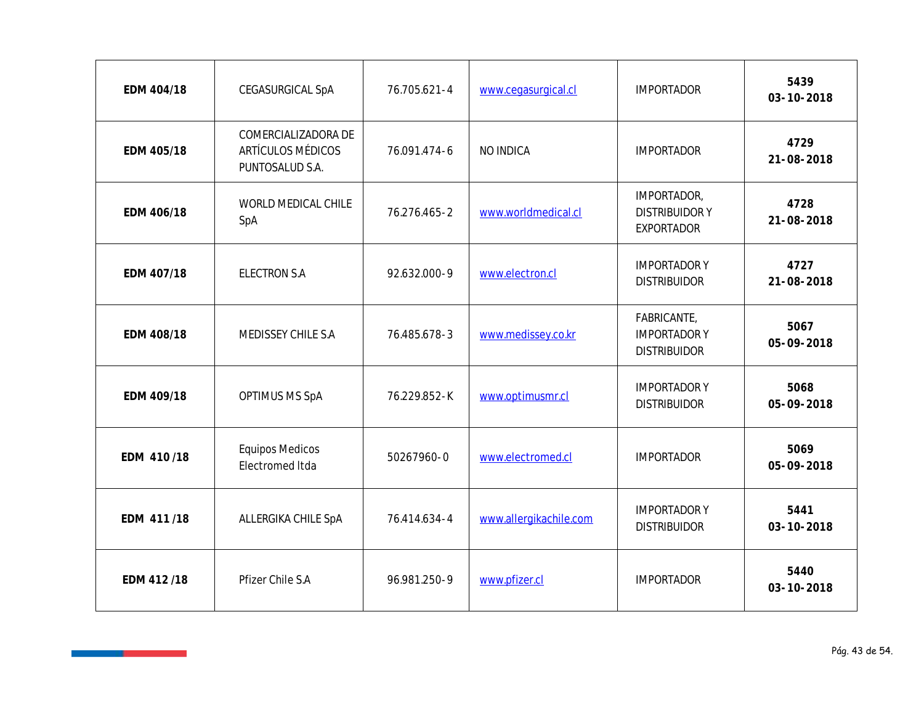| EDM 404/18 | CEGASURGICAL SpA                                            | 76.705.621-4 | www.cegasurgical.cl    | <b>IMPORTADOR</b>                                        | 5439<br>03-10-2018       |
|------------|-------------------------------------------------------------|--------------|------------------------|----------------------------------------------------------|--------------------------|
| EDM 405/18 | COMERCIALIZADORA DE<br>ARTÍCULOS MÉDICOS<br>PUNTOSALUD S.A. | 76.091.474-6 | NO INDICA              | <b>IMPORTADOR</b>                                        | 4729<br>21-08-2018       |
| EDM 406/18 | WORLD MEDICAL CHILE<br>SpA                                  | 76.276.465-2 | www.worldmedical.cl    | IMPORTADOR,<br><b>DISTRIBUIDORY</b><br>EXPORTADOR        | 4728<br>$21 - 08 - 2018$ |
| EDM 407/18 | ELECTRON S.A                                                | 92.632.000-9 | www.electron.cl        | <b>IMPORTADORY</b><br><b>DISTRIBUIDOR</b>                | 4727<br>21-08-2018       |
| EDM 408/18 | MEDISSEY CHILE S.A                                          | 76.485.678-3 | www.medissey.co.kr     | FABRICANTE,<br><b>IMPORTADORY</b><br><b>DISTRIBUIDOR</b> | 5067<br>05-09-2018       |
| EDM 409/18 | OPTIMUS MS SpA                                              | 76.229.852-K | www.optimusmr.cl       | <b>IMPORTADORY</b><br><b>DISTRIBUIDOR</b>                | 5068<br>05-09-2018       |
| EDM 410/18 | <b>Equipos Medicos</b><br>Electromed Itda                   | 50267960-0   | www.electromed.cl      | <b>IMPORTADOR</b>                                        | 5069<br>05-09-2018       |
| EDM 411/18 | ALLERGIKA CHILE SpA                                         | 76.414.634-4 | www.allergikachile.com | <b>IMPORTADORY</b><br><b>DISTRIBUIDOR</b>                | 5441<br>03-10-2018       |
| EDM 412/18 | Pfizer Chile S.A                                            | 96.981.250-9 | www.pfizer.cl          | <b>IMPORTADOR</b>                                        | 5440<br>03-10-2018       |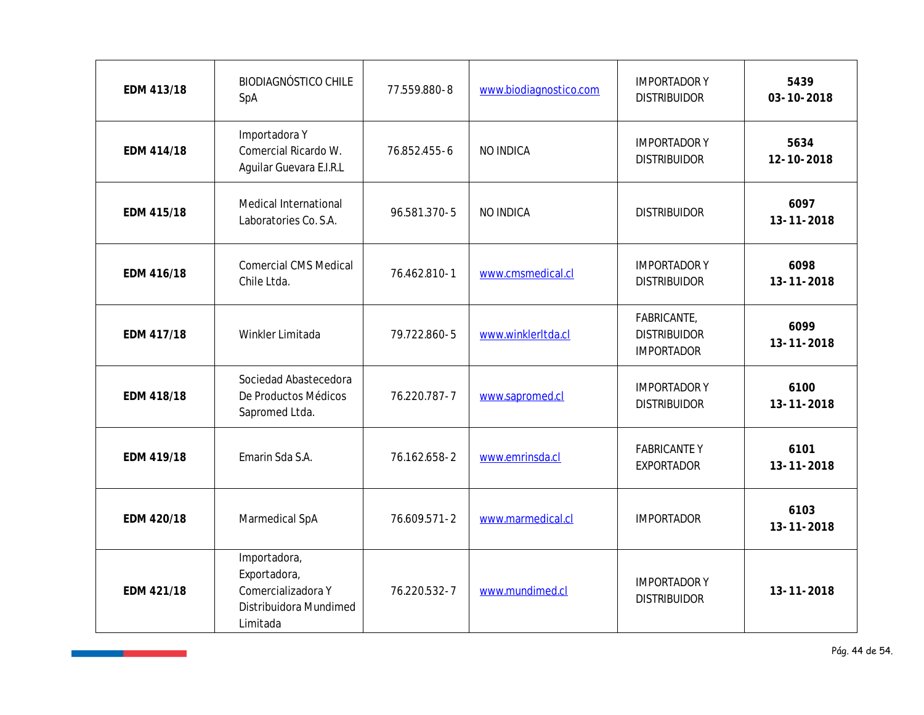| EDM 413/18 | <b>BIODIAGNÓSTICO CHILE</b><br>SpA                                                       | 77.559.880-8 | www.biodiagnostico.com | <b>IMPORTADORY</b><br><b>DISTRIBUIDOR</b>               | 5439<br>03-10-2018 |
|------------|------------------------------------------------------------------------------------------|--------------|------------------------|---------------------------------------------------------|--------------------|
| EDM 414/18 | Importadora Y<br>Comercial Ricardo W.<br>Aguilar Guevara E.I.R.L                         | 76.852.455-6 | NO INDICA              | <b>IMPORTADOR Y</b><br><b>DISTRIBUIDOR</b>              | 5634<br>12-10-2018 |
| EDM 415/18 | Medical International<br>Laboratories Co. S.A.                                           | 96.581.370-5 | NO INDICA              | <b>DISTRIBUIDOR</b>                                     | 6097<br>13-11-2018 |
| EDM 416/18 | <b>Comercial CMS Medical</b><br>Chile Ltda.                                              | 76.462.810-1 | www.cmsmedical.cl      | <b>IMPORTADORY</b><br><b>DISTRIBUIDOR</b>               | 6098<br>13-11-2018 |
| EDM 417/18 | Winkler Limitada                                                                         | 79.722.860-5 | www.winklerltda.cl     | FABRICANTE,<br><b>DISTRIBUIDOR</b><br><b>IMPORTADOR</b> | 6099<br>13-11-2018 |
| EDM 418/18 | Sociedad Abastecedora<br>De Productos Médicos<br>Sapromed Ltda.                          | 76.220.787-7 | www.sapromed.cl        | <b>IMPORTADORY</b><br><b>DISTRIBUIDOR</b>               | 6100<br>13-11-2018 |
| EDM 419/18 | Emarin Sda S.A.                                                                          | 76.162.658-2 | www.emrinsda.cl        | <b>FABRICANTEY</b><br><b>EXPORTADOR</b>                 | 6101<br>13-11-2018 |
| EDM 420/18 | Marmedical SpA                                                                           | 76.609.571-2 | www.marmedical.cl      | <b>IMPORTADOR</b>                                       | 6103<br>13-11-2018 |
| EDM 421/18 | Importadora,<br>Exportadora,<br>Comercializadora Y<br>Distribuidora Mundimed<br>Limitada | 76.220.532-7 | www.mundimed.cl        | <b>IMPORTADORY</b><br><b>DISTRIBUIDOR</b>               | 13-11-2018         |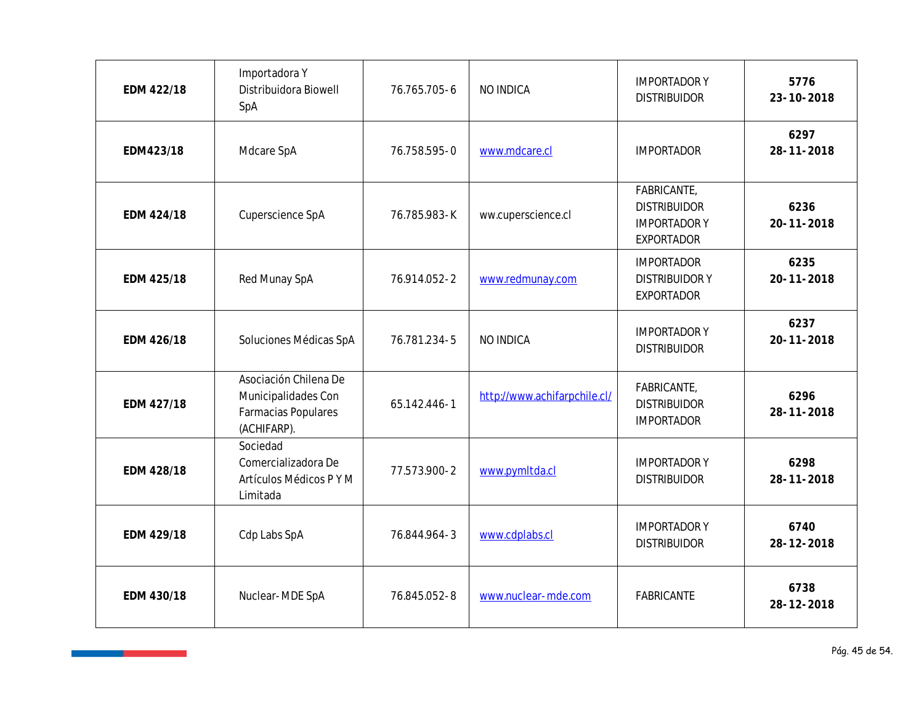| EDM 422/18 | Importadora Y<br>Distribuidora Biowell<br>SpA                                      | 76.765.705-6 | NO INDICA                    | <b>IMPORTADORY</b><br><b>DISTRIBUIDOR</b>                                     | 5776<br>23-10-2018 |
|------------|------------------------------------------------------------------------------------|--------------|------------------------------|-------------------------------------------------------------------------------|--------------------|
| EDM423/18  | Mdcare SpA                                                                         | 76.758.595-0 | www.mdcare.cl                | <b>IMPORTADOR</b>                                                             | 6297<br>28-11-2018 |
| EDM 424/18 | Cuperscience SpA                                                                   | 76.785.983-K | ww.cuperscience.cl           | FABRICANTE,<br><b>DISTRIBUIDOR</b><br><b>IMPORTADORY</b><br><b>EXPORTADOR</b> | 6236<br>20-11-2018 |
| EDM 425/18 | Red Munay SpA                                                                      | 76.914.052-2 | www.redmunay.com             | <b>IMPORTADOR</b><br><b>DISTRIBUIDORY</b><br><b>EXPORTADOR</b>                | 6235<br>20-11-2018 |
| EDM 426/18 | Soluciones Médicas SpA                                                             | 76.781.234-5 | NO INDICA                    | <b>IMPORTADORY</b><br><b>DISTRIBUIDOR</b>                                     | 6237<br>20-11-2018 |
| EDM 427/18 | Asociación Chilena De<br>Municipalidades Con<br>Farmacias Populares<br>(ACHIFARP). | 65.142.446-1 | http://www.achifarpchile.cl/ | FABRICANTE,<br><b>DISTRIBUIDOR</b><br><b>IMPORTADOR</b>                       | 6296<br>28-11-2018 |
| EDM 428/18 | Sociedad<br>Comercializadora De<br>Artículos Médicos PYM<br>Limitada               | 77.573.900-2 | www.pymltda.cl               | <b>IMPORTADORY</b><br><b>DISTRIBUIDOR</b>                                     | 6298<br>28-11-2018 |
| EDM 429/18 | Cdp Labs SpA                                                                       | 76.844.964-3 | www.cdplabs.cl               | <b>IMPORTADORY</b><br><b>DISTRIBUIDOR</b>                                     | 6740<br>28-12-2018 |
| EDM 430/18 | Nuclear-MDE SpA                                                                    | 76.845.052-8 | www.nuclear-mde.com          | FABRICANTE                                                                    | 6738<br>28-12-2018 |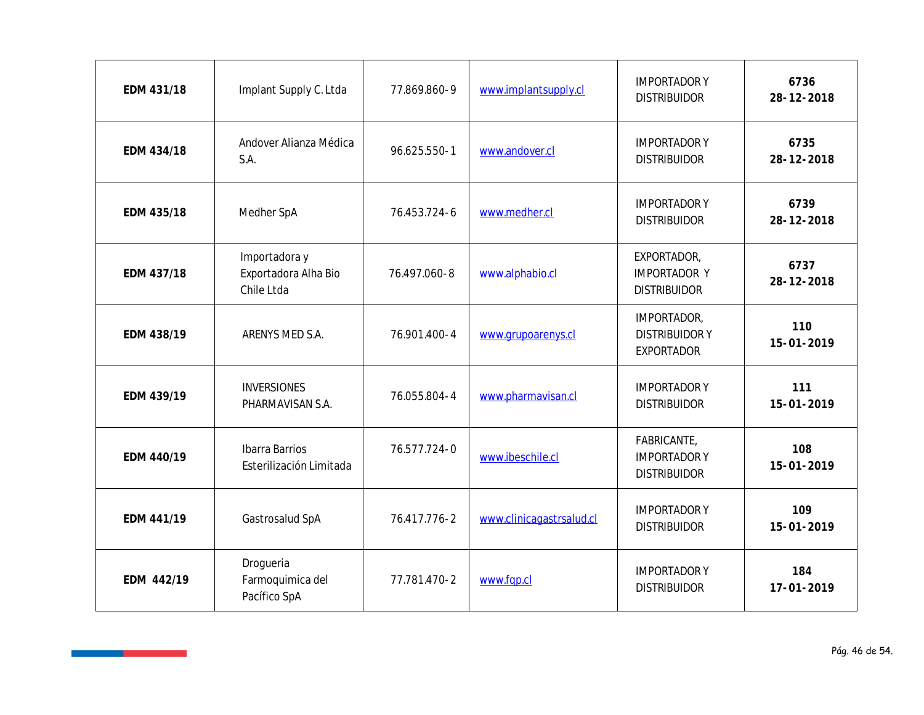| EDM 431/18 | Implant Supply C. Ltda                              | 77.869.860-9 | www.implantsupply.cl     | <b>IMPORTADORY</b><br><b>DISTRIBUIDOR</b>                 | 6736<br>28-12-2018      |
|------------|-----------------------------------------------------|--------------|--------------------------|-----------------------------------------------------------|-------------------------|
| EDM 434/18 | Andover Alianza Médica<br>S.A.                      | 96.625.550-1 | www.andover.cl           | <b>IMPORTADORY</b><br><b>DISTRIBUIDOR</b>                 | 6735<br>28-12-2018      |
| EDM 435/18 | Medher SpA                                          | 76.453.724-6 | www.medher.cl            | <b>IMPORTADORY</b><br><b>DISTRIBUIDOR</b>                 | 6739<br>28-12-2018      |
| EDM 437/18 | Importadora y<br>Exportadora Alha Bio<br>Chile Ltda | 76.497.060-8 | www.alphabio.cl          | EXPORTADOR,<br><b>IMPORTADOR Y</b><br><b>DISTRIBUIDOR</b> | 6737<br>28-12-2018      |
| EDM 438/19 | ARENYS MED S.A.                                     | 76.901.400-4 | www.grupoarenys.cl       | IMPORTADOR,<br><b>DISTRIBUIDORY</b><br>EXPORTADOR         | 110<br>15-01-2019       |
| EDM 439/19 | <b>INVERSIONES</b><br>PHARMAVISAN S.A.              | 76.055.804-4 | www.pharmavisan.cl       | <b>IMPORTADORY</b><br><b>DISTRIBUIDOR</b>                 | 111<br>15-01-2019       |
| EDM 440/19 | Ibarra Barrios<br>Esterilización Limitada           | 76.577.724-0 | www.ibeschile.cl         | FABRICANTE,<br><b>IMPORTADORY</b><br><b>DISTRIBUIDOR</b>  | 108<br>15-01-2019       |
| EDM 441/19 | Gastrosalud SpA                                     | 76.417.776-2 | www.clinicagastrsalud.cl | <b>IMPORTADORY</b><br><b>DISTRIBUIDOR</b>                 | 109<br>15-01-2019       |
| EDM 442/19 | Drogueria<br>Farmoquimica del<br>Pacífico SpA       | 77.781.470-2 | www.fgp.cl               | <b>IMPORTADORY</b><br><b>DISTRIBUIDOR</b>                 | 184<br>$17 - 01 - 2019$ |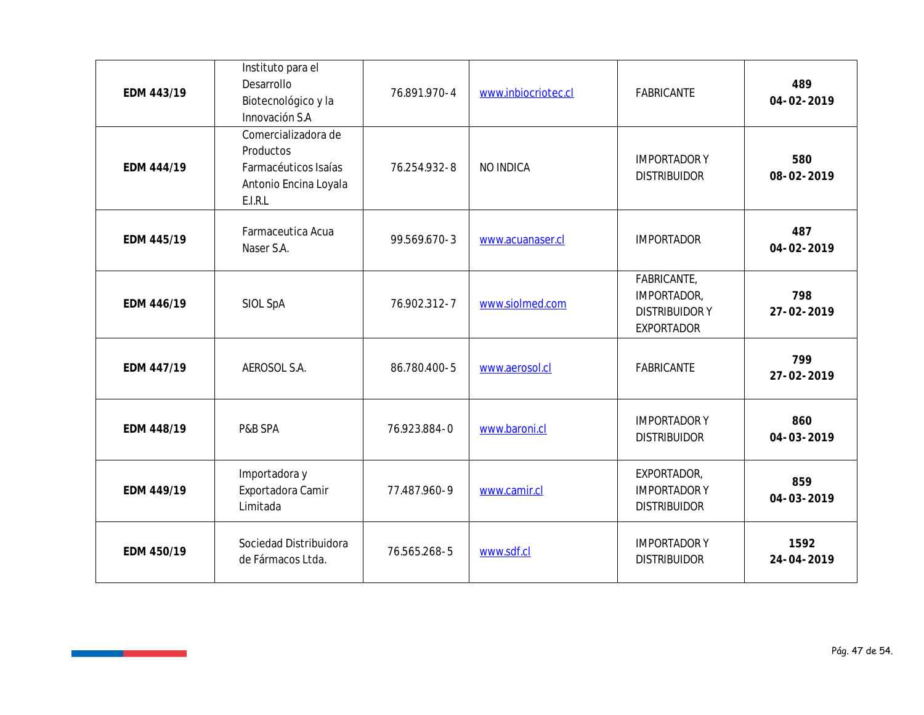| EDM 443/19 | Instituto para el<br>Desarrollo<br>Biotecnológico y la<br>Innovación S.A                     | 76.891.970-4 | www.inbiocriotec.cl | FABRICANTE                                                       | 489<br>04-02-2019  |
|------------|----------------------------------------------------------------------------------------------|--------------|---------------------|------------------------------------------------------------------|--------------------|
| EDM 444/19 | Comercializadora de<br>Productos<br>Farmacéuticos Isaías<br>Antonio Encina Loyala<br>E.I.R.L | 76.254.932-8 | NO INDICA           | <b>IMPORTADORY</b><br><b>DISTRIBUIDOR</b>                        | 580<br>08-02-2019  |
| EDM 445/19 | Farmaceutica Acua<br>Naser S.A.                                                              | 99.569.670-3 | www.acuanaser.cl    | <b>IMPORTADOR</b>                                                | 487<br>04-02-2019  |
| EDM 446/19 | SIOL SpA                                                                                     | 76.902.312-7 | www.siolmed.com     | FABRICANTE,<br>IMPORTADOR,<br><b>DISTRIBUIDORY</b><br>EXPORTADOR | 798<br>27-02-2019  |
| EDM 447/19 | AEROSOL S.A.                                                                                 | 86.780.400-5 | www.aerosol.cl      | FABRICANTE                                                       | 799<br>27-02-2019  |
| EDM 448/19 | P&B SPA                                                                                      | 76.923.884-0 | www.baroni.cl       | <b>IMPORTADORY</b><br><b>DISTRIBUIDOR</b>                        | 860<br>04-03-2019  |
| EDM 449/19 | Importadora y<br>Exportadora Camir<br>Limitada                                               | 77.487.960-9 | www.camir.cl        | EXPORTADOR,<br><b>IMPORTADORY</b><br><b>DISTRIBUIDOR</b>         | 859<br>04-03-2019  |
| EDM 450/19 | Sociedad Distribuidora<br>de Fármacos Ltda.                                                  | 76.565.268-5 | www.sdf.cl          | <b>IMPORTADORY</b><br><b>DISTRIBUIDOR</b>                        | 1592<br>24-04-2019 |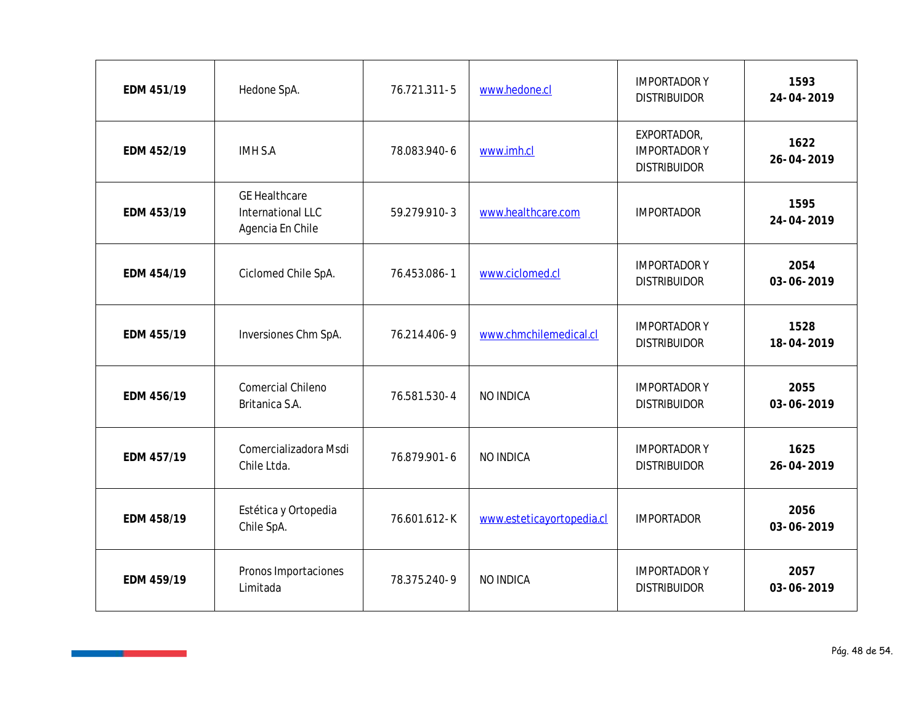| EDM 451/19 | Hedone SpA.                                                   | 76.721.311-5 | www.hedone.cl             | <b>IMPORTADORY</b><br><b>DISTRIBUIDOR</b>                | 1593<br>24-04-2019 |
|------------|---------------------------------------------------------------|--------------|---------------------------|----------------------------------------------------------|--------------------|
| EDM 452/19 | <b>IMH S.A</b>                                                | 78.083.940-6 | www.imh.cl                | EXPORTADOR,<br><b>IMPORTADORY</b><br><b>DISTRIBUIDOR</b> | 1622<br>26-04-2019 |
| EDM 453/19 | <b>GE Healthcare</b><br>International LLC<br>Agencia En Chile | 59.279.910-3 | www.healthcare.com        | <b>IMPORTADOR</b>                                        | 1595<br>24-04-2019 |
| EDM 454/19 | Ciclomed Chile SpA.                                           | 76.453.086-1 | www.ciclomed.cl           | <b>IMPORTADORY</b><br><b>DISTRIBUIDOR</b>                | 2054<br>03-06-2019 |
| EDM 455/19 | Inversiones Chm SpA.                                          | 76.214.406-9 | www.chmchilemedical.cl    | <b>IMPORTADORY</b><br><b>DISTRIBUIDOR</b>                | 1528<br>18-04-2019 |
| EDM 456/19 | Comercial Chileno<br>Britanica S.A.                           | 76.581.530-4 | NO INDICA                 | <b>IMPORTADORY</b><br><b>DISTRIBUIDOR</b>                | 2055<br>03-06-2019 |
| EDM 457/19 | Comercializadora Msdi<br>Chile Ltda.                          | 76.879.901-6 | NO INDICA                 | <b>IMPORTADORY</b><br><b>DISTRIBUIDOR</b>                | 1625<br>26-04-2019 |
| EDM 458/19 | Estética y Ortopedia<br>Chile SpA.                            | 76.601.612-K | www.esteticayortopedia.cl | <b>IMPORTADOR</b>                                        | 2056<br>03-06-2019 |
| EDM 459/19 | Pronos Importaciones<br>Limitada                              | 78.375.240-9 | NO INDICA                 | <b>IMPORTADORY</b><br><b>DISTRIBUIDOR</b>                | 2057<br>03-06-2019 |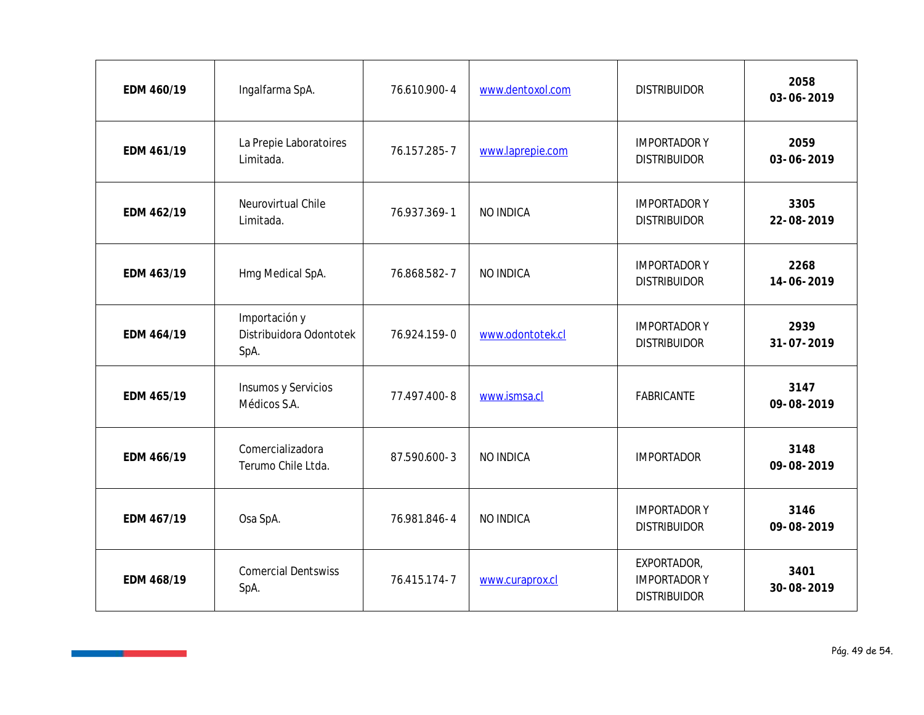| EDM 460/19 | Ingalfarma SpA.                                  | 76.610.900-4 | www.dentoxol.com | <b>DISTRIBUIDOR</b>                                      | 2058<br>03-06-2019       |
|------------|--------------------------------------------------|--------------|------------------|----------------------------------------------------------|--------------------------|
| EDM 461/19 | La Prepie Laboratoires<br>Limitada.              | 76.157.285-7 | www.laprepie.com | <b>IMPORTADORY</b><br><b>DISTRIBUIDOR</b>                | 2059<br>03-06-2019       |
| EDM 462/19 | Neurovirtual Chile<br>Limitada.                  | 76.937.369-1 | NO INDICA        | <b>IMPORTADOR Y</b><br><b>DISTRIBUIDOR</b>               | 3305<br>22-08-2019       |
| EDM 463/19 | Hmg Medical SpA.                                 | 76.868.582-7 | NO INDICA        | <b>IMPORTADORY</b><br><b>DISTRIBUIDOR</b>                | 2268<br>14-06-2019       |
| EDM 464/19 | Importación y<br>Distribuidora Odontotek<br>SpA. | 76.924.159-0 | www.odontotek.cl | <b>IMPORTADORY</b><br><b>DISTRIBUIDOR</b>                | 2939<br>$31 - 07 - 2019$ |
| EDM 465/19 | Insumos y Servicios<br>Médicos S.A.              | 77.497.400-8 | www.ismsa.cl     | FABRICANTE                                               | 3147<br>09-08-2019       |
| EDM 466/19 | Comercializadora<br>Terumo Chile Ltda.           | 87.590.600-3 | NO INDICA        | <b>IMPORTADOR</b>                                        | 3148<br>09-08-2019       |
| EDM 467/19 | Osa SpA.                                         | 76.981.846-4 | NO INDICA        | <b>IMPORTADORY</b><br><b>DISTRIBUIDOR</b>                | 3146<br>09-08-2019       |
| EDM 468/19 | <b>Comercial Dentswiss</b><br>SpA.               | 76.415.174-7 | www.curaprox.cl  | EXPORTADOR,<br><b>IMPORTADORY</b><br><b>DISTRIBUIDOR</b> | 3401<br>30-08-2019       |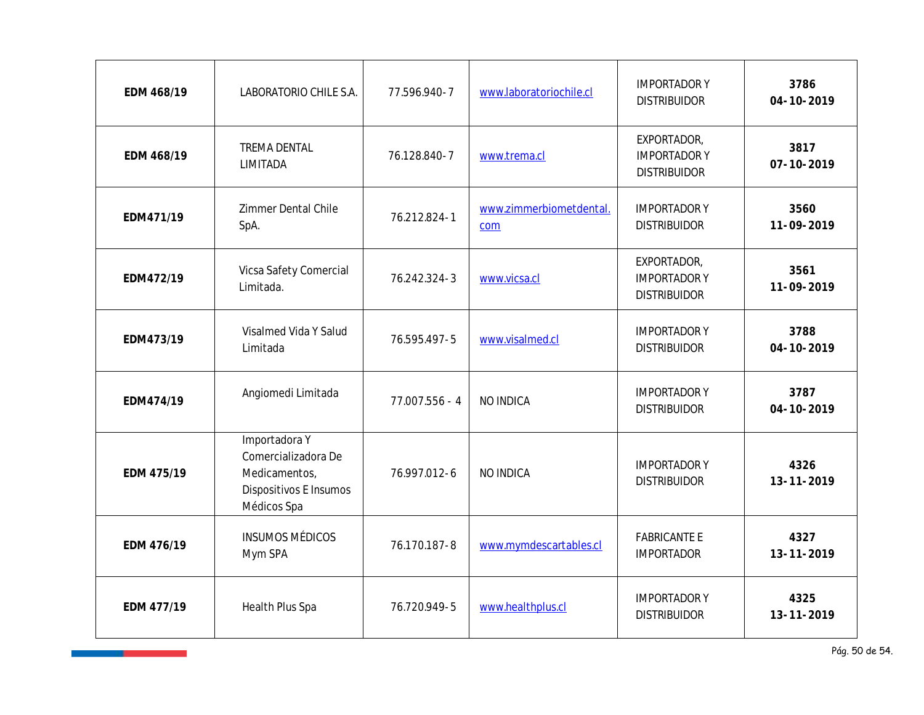| EDM 468/19 | LABORATORIO CHILE S.A.                                                                         | 77.596.940-7   | www.laboratoriochile.cl        | <b>IMPORTADORY</b><br><b>DISTRIBUIDOR</b>                | 3786<br>04-10-2019       |
|------------|------------------------------------------------------------------------------------------------|----------------|--------------------------------|----------------------------------------------------------|--------------------------|
| EDM 468/19 | TREMA DENTAL<br>LIMITADA                                                                       | 76.128.840-7   | www.trema.cl                   | EXPORTADOR,<br><b>IMPORTADORY</b><br><b>DISTRIBUIDOR</b> | 3817<br>$07 - 10 - 2019$ |
| EDM471/19  | Zimmer Dental Chile<br>SpA.                                                                    | 76.212.824-1   | www.zimmerbiometdental.<br>com | <b>IMPORTADORY</b><br><b>DISTRIBUIDOR</b>                | 3560<br>11-09-2019       |
| EDM472/19  | Vicsa Safety Comercial<br>Limitada.                                                            | 76.242.324-3   | www.vicsa.cl                   | EXPORTADOR,<br><b>IMPORTADORY</b><br><b>DISTRIBUIDOR</b> | 3561<br>11-09-2019       |
| EDM473/19  | Visalmed Vida Y Salud<br>Limitada                                                              | 76.595.497-5   | www.visalmed.cl                | <b>IMPORTADORY</b><br><b>DISTRIBUIDOR</b>                | 3788<br>04-10-2019       |
| EDM474/19  | Angiomedi Limitada                                                                             | 77.007.556 - 4 | NO INDICA                      | <b>IMPORTADORY</b><br><b>DISTRIBUIDOR</b>                | 3787<br>04-10-2019       |
| EDM 475/19 | Importadora Y<br>Comercializadora De<br>Medicamentos,<br>Dispositivos E Insumos<br>Médicos Spa | 76.997.012-6   | NO INDICA                      | <b>IMPORTADORY</b><br><b>DISTRIBUIDOR</b>                | 4326<br>13-11-2019       |
| EDM 476/19 | <b>INSUMOS MÉDICOS</b><br>Mym SPA                                                              | 76.170.187-8   | www.mymdescartables.cl         | <b>FABRICANTE E</b><br><b>IMPORTADOR</b>                 | 4327<br>13-11-2019       |
| EDM 477/19 | Health Plus Spa                                                                                | 76.720.949-5   | www.healthplus.cl              | <b>IMPORTADORY</b><br><b>DISTRIBUIDOR</b>                | 4325<br>13-11-2019       |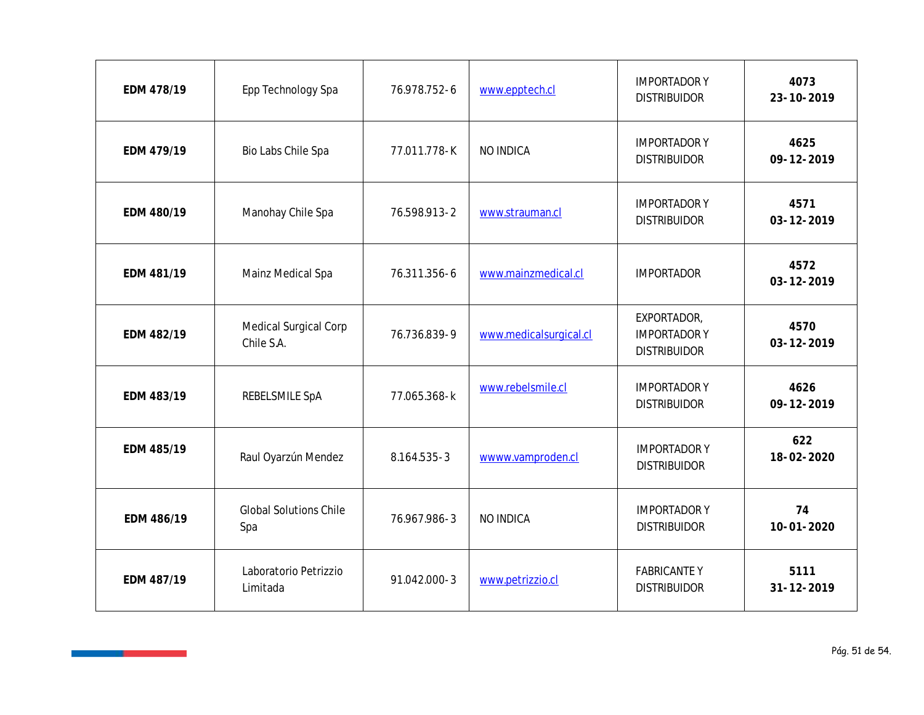| EDM 478/19 | Epp Technology Spa                   | 76.978.752-6 | www.epptech.cl         | <b>IMPORTADORY</b><br><b>DISTRIBUIDOR</b>                 | 4073<br>23-10-2019     |
|------------|--------------------------------------|--------------|------------------------|-----------------------------------------------------------|------------------------|
| EDM 479/19 | Bio Labs Chile Spa                   | 77.011.778-K | NO INDICA              | <b>IMPORTADORY</b><br><b>DISTRIBUIDOR</b>                 | 4625<br>09-12-2019     |
| EDM 480/19 | Manohay Chile Spa                    | 76.598.913-2 | www.strauman.cl        | <b>IMPORTADORY</b><br><b>DISTRIBUIDOR</b>                 | 4571<br>03-12-2019     |
| EDM 481/19 | Mainz Medical Spa                    | 76.311.356-6 | www.mainzmedical.cl    | <b>IMPORTADOR</b>                                         | 4572<br>03-12-2019     |
| EDM 482/19 | Medical Surgical Corp<br>Chile S.A.  | 76.736.839-9 | www.medicalsurgical.cl | EXPORTADOR,<br><b>IMPORTADOR Y</b><br><b>DISTRIBUIDOR</b> | 4570<br>03-12-2019     |
| EDM 483/19 | REBELSMILE SpA                       | 77.065.368-k | www.rebelsmile.cl      | <b>IMPORTADORY</b><br><b>DISTRIBUIDOR</b>                 | 4626<br>09-12-2019     |
| EDM 485/19 | Raul Oyarzún Mendez                  | 8.164.535-3  | wwww.vamproden.cl      | <b>IMPORTADORY</b><br><b>DISTRIBUIDOR</b>                 | 622<br>18-02-2020      |
| EDM 486/19 | <b>Global Solutions Chile</b><br>Spa | 76.967.986-3 | NO INDICA              | <b>IMPORTADORY</b><br><b>DISTRIBUIDOR</b>                 | 74<br>$10 - 01 - 2020$ |
| EDM 487/19 | Laboratorio Petrizzio<br>Limitada    | 91.042.000-3 | www.petrizzio.cl       | <b>FABRICANTEY</b><br><b>DISTRIBUIDOR</b>                 | 5111<br>31-12-2019     |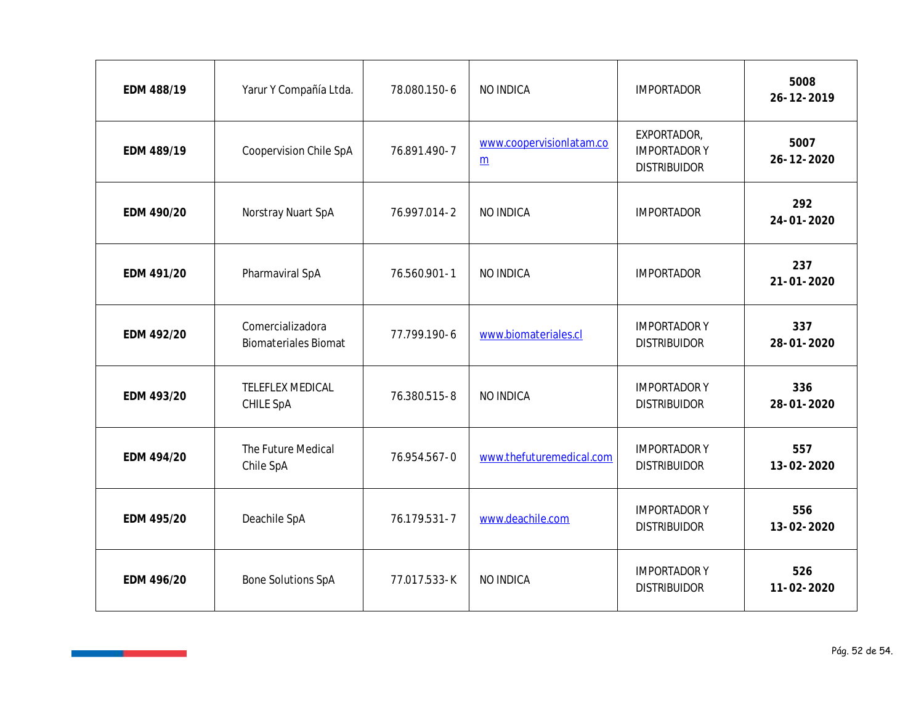| EDM 488/19 | Yarur Y Compañía Ltda.                          | 78.080.150-6 | NO INDICA                                   | <b>IMPORTADOR</b>                                        | 5008<br>26-12-2019      |
|------------|-------------------------------------------------|--------------|---------------------------------------------|----------------------------------------------------------|-------------------------|
| EDM 489/19 | Coopervision Chile SpA                          | 76.891.490-7 | www.coopervisionlatam.co<br>$\underline{m}$ | EXPORTADOR,<br><b>IMPORTADORY</b><br><b>DISTRIBUIDOR</b> | 5007<br>26-12-2020      |
| EDM 490/20 | Norstray Nuart SpA                              | 76.997.014-2 | NO INDICA                                   | <b>IMPORTADOR</b>                                        | 292<br>$24 - 01 - 2020$ |
| EDM 491/20 | Pharmaviral SpA                                 | 76.560.901-1 | NO INDICA                                   | <b>IMPORTADOR</b>                                        | 237<br>$21 - 01 - 2020$ |
| EDM 492/20 | Comercializadora<br><b>Biomateriales Biomat</b> | 77.799.190-6 | www.biomateriales.cl                        | <b>IMPORTADORY</b><br><b>DISTRIBUIDOR</b>                | 337<br>28-01-2020       |
| EDM 493/20 | TELEFLEX MEDICAL<br>CHILE SpA                   | 76.380.515-8 | NO INDICA                                   | <b>IMPORTADORY</b><br><b>DISTRIBUIDOR</b>                | 336<br>28-01-2020       |
| EDM 494/20 | The Future Medical<br>Chile SpA                 | 76.954.567-0 | www.thefuturemedical.com                    | <b>IMPORTADORY</b><br><b>DISTRIBUIDOR</b>                | 557<br>13-02-2020       |
| EDM 495/20 | Deachile SpA                                    | 76.179.531-7 | www.deachile.com                            | <b>IMPORTADORY</b><br><b>DISTRIBUIDOR</b>                | 556<br>13-02-2020       |
| EDM 496/20 | <b>Bone Solutions SpA</b>                       | 77.017.533-K | NO INDICA                                   | <b>IMPORTADORY</b><br><b>DISTRIBUIDOR</b>                | 526<br>$11 - 02 - 2020$ |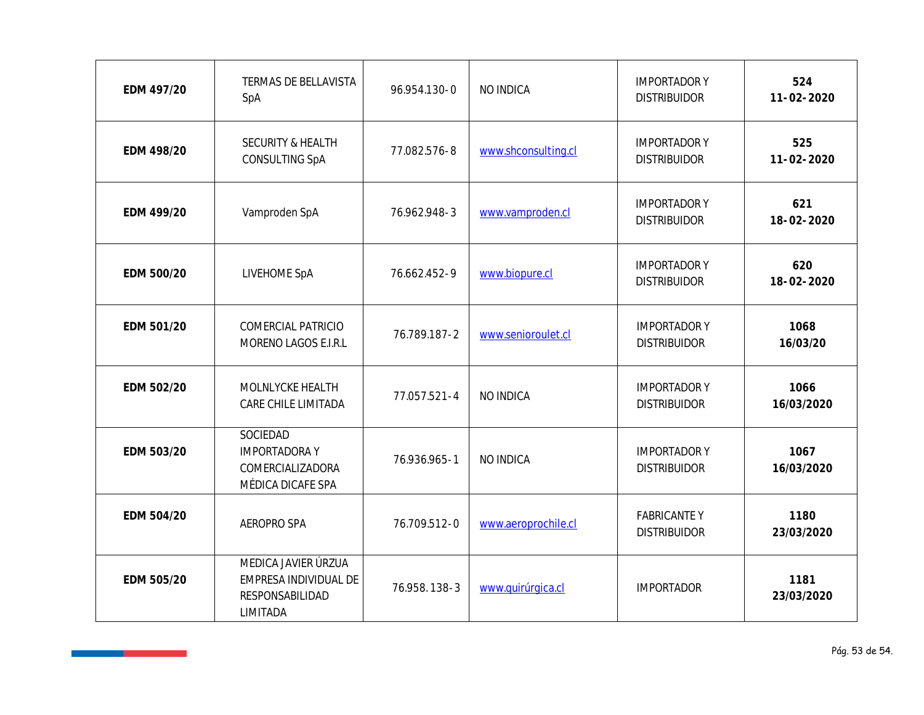| EDM 497/20 | TERMAS DE BELLAVISTA<br>SpA                                                 | 96.954.130-0 | NO INDICA           | <b>IMPORTADORY</b><br><b>DISTRIBUIDOR</b>  | 524<br>$11 - 02 - 2020$ |
|------------|-----------------------------------------------------------------------------|--------------|---------------------|--------------------------------------------|-------------------------|
| EDM 498/20 | SECURITY & HEALTH<br>CONSULTING SpA                                         | 77.082.576-8 | www.shconsulting.cl | <b>IMPORTADORY</b><br><b>DISTRIBUIDOR</b>  | 525<br>$11 - 02 - 2020$ |
| EDM 499/20 | Vamproden SpA                                                               | 76.962.948-3 | www.vamproden.cl    | <b>IMPORTADOR Y</b><br><b>DISTRIBUIDOR</b> | 621<br>18-02-2020       |
| EDM 500/20 | LIVEHOME SpA                                                                | 76.662.452-9 | www.biopure.cl      | <b>IMPORTADOR Y</b><br><b>DISTRIBUIDOR</b> | 620<br>18-02-2020       |
| EDM 501/20 | COMERCIAL PATRICIO<br>MORENO LAGOS E.I.R.L                                  | 76.789.187-2 | www.senioroulet.cl  | <b>IMPORTADORY</b><br><b>DISTRIBUIDOR</b>  | 1068<br>16/03/20        |
| EDM 502/20 | MOLNLYCKE HEALTH<br>CARE CHILE LIMITADA                                     | 77.057.521-4 | NO INDICA           | <b>IMPORTADOR Y</b><br><b>DISTRIBUIDOR</b> | 1066<br>16/03/2020      |
| EDM 503/20 | SOCIEDAD<br><b>IMPORTADORAY</b><br>COMERCIALIZADORA<br>MÉDICA DICAFE SPA    | 76.936.965-1 | NO INDICA           | <b>IMPORTADORY</b><br><b>DISTRIBUIDOR</b>  | 1067<br>16/03/2020      |
| EDM 504/20 | AEROPRO SPA                                                                 | 76.709.512-0 | www.aeroprochile.cl | <b>FABRICANTEY</b><br><b>DISTRIBUIDOR</b>  | 1180<br>23/03/2020      |
| EDM 505/20 | MEDICA JAVIER ÚRZUA<br>EMPRESA INDIVIDUAL DE<br>RESPONSABILIDAD<br>LIMITADA | 76.958.138-3 | www.quirúrgica.cl   | <b>IMPORTADOR</b>                          | 1181<br>23/03/2020      |